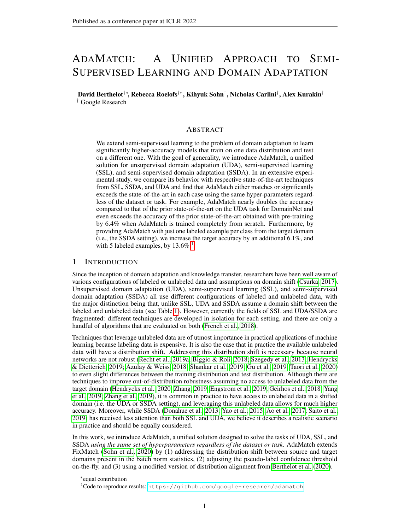# ADAMATCH: A UNIFIED APPROACH TO SEMI-SUPERVISED LEARNING AND DOMAIN ADAPTATION

David Berthelot†∗, Rebecca Roelofs†∗, Kihyuk Sohn† , Nicholas Carlini† , Alex Kurakin† † Google Research

# ABSTRACT

We extend semi-supervised learning to the problem of domain adaptation to learn significantly higher-accuracy models that train on one data distribution and test on a different one. With the goal of generality, we introduce AdaMatch, a unified solution for unsupervised domain adaptation (UDA), semi-supervised learning (SSL), and semi-supervised domain adaptation (SSDA). In an extensive experimental study, we compare its behavior with respective state-of-the-art techniques from SSL, SSDA, and UDA and find that AdaMatch either matches or significantly exceeds the state-of-the-art in each case using the same hyper-parameters regardless of the dataset or task. For example, AdaMatch nearly doubles the accuracy compared to that of the prior state-of-the-art on the UDA task for DomainNet and even exceeds the accuracy of the prior state-of-the-art obtained with pre-training by 6.4% when AdaMatch is trained completely from scratch. Furthermore, by providing AdaMatch with just one labeled example per class from the target domain (i.e., the SSDA setting), we increase the target accuracy by an additional 6.1%, and with 5 labeled examples, by  $13.6\%$  $13.6\%$ <sup>1</sup>

## 1 INTRODUCTION

Since the inception of domain adaptation and knowledge transfer, researchers have been well aware of various configurations of labeled or unlabeled data and assumptions on domain shift [\(Csurka, 2017\)](#page-9-0). Unsupervised domain adaptation (UDA), semi-supervised learning (SSL), and semi-supervised domain adaptation (SSDA) all use different configurations of labeled and unlabeled data, with the major distinction being that, unlike SSL, UDA and SSDA assume a domain shift between the labeled and unlabeled data (see Table [1\)](#page-1-0). However, currently the fields of SSL and UDA/SSDA are fragmented: different techniques are developed in isolation for each setting, and there are only a handful of algorithms that are evaluated on both [\(French et al., 2018\)](#page-10-0).

Techniques that leverage unlabeled data are of utmost importance in practical applications of machine learning because labeling data is expensive. It is also the case that in practice the available unlabeled data will have a distribution shift. Addressing this distribution shift is necessary because neural networks are not robust [\(Recht et al., 2019a;](#page-11-0) [Biggio & Roli, 2018;](#page-9-1) [Szegedy et al., 2013;](#page-11-1) [Hendrycks](#page-10-1) [& Dietterich, 2019;](#page-10-1) [Azulay & Weiss, 2018;](#page-9-2) [Shankar et al., 2019;](#page-11-2) [Gu et al., 2019;](#page-10-2) [Taori et al., 2020\)](#page-11-3) to even slight differences between the training distribution and test distribution. Although there are techniques to improve out-of-distribution robustness assuming no access to unlabeled data from the target domain [\(Hendrycks et al., 2020;](#page-10-3) [Zhang, 2019;](#page-12-0) [Engstrom et al., 2019;](#page-10-4) [Geirhos et al., 2018;](#page-10-5) [Yang](#page-12-1) [et al., 2019;](#page-12-1) [Zhang et al., 2019\)](#page-12-2), it is common in practice to have access to unlabeled data in a shifted domain (i.e. the UDA or SSDA setting), and leveraging this unlabeled data allows for much higher accuracy. Moreover, while SSDA [\(Donahue et al., 2013;](#page-10-6) [Yao et al., 2015;](#page-12-3) [Ao et al., 2017;](#page-9-3) [Saito et al.,](#page-11-4) [2019\)](#page-11-4) has received less attention than both SSL and UDA, we believe it describes a realistic scenario in practice and should be equally considered.

In this work, we introduce AdaMatch, a unified solution designed to solve the tasks of UDA, SSL, and SSDA *using the same set of hyperparameters regardless of the dataset or task*. AdaMatch extends FixMatch [\(Sohn et al., 2020\)](#page-11-5) by (1) addressing the distribution shift between source and target domains present in the batch norm statistics, (2) adjusting the pseudo-label confidence threshold on-the-fly, and (3) using a modified version of distribution alignment from [Berthelot et al.](#page-9-4) [\(2020\)](#page-9-4).

<sup>∗</sup> equal contribution

<span id="page-0-0"></span><sup>1</sup>Code to reproduce results: <https://github.com/google-research/adamatch>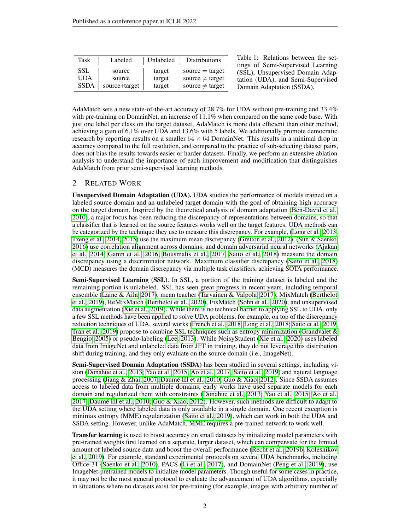<span id="page-1-0"></span>

| Task        | Labeled       | Unlabeled | <b>Distributions</b> |
|-------------|---------------|-----------|----------------------|
| SSL         | source        | target    | $source = target$    |
| <b>UDA</b>  | source        | target    | source $\neq$ target |
| <b>SSDA</b> | source+target | target    | source $\neq$ target |

Table 1: Relations between the settings of Semi-Supervised Learning (SSL), Unsupervised Domain Adaptation (UDA), and Semi-Supervised Domain Adaptation (SSDA).

AdaMatch sets a new state-of-the-art accuracy of 28.7% for UDA without pre-training and 33.4% with pre-training on DomainNet, an increase of 11.1% when compared on the same code base. With just one label per class on the target dataset, AdaMatch is more data efficient than other method, achieving a gain of 6.1% over UDA and 13.6% with 5 labels. We additionally promote democratic research by reporting results on a smaller  $64 \times 64$  DomainNet. This results in a minimal drop in accuracy compared to the full resolution, and compared to the practice of sub-selecting dataset pairs, does not bias the results towards easier or harder datasets. Finally, we perform an extensive ablation analysis to understand the importance of each improvement and modification that distinguishes AdaMatch from prior semi-supervised learning methods.

# <span id="page-1-1"></span>2 RELATED WORK

Unsupervised Domain Adaptation (UDA). UDA studies the performance of models trained on a labeled source domain and an unlabeled target domain with the goal of obtaining high accuracy on the target domain. Inspired by the theoretical analysis of domain adaptation [\(Ben-David et al.,](#page-9-5) [2010\)](#page-9-5), a major focus has been reducing the discrepancy of representations between domains, so that a classifier that is learned on the source features works well on the target features. UDA methods can be categorized by the technique they use to measure this discrepancy. For example, [\(Long et al., 2013;](#page-11-6) [Tzeng et al., 2014;](#page-12-4) [2015\)](#page-12-5) use the maximum mean discrepancy [\(Gretton et al., 2012\)](#page-10-7), [\(Sun & Saenko,](#page-11-7) [2016\)](#page-11-7) use correlation alignment across domains, and domain adversarial neural networks [\(Ajakan](#page-9-6) [et al., 2014;](#page-9-6) [Ganin et al., 2016;](#page-10-8) [Bousmalis et al., 2017;](#page-9-7) [Saito et al., 2018\)](#page-11-8) measure the domain discrepancy using a discriminator network. Maximum classifier discrepancy [\(Saito et al., 2018\)](#page-11-8) (MCD) measures the domain discrepancy via multiple task classifiers, achieving SOTA performance.

Semi-Supervised Learning (SSL). In SSL, a portion of the training dataset is labeled and the remaining portion is unlabeled. SSL has seen great progress in recent years, including temporal ensemble [\(Laine & Aila, 2017\)](#page-10-9), mean teacher [\(Tarvainen & Valpola, 2017\)](#page-12-6), MixMatch [\(Berthelot](#page-9-8) [et al., 2019\)](#page-9-8), ReMixMatch [\(Berthelot et al., 2020\)](#page-9-4), FixMatch [\(Sohn et al., 2020\)](#page-11-5), and unsupervised data augmentation [\(Xie et al., 2019\)](#page-12-7). While there is no technical barrier to applying SSL to UDA, only a few SSL methods have been applied to solve UDA problems; for example, on top of the discrepancy reduction techniques of UDA, several works [\(French et al., 2018;](#page-10-0) [Long et al., 2018;](#page-11-9) [Saito et al., 2019;](#page-11-4) [Tran et al., 2019\)](#page-12-8) propose to combine SSL techniques such as entropy minimization [\(Grandvalet &](#page-10-10) [Bengio, 2005\)](#page-10-10) or pseudo-labeling [\(Lee, 2013\)](#page-10-11). While NoisyStudent [\(Xie et al., 2020\)](#page-12-9) uses labeled data from ImageNet and unlabeled data from JFT in training, they do not leverage this distribution shift during training, and they only evaluate on the source domain (i.e., ImageNet).

Semi-Supervised Domain Adaptation (SSDA) has been studied in several settings, including vision [\(Donahue et al., 2013;](#page-10-6) [Yao et al., 2015;](#page-12-3) [Ao et al., 2017;](#page-9-3) [Saito et al., 2019\)](#page-11-4) and natural language processing [\(Jiang & Zhai, 2007;](#page-10-12) [Daumé III et al., 2010;](#page-9-9) [Guo & Xiao, 2012\)](#page-10-13). Since SSDA assumes access to labeled data from multiple domains, early works have used separate models for each domain and regularized them with constraints [\(Donahue et al., 2013;](#page-10-6) [Yao et al., 2015;](#page-12-3) [Ao et al.,](#page-9-3) [2017;](#page-9-3) [Daumé III et al., 2010;](#page-9-9) [Guo & Xiao, 2012\)](#page-10-13). However, such methods are difficult to adapt to the UDA setting where labeled data is only available in a single domain. One recent exception is minimax entropy (MME) regularization [\(Saito et al., 2019\)](#page-11-4), which can work in both the UDA and SSDA setting. However, unlike AdaMatch, MME requires a pre-trained network to work well.

**Transfer learning** is used to boost accuracy on small datasets by initializing model parameters with pre-trained weights first learned on a separate, larger dataset, which can compensate for the limited amount of labeled source data and boost the overall performance [\(Recht et al., 2019b;](#page-11-10) [Kolesnikov](#page-10-14) [et al., 2019\)](#page-10-14). For example, standard experimental protocols on several UDA benchmarks, including Office-31 [\(Saenko et al., 2010\)](#page-11-11), PACS [\(Li et al., 2017\)](#page-11-12), and DomainNet [\(Peng et al., 2019\)](#page-11-13), use ImageNet-pretrained models to initialize model parameters. Though useful for some cases in practice, it may not be the most general protocol to evaluate the advancement of UDA algorithms, especially in situations where no datasets exist for pre-training (for example, images with arbitrary number of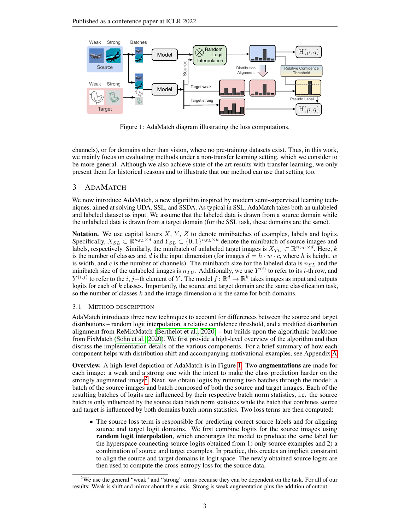<span id="page-2-0"></span>

Figure 1: AdaMatch diagram illustrating the loss computations.

channels), or for domains other than vision, where no pre-training datasets exist. Thus, in this work, we mainly focus on evaluating methods under a non-transfer learning setting, which we consider to be more general. Although we also achieve state of the art results with transfer learning, we only present them for historical reasons and to illustrate that our method can use that setting too.

# 3 ADAMATCH

We now introduce AdaMatch, a new algorithm inspired by modern semi-supervised learning techniques, aimed at solving UDA, SSL, and SSDA. As typical in SSL, AdaMatch takes both an unlabeled and labeled dataset as input. We assume that the labeled data is drawn from a source domain while the unlabeled data is drawn from a target domain (for the SSL task, these domains are the same).

**Notation.** We use capital letters  $X, Y, Z$  to denote minibatches of examples, labels and logits. Specifically,  $X_{SL} \subset \mathbb{R}^{n_{SL} \times d}$  and  $Y_{SL} \subset \{0,1\}^{n_{SL} \times k}$  denote the minibatch of source images and labels, respectively. Similarly, the minibatch of unlabeled target images is  $X_{TU} \subset \mathbb{R}^{n_{TU} \times d}$ . Here, k is the number of classes and d is the input dimension (for images  $d = h \cdot w \cdot c$ , where h is height, w is width, and c is the number of channels). The minibatch size for the labeled data is  $n_{SL}$  and the minibatch size of the unlabeled images is  $n_{TU}$ . Additionally, we use  $Y^{(i)}$  to refer to its *i*-th row, and  $Y^{(i,j)}$  to refer to the  $i, j$  – th element of Y. The model  $f: \mathbb{R}^d \to \mathbb{R}^k$  takes images as input and outputs logits for each of  $k$  classes. Importantly, the source and target domain are the same classification task, so the number of classes  $k$  and the image dimension  $d$  is the same for both domains.

#### 3.1 METHOD DESCRIPTION

AdaMatch introduces three new techniques to account for differences between the source and target distributions – random logit interpolation, a relative confidence threshold, and a modified distribution alignment from ReMixMatch [\(Berthelot et al., 2020\)](#page-9-4) – but builds upon the algorithmic backbone from FixMatch [\(Sohn et al., 2020\)](#page-11-5). We first provide a high-level overview of the algorithm and then discuss the implementation details of the various components. For a brief summary of how each component helps with distribution shift and accompanying motivational examples, see Appendix [A.](#page-13-0)

**Overview.** A high-level depiction of AdaMatch is in Figure [1.](#page-2-0) Two **augmentations** are made for each image: a weak and a strong one with the intent to make the class prediction harder on the strongly augmented image<sup>[2](#page-2-1)</sup>. Next, we obtain logits by running two batches through the model: a batch of the source images and batch composed of both the source and target images. Each of the resulting batches of logits are influenced by their respective batch norm statistics, i.e. the source batch is only influenced by the source data batch norm statistics while the batch that combines source and target is influenced by both domains batch norm statistics. Two loss terms are then computed:

• The source loss term is responsible for predicting correct source labels and for aligning source and target logit domains. We first combine logits for the source images using random logit interpolation, which encourages the model to produce the same label for the hyperspace connecting source logits obtained from 1) only source examples and 2) a combination of source and target examples. In practice, this creates an implicit constraint to align the source and target domains in logit space. The newly obtained source logits are then used to compute the cross-entropy loss for the source data.

<span id="page-2-1"></span><sup>&</sup>lt;sup>2</sup>We use the general "weak" and "strong" terms because they can be dependent on the task. For all of our results: Weak is shift and mirror about the  $x$  axis. Strong is weak augmentation plus the addition of cutout.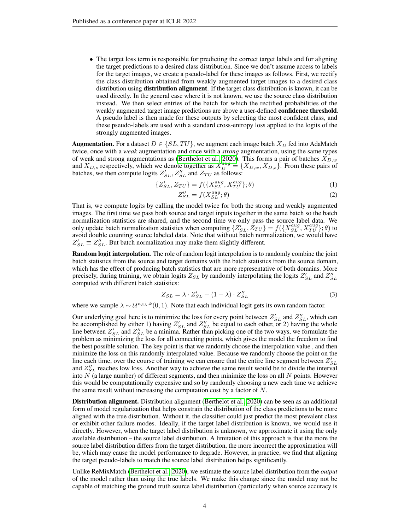• The target loss term is responsible for predicting the correct target labels and for aligning the target predictions to a desired class distribution. Since we don't assume access to labels for the target images, we create a pseudo-label for these images as follows. First, we rectify the class distribution obtained from weakly augmented target images to a desired class distribution using **distribution alignment**. If the target class distribution is known, it can be used directly. In the general case where it is not known, we use the source class distribution instead. We then select entries of the batch for which the rectified probabilities of the weakly augmented target image predictions are above a user-defined confidence threshold. A pseudo label is then made for these outputs by selecting the most confident class, and these pseudo-labels are used with a standard cross-entropy loss applied to the logits of the strongly augmented images.

**Augmentation.** For a dataset  $D \in \{SL, TU\}$ , we augment each image batch  $X_D$  fed into AdaMatch twice, once with a *weak* augmentation and once with a *strong* augmentation, using the same types of weak and strong augmentations as [\(Berthelot et al., 2020\)](#page-9-4). This forms a pair of batches  $X_{D,w}$ and  $X_{D,s}$  respectively, which we denote together as  $X_{D}^{aug} = \{X_{D,w}, X_{D,s}\}\.$  From these pairs of batches, we then compute logits  $Z'_{SL}$ ,  $Z''_{SL}$  and  $Z_{TU}$  as follows:

$$
\{Z'_{SL}, Z_{TU}\} = f(\{X_{SL}^{aug}, X_{TU}^{aug}\}; \theta)
$$
 (1)

$$
Z''_{SL} = f(X_{SL}^{aug}; \theta) \tag{2}
$$

That is, we compute logits by calling the model twice for both the strong and weakly augmented images. The first time we pass both source and target inputs together in the same batch so the batch normalization statistics are shared, and the second time we only pass the source label data. We only update batch normalization statistics when computing  $\{Z'_{SL}, Z_{TU}\} = f(\{X_{SL}^{aug}, X_{TU}^{aug}\}; \theta)$  to avoid double counting source labeled data. Note that without batch normalization, we would have  $Z'_{SL} \equiv Z''_{SL}$ . But batch normalization may make them slightly different.

Random logit interpolation. The role of random logit interpolation is to randomly combine the joint batch statistics from the source and target domains with the batch statistics from the source domain, which has the effect of producing batch statistics that are more representative of both domains. More precisely, during training, we obtain logits  $Z_{SL}$  by randomly interpolating the logits  $Z'_{SL}$  and  $Z''_{SL}$ computed with different batch statistics:

$$
Z_{SL} = \lambda \cdot Z'_{SL} + (1 - \lambda) \cdot Z''_{SL} \tag{3}
$$

where we sample  $\lambda \sim \mathcal{U}^{n_{SL} \cdot k}(0,1)$ . Note that each individual logit gets its own random factor.

Our underlying goal here is to minimize the loss for every point between  $Z'_{SL}$  and  $Z''_{SL}$ , which can be accomplished by either 1) having  $Z'_{SL}$  and  $Z''_{SL}$  be equal to each other, or 2) having the whole line between  $Z'_{SL}$  and  $Z''_{SL}$  be a minima. Rather than picking one of the two ways, we formulate the problem as minimizing the loss for all connecting points, which gives the model the freedom to find the best possible solution. The key point is that we randomly choose the interpolation value , and then minimize the loss on this randomly interpolated value. Because we randomly choose the point on the line each time, over the course of training we can ensure that the entire line segment between  $Z'_{SL}$ and  $Z''_{SL}$  reaches low loss. Another way to achieve the same result would be to divide the interval into  $N$  (a large number) of different segments, and then minimize the loss on all  $N$  points. However this would be computationally expensive and so by randomly choosing a new each time we achieve the same result without increasing the computation cost by a factor of  $N$ .

Distribution alignment. Distribution alignment [\(Berthelot et al., 2020\)](#page-9-4) can be seen as an additional form of model regularization that helps constrain the distribution of the class predictions to be more aligned with the true distribution. Without it, the classifier could just predict the most prevalent class or exhibit other failure modes. Ideally, if the target label distribution is known, we would use it directly. However, when the target label distribution is unknown, we approximate it using the only available distribution – the source label distribution. A limitation of this approach is that the more the source label distribution differs from the target distribution, the more incorrect the approximation will be, which may cause the model performance to degrade. However, in practice, we find that aligning the target pseudo-labels to match the source label distribution helps significantly.

Unlike ReMixMatch [\(Berthelot et al., 2020\)](#page-9-4), we estimate the source label distribution from the *output* of the model rather than using the true labels. We make this change since the model may not be capable of matching the ground truth source label distribution (particularly when source accuracy is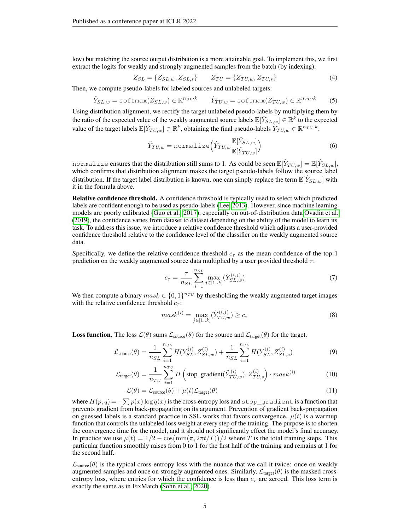low) but matching the source output distribution is a more attainable goal. To implement this, we first extract the logits for weakly and strongly augmented samples from the batch (by indexing):

$$
Z_{SL} = \{Z_{SL,w}, Z_{SL,s}\} \qquad Z_{TU} = \{Z_{TU,w}, Z_{TU,s}\}
$$
(4)

Then, we compute pseudo-labels for labeled sources and unlabeled targets:

$$
\hat{Y}_{SL,w} = \text{softmax}(Z_{SL,w}) \in \mathbb{R}^{n_{SL} \cdot k} \qquad \hat{Y}_{TU,w} = \text{softmax}(Z_{TU,w}) \in \mathbb{R}^{n_{TU} \cdot k} \tag{5}
$$

Using distribution alignment, we rectify the target unlabeled pseudo-labels by multiplying them by the ratio of the expected value of the weakly augmented source labels  $\mathbb{E}[\hat{Y}_{SL,w}] \in \mathbb{R}^k$  to the expected value of the target labels  $\mathbb{E}[\hat{Y}_{TU,w}] \in \mathbb{R}^k$ , obtaining the final pseudo-labels  $\tilde{Y}_{TU,w} \in \mathbb{R}^{n_{TU} \cdot k}$ :

$$
\tilde{Y}_{TU,w} = \text{normalize}\left(\hat{Y}_{TU,w} \frac{\mathbb{E}[\hat{Y}_{SL,w}]}{\mathbb{E}[\hat{Y}_{TU,w}]} \right)
$$
\n(6)

normalize ensures that the distribution still sums to 1. As could be seen  $\mathbb{E}[\tilde Y_{TU,w}]=\mathbb{E}[\hat Y_{SL,w}],$ which confirms that distribution alignment makes the target pseudo-labels follow the source label distribution. If the target label distribution is known, one can simply replace the term  $\mathbb{E}[\hat{Y}_{SL,w}]$  with it in the formula above.

Relative confidence threshold. A confidence threshold is typically used to select which predicted labels are confident enough to be used as pseudo-labels [\(Lee, 2013\)](#page-10-11). However, since machine learning models are poorly calibrated [\(Guo et al., 2017\)](#page-10-15), especially on out-of-distribution data [Ovadia et al.](#page-11-14) [\(2019\)](#page-11-14), the confidence varies from dataset to dataset depending on the ability of the model to learn its task. To address this issue, we introduce a relative confidence threshold which adjusts a user-provided confidence threshold relative to the confidence level of the classifier on the weakly augmented source data.

Specifically, we define the relative confidence threshold  $c<sub>\tau</sub>$  as the mean confidence of the top-1 prediction on the weakly augmented source data multiplied by a user provided threshold  $\tau$ :

$$
c_{\tau} = \frac{\tau}{n_{SL}} \sum_{i=1}^{n_{SL}} \max_{j \in [1..k]} (\hat{Y}_{SL,w}^{(i,j)})
$$
(7)

We then compute a binary  $mask \in \{0, 1\}^{n_{TU}}$  by thresholding the weakly augmented target images with the relative confidence threshold  $c_{\tau}$ :

$$
mask^{(i)} = \max_{j \in [1..k]} (\tilde{Y}_{TU,w}^{(i,j)}) \ge c_{\tau}
$$
 (8)

**Loss function.** The loss  $\mathcal{L}(\theta)$  sums  $\mathcal{L}_{source}(\theta)$  for the source and  $\mathcal{L}_{target}(\theta)$  for the target.

$$
\mathcal{L}_{\text{source}}(\theta) = \frac{1}{n_{SL}} \sum_{i=1}^{n_{SL}} H(Y_{SL}^{(i)}, Z_{SL,w}^{(i)}) + \frac{1}{n_{SL}} \sum_{i=1}^{n_{SL}} H(Y_{SL}^{(i)}, Z_{SL,s}^{(i)}) \tag{9}
$$

$$
\mathcal{L}_{\text{target}}(\theta) = \frac{1}{n_{TU}} \sum_{i=1}^{n_{TU}} H\left(\text{stop\_gradient}(\tilde{Y}_{TU,w}^{(i)}), Z_{TU,s}^{(i)}\right) \cdot mask^{(i)} \tag{10}
$$

$$
\mathcal{L}(\theta) = \mathcal{L}_{\text{source}}(\theta) + \mu(t)\mathcal{L}_{\text{target}}(\theta)
$$
\n(11)

where  $H(p,q) = -\sum p(x)\log q(x)$  is the cross-entropy loss and  $\texttt{stop\_gradient}$  is a function that prevents gradient from back-propagating on its argument. Prevention of gradient back-propagation on guessed labels is a standard practice in SSL works that favors convergence.  $\mu(t)$  is a warmup function that controls the unlabeled loss weight at every step of the training. The purpose is to shorten the convergence time for the model, and it should not significantly effect the model's final accuracy. In practice we use  $\mu(t) = 1/2 - \cos(\min(\pi, 2\pi t/T))/2$  where T is the total training steps. This particular function smoothly raises from 0 to 1 for the first half of the training and remains at 1 for the second half.

 $\mathcal{L}_{\text{source}}(\theta)$  is the typical cross-entropy loss with the nuance that we call it twice: once on weakly augmented samples and once on strongly augmented ones. Similarly,  $\mathcal{L}_{\text{target}}(\theta)$  is the masked crossentropy loss, where entries for which the confidence is less than  $c<sub>\tau</sub>$  are zeroed. This loss term is exactly the same as in FixMatch [\(Sohn et al., 2020\)](#page-11-5).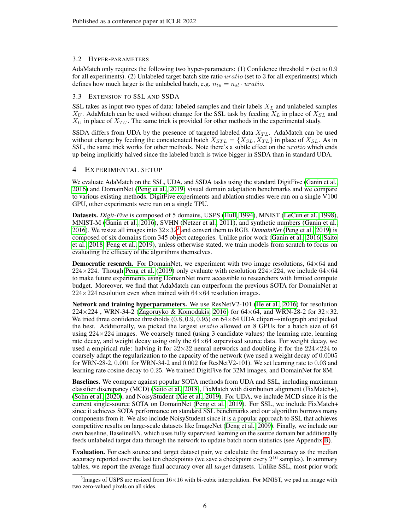#### 3.2 HYPER-PARAMETERS

AdaMatch only requires the following two hyper-parameters: (1) Confidence threshold  $\tau$  (set to 0.9 for all experiments). (2) Unlabeled target batch size ratio *uratio* (set to 3 for all experiments) which defines how much larger is the unlabeled batch, e.g.  $n_{tu} = n_{sl} \cdot \text{uration}$ .

#### 3.3 EXTENSION TO SSL AND SSDA

SSL takes as input two types of data: labeled samples and their labels  $X_L$  and unlabeled samples  $X_U$ . AdaMatch can be used without change for the SSL task by feeding  $X_L$  in place of  $X_{SL}$  and  $X_U$  in place of  $X_{TU}$ . The same trick is provided for other methods in the experimental study.

SSDA differs from UDA by the presence of targeted labeled data  $X_{TL}$ . AdaMatch can be used without change by feeding the concatenated batch  $X_{STL} = \{X_{SL}, X_{TL}\}\$  in place of  $X_{SL}$ . As in SSL, the same trick works for other methods. Note there's a subtle effect on the *uratio* which ends up being implicitly halved since the labeled batch is twice bigger in SSDA than in standard UDA.

### <span id="page-5-1"></span>4 EXPERIMENTAL SETUP

We evaluate AdaMatch on the SSL, UDA, and SSDA tasks using the standard DigitFive [\(Ganin et al.,](#page-10-8) [2016\)](#page-10-8) and DomainNet [\(Peng et al., 2019\)](#page-11-13) visual domain adaptation benchmarks and we compare to various existing methods. DigitFive experiments and ablation studies were run on a single V100 GPU, other experiments were run on a single TPU.

Datasets. *Digit-Five* is composed of 5 domains, USPS [\(Hull, 1994\)](#page-10-16), MNIST [\(LeCun et al., 1998\)](#page-10-17), MNIST-M [\(Ganin et al., 2016\)](#page-10-8), SVHN [\(Netzer et al., 2011\)](#page-11-15), and synthetic numbers [\(Ganin et al.,](#page-10-8) [2016\)](#page-10-8). We resize all images into  $32\times32^3$  $32\times32^3$  and convert them to RGB. *DomainNet* [\(Peng et al., 2019\)](#page-11-13) is composed of six domains from 345 object categories. Unlike prior work [\(Ganin et al., 2016;](#page-10-8) [Saito](#page-11-8) [et al., 2018;](#page-11-8) [Peng et al., 2019\)](#page-11-13), unless otherwise stated, we train models from scratch to focus on evaluating the efficacy of the algorithms themselves.

**Democratic research.** For DomainNet, we experiment with two image resolutions,  $64\times64$  and 224×224. Though [Peng et al.](#page-11-13) [\(2019\)](#page-11-13) only evaluate with resolution  $224 \times 224$ , we include  $64 \times 64$ to make future experiments using DomainNet more accessible to researchers with limited compute budget. Moreover, we find that AdaMatch can outperform the previous SOTA for DomainNet at  $224\times224$  resolution even when trained with  $64\times64$  resolution images.

Network and training hyperparameters. We use ResNetV2-101 [\(He et al., 2016\)](#page-10-18) for resolution  $224 \times 224$ , WRN-34-2 [\(Zagoruyko & Komodakis, 2016\)](#page-12-10) for 64 $\times$ 64, and WRN-28-2 for 32 $\times$ 32. We tried three confidence thresholds  $(0.8, 0.9, 0.95)$  on  $64\times64$  UDA clipart $\rightarrow$ infograph and picked the best. Additionally, we picked the largest *uratio* allowed on 8 GPUs for a batch size of 64 using  $224\times224$  images. We coarsely tuned (using 3 candidate values) the learning rate, learning rate decay, and weight decay using only the  $64\times64$  supervised source data. For weight decay, we used a empirical rule: halving it for  $32\times32$  neural networks and doubling it for the  $224\times224$  to coarsely adapt the regularization to the capacity of the network (we used a weight decay of 0.0005 for WRN-28-2, 0.001 for WRN-34-2 and 0.002 for ResNetV2-101). We set learning rate to 0.03 and learning rate cosine decay to 0.25. We trained DigitFive for 32M images, and DomainNet for 8M.

Baselines. We compare against popular SOTA methods from UDA and SSL, including maximum classifier discrepancy (MCD) [\(Saito et al., 2018\)](#page-11-8), FixMatch with distribution alignment (FixMatch+), [\(Sohn et al., 2020\)](#page-11-5), and NoisyStudent [\(Xie et al., 2019\)](#page-12-7). For UDA, we include MCD since it is the current single-source SOTA on DomainNet [\(Peng et al., 2019\)](#page-11-13). For SSL, we include FixMatch+ since it achieves SOTA performance on standard SSL benchmarks and our algorithm borrows many components from it. We also include NoisyStudent since it is a popular approach to SSL that achieves competitive results on large-scale datasets like ImageNet [\(Deng et al., 2009\)](#page-9-10). Finally, we include our own baseline, BaselineBN, which uses fully supervised learning on the source domain but additionally feeds unlabeled target data through the network to update batch norm statistics (see Appendix [B\)](#page-13-1).

Evaluation. For each source and target dataset pair, we calculate the final accuracy as the median accuracy reported over the last ten checkpoints (we save a checkpoint every  $2^{16}$  samples). In summary tables, we report the average final accuracy over all *target* datasets. Unlike SSL, most prior work

<span id="page-5-0"></span><sup>&</sup>lt;sup>3</sup> Images of USPS are resized from  $16\times16$  with bi-cubic interpolation. For MNIST, we pad an image with two zero-valued pixels on all sides.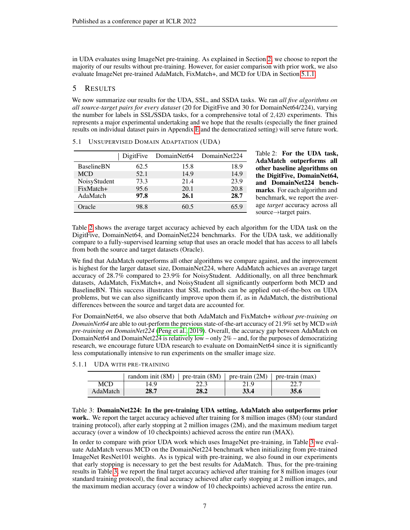in UDA evaluates using ImageNet pre-training. As explained in Section [2,](#page-1-1) we choose to report the majority of our results without pre-training. However, for easier comparison with prior work, we also evaluate ImageNet pre-trained AdaMatch, FixMatch+, and MCD for UDA in Section [5.1.1.](#page-6-0)

# 5 RESULTS

We now summarize our results for the UDA, SSL, and SSDA tasks. We ran *all five algorithms on all source-target pairs for every dataset* (20 for DigitFive and 30 for DomainNet64/224), varying the number for labels in SSL/SSDA tasks, for a comprehensive total of 2,420 experiments. This represents a major experimental undertaking and we hope that the results (especially the finer grained results on individual dataset pairs in Appendix [E](#page-16-0) and the democratized setting) will serve future work.

<span id="page-6-1"></span>

|                   | DigitFive |      | DomainNet64 DomainNet224 | Table 2:<br><b>AdaMatc</b> |
|-------------------|-----------|------|--------------------------|----------------------------|
| <b>BaselineBN</b> | 62.5      | 15.8 | 18.9                     | other bas                  |
| <b>MCD</b>        | 52.1      | 14.9 | 14.9                     | the Digit                  |
| NoisyStudent      | 73.3      | 21.4 | 23.9                     | and Dor                    |
| FixMatch+         | 95.6      | 20.1 | 20.8                     | marks. Fo                  |
| AdaMatch          | 97.8      | 26.1 | 28.7                     | benchmar                   |
| Oracle            | 98.8      | 60.5 | 65.9                     | age targe.                 |
|                   |           |      |                          | source $\rightarrow$ t     |

|  |  |  | 5.1 UNSUPERVISED DOMAIN ADAPTATION (UDA) |  |
|--|--|--|------------------------------------------|--|
|--|--|--|------------------------------------------|--|

For the UDA task, h outperforms all seline algorithms on Five, DomainNet64, mainNet224 benchor each algorithm and k, we report the aver*t* accuracy across all target pairs.

Table [2](#page-6-1) shows the average target accuracy achieved by each algorithm for the UDA task on the DigitFive, DomainNet64, and DomainNet224 benchmarks. For the UDA task, we additionally compare to a fully-supervised learning setup that uses an oracle model that has access to all labels from both the source and target datasets (Oracle).

We find that AdaMatch outperforms all other algorithms we compare against, and the improvement is highest for the larger dataset size, DomainNet224, where AdaMatch achieves an average target accuracy of 28.7% compared to 23.9% for NoisyStudent. Additionally, on all three benchmark datasets, AdaMatch, FixMatch+, and NoisyStudent all significantly outperform both MCD and BaselineBN. This success illustrates that SSL methods can be applied out-of-the-box on UDA problems, but we can also significantly improve upon them if, as in AdaMatch, the distributional differences between the source and target data are accounted for.

For DomainNet64, we also observe that both AdaMatch and FixMatch+ *without pre-training on DomainNet64* are able to out-perform the previous state-of-the-art accuracy of 21.9% set by MCD *with pre-training on DomainNet224* [\(Peng et al., 2019\)](#page-11-13). Overall, the accuracy gap between AdaMatch on DomainNet64 and DomainNet224 is relatively low – only 2% – and, for the purposes of democratizing research, we encourage future UDA research to evaluate on DomainNet64 since it is significantly less computationally intensive to run experiments on the smaller image size.

<span id="page-6-2"></span><span id="page-6-0"></span>

|          | random init (8M)   pre-train (8M)   pre-train (2M)   pre-train (max) |      |      |      |
|----------|----------------------------------------------------------------------|------|------|------|
| MCD      | 14.9                                                                 | 22.3 | 21.9 |      |
| AdaMatch | 28.7                                                                 | 28.2 | 33.4 | 35.6 |

Table 3: DomainNet224: In the pre-training UDA setting, AdaMatch also outperforms prior work.. We report the target accuracy achieved after training for 8 million images (8M) (our standard training protocol), after early stopping at 2 million images (2M), and the maximum medium target accuracy (over a window of 10 checkpoints) achieved across the entire run (MAX).

In order to compare with prior UDA work which uses ImageNet pre-training, in Table [3](#page-6-2) we evaluate AdaMatch versus MCD on the DomainNet224 benchmark when initializing from pre-trained ImageNet ResNet101 weights. As is typical with pre-training, we also found in our experiments that early stopping is necessary to get the best results for AdaMatch. Thus, for the pre-training results in Table [3,](#page-6-2) we report the final target accuracy achieved after training for 8 million images (our standard training protocol), the final accuracy achieved after early stopping at 2 million images, and the maximum median accuracy (over a window of 10 checkpoints) achieved across the entire run.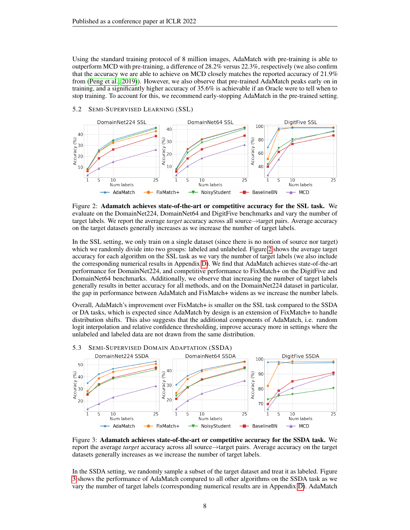Using the standard training protocol of 8 million images, AdaMatch with pre-training is able to outperform MCD with pre-training, a difference of 28.2% versus 22.3%, respectively (we also confirm that the accuracy we are able to achieve on MCD closely matches the reported accuracy of 21.9% from [\(Peng et al., 2019\)](#page-11-13)). However, we also observe that pre-trained AdaMatch peaks early on in training, and a significantly higher accuracy of 35.6% is achievable if an Oracle were to tell when to stop training. To account for this, we recommend early-stopping AdaMatch in the pre-trained setting.



<span id="page-7-0"></span>

Figure 2: Adamatch achieves state-of-the-art or competitive accuracy for the SSL task. We evaluate on the DomainNet224, DomainNet64 and DigitFive benchmarks and vary the number of target labels. We report the average *target* accuracy across all source→target pairs. Average accuracy on the target datasets generally increases as we increase the number of target labels.

In the SSL setting, we only train on a single dataset (since there is no notion of source nor target) which we randomly divide into two groups: labeled and unlabeled. Figure [2](#page-7-0) shows the average target accuracy for each algorithm on the SSL task as we vary the number of target labels (we also include the corresponding numerical results in Appendix [D\)](#page-15-0). We find that AdaMatch achieves state-of-the-art performance for DomainNet224, and competitive performance to FixMatch+ on the DigitFive and DomainNet64 benchmarks. Additionally, we observe that increasing the number of target labels generally results in better accuracy for all methods, and on the DomainNet224 dataset in particular, the gap in performance between AdaMatch and FixMatch+ widens as we increase the number labels.

Overall, AdaMatch's improvement over FixMatch+ is smaller on the SSL task compared to the SSDA or DA tasks, which is expected since AdaMatch by design is an extension of FixMatch+ to handle distribution shifts. This also suggests that the additional components of AdaMatch, i.e. random logit interpolation and relative confidence thresholding, improve accuracy more in settings where the unlabeled and labeled data are not drawn from the same distribution.

<span id="page-7-1"></span>

Figure 3: Adamatch achieves state-of-the-art or competitive accuracy for the SSDA task. We report the average *target* accuracy across all source→target pairs. Average accuracy on the target datasets generally increases as we increase the number of target labels.

In the SSDA setting, we randomly sample a subset of the target dataset and treat it as labeled. Figure [3](#page-7-1) shows the performance of AdaMatch compared to all other algorithms on the SSDA task as we vary the number of target labels (corresponding numerical results are in Appendix [D\)](#page-15-0). AdaMatch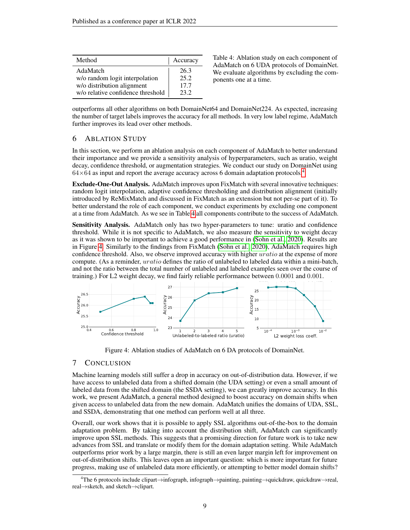<span id="page-8-1"></span>

| Method                            | Accuracy |
|-----------------------------------|----------|
| AdaMatch                          | 26.3     |
| w/o random logit interpolation    | 25.2     |
| w/o distribution alignment        | 17.7     |
| w/o relative confidence threshold | 23.2     |

Table 4: Ablation study on each component of AdaMatch on 6 UDA protocols of DomainNet. We evaluate algorithms by excluding the components one at a time.

outperforms all other algorithms on both DomainNet64 and DomainNet224. As expected, increasing the number of target labels improves the accuracy for all methods. In very low label regime, AdaMatch further improves its lead over other methods.

# 6 ABLATION STUDY

In this section, we perform an ablation analysis on each component of AdaMatch to better understand their importance and we provide a sensitivity analysis of hyperparameters, such as uratio, weight decay, confidence threshold, or augmentation strategies. We conduct our study on DomainNet using  $64\times64$  $64\times64$  $64\times64$  as input and report the average accuracy across 6 domain adaptation protocols.<sup>4</sup>

Exclude-One-Out Analysis. AdaMatch improves upon FixMatch with several innovative techniques: random logit interpolation, adaptive confidence thresholding and distribution alignment (initially introduced by ReMixMatch and discussed in FixMatch as an extension but not per-se part of it). To better understand the role of each component, we conduct experiments by excluding one component at a time from AdaMatch. As we see in Table [4](#page-8-1) all components contribute to the success of AdaMatch.

Sensitivity Analysis. AdaMatch only has two hyper-parameters to tune: uratio and confidence threshold. While it is not specific to AdaMatch, we also measure the sensitivity to weight decay as it was shown to be important to achieve a good performance in [\(Sohn et al., 2020\)](#page-11-5). Results are in Figure [4.](#page-8-2) Similarly to the findings from FixMatch [\(Sohn et al., 2020\)](#page-11-5), AdaMatch requires high confidence threshold. Also, we observe improved accuracy with higher *uratio* at the expense of more compute. (As a reminder, *uratio* defines the ratio of unlabeled to labeled data within a mini-batch, and not the ratio between the total number of unlabeled and labeled examples seen over the course of training.) For L2 weight decay, we find fairly reliable performance between 0.0001 and 0.001.

<span id="page-8-2"></span>

Figure 4: Ablation studies of AdaMatch on 6 DA protocols of DomainNet.

## 7 CONCLUSION

Machine learning models still suffer a drop in accuracy on out-of-distribution data. However, if we have access to unlabeled data from a shifted domain (the UDA setting) or even a small amount of labeled data from the shifted domain (the SSDA setting), we can greatly improve accuracy. In this work, we present AdaMatch, a general method designed to boost accuracy on domain shifts when given access to unlabeled data from the new domain. AdaMatch unifies the domains of UDA, SSL, and SSDA, demonstrating that one method can perform well at all three.

Overall, our work shows that it is possible to apply SSL algorithms out-of-the-box to the domain adaptation problem. By taking into account the distribution shift, AdaMatch can significantly improve upon SSL methods. This suggests that a promising direction for future work is to take new advances from SSL and translate or modify them for the domain adaptation setting. While AdaMatch outperforms prior work by a large margin, there is still an even larger margin left for improvement on out-of-distribution shifts. This leaves open an important question: which is more important for future progress, making use of unlabeled data more efficiently, or attempting to better model domain shifts?

<span id="page-8-0"></span><sup>4</sup>The 6 protocols include clipart→infograph, infograph→painting, painting→quickdraw, quickdraw→real, real→sketch, and sketch→clipart.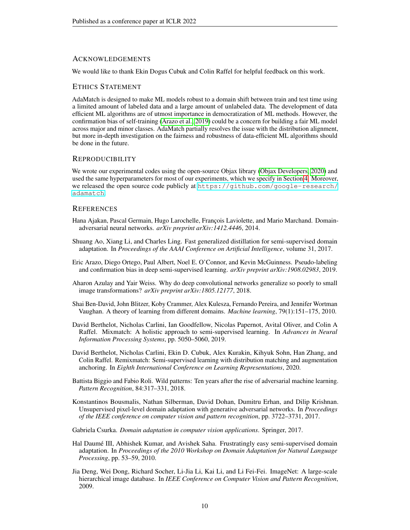#### ACKNOWLEDGEMENTS

We would like to thank Ekin Dogus Cubuk and Colin Raffel for helpful feedback on this work.

### ETHICS STATEMENT

AdaMatch is designed to make ML models robust to a domain shift between train and test time using a limited amount of labeled data and a large amount of unlabeled data. The development of data efficient ML algorithms are of utmost importance in democratization of ML methods. However, the confirmation bias of self-training [\(Arazo et al., 2019\)](#page-9-11) could be a concern for building a fair ML model across major and minor classes. AdaMatch partially resolves the issue with the distribution alignment, but more in-depth investigation on the fairness and robustness of data-efficient ML algorithms should be done in the future.

#### REPRODUCIBILITY

We wrote our experimental codes using the open-source Objax library [\(Objax Developers, 2020\)](#page-11-16) and used the same hyperparameters for most of our experiments, which we specify in Section [4.](#page-5-1) Moreover, we released the open source code publicly at [https://github.com/google-research/](https://github.com/google-research/adamatch) [adamatch](https://github.com/google-research/adamatch).

#### **REFERENCES**

- <span id="page-9-6"></span>Hana Ajakan, Pascal Germain, Hugo Larochelle, François Laviolette, and Mario Marchand. Domainadversarial neural networks. *arXiv preprint arXiv:1412.4446*, 2014.
- <span id="page-9-3"></span>Shuang Ao, Xiang Li, and Charles Ling. Fast generalized distillation for semi-supervised domain adaptation. In *Proceedings of the AAAI Conference on Artificial Intelligence*, volume 31, 2017.
- <span id="page-9-11"></span>Eric Arazo, Diego Ortego, Paul Albert, Noel E. O'Connor, and Kevin McGuinness. Pseudo-labeling and confirmation bias in deep semi-supervised learning. *arXiv preprint arXiv:1908.02983*, 2019.
- <span id="page-9-2"></span>Aharon Azulay and Yair Weiss. Why do deep convolutional networks generalize so poorly to small image transformations? *arXiv preprint arXiv:1805.12177*, 2018.
- <span id="page-9-5"></span>Shai Ben-David, John Blitzer, Koby Crammer, Alex Kulesza, Fernando Pereira, and Jennifer Wortman Vaughan. A theory of learning from different domains. *Machine learning*, 79(1):151–175, 2010.
- <span id="page-9-8"></span>David Berthelot, Nicholas Carlini, Ian Goodfellow, Nicolas Papernot, Avital Oliver, and Colin A Raffel. Mixmatch: A holistic approach to semi-supervised learning. In *Advances in Neural Information Processing Systems*, pp. 5050–5060, 2019.
- <span id="page-9-4"></span>David Berthelot, Nicholas Carlini, Ekin D. Cubuk, Alex Kurakin, Kihyuk Sohn, Han Zhang, and Colin Raffel. Remixmatch: Semi-supervised learning with distribution matching and augmentation anchoring. In *Eighth International Conference on Learning Representations*, 2020.
- <span id="page-9-1"></span>Battista Biggio and Fabio Roli. Wild patterns: Ten years after the rise of adversarial machine learning. *Pattern Recognition*, 84:317–331, 2018.
- <span id="page-9-7"></span>Konstantinos Bousmalis, Nathan Silberman, David Dohan, Dumitru Erhan, and Dilip Krishnan. Unsupervised pixel-level domain adaptation with generative adversarial networks. In *Proceedings of the IEEE conference on computer vision and pattern recognition*, pp. 3722–3731, 2017.
- <span id="page-9-0"></span>Gabriela Csurka. *Domain adaptation in computer vision applications*. Springer, 2017.
- <span id="page-9-9"></span>Hal Daumé III, Abhishek Kumar, and Avishek Saha. Frustratingly easy semi-supervised domain adaptation. In *Proceedings of the 2010 Workshop on Domain Adaptation for Natural Language Processing*, pp. 53–59, 2010.
- <span id="page-9-10"></span>Jia Deng, Wei Dong, Richard Socher, Li-Jia Li, Kai Li, and Li Fei-Fei. ImageNet: A large-scale hierarchical image database. In *IEEE Conference on Computer Vision and Pattern Recognition*, 2009.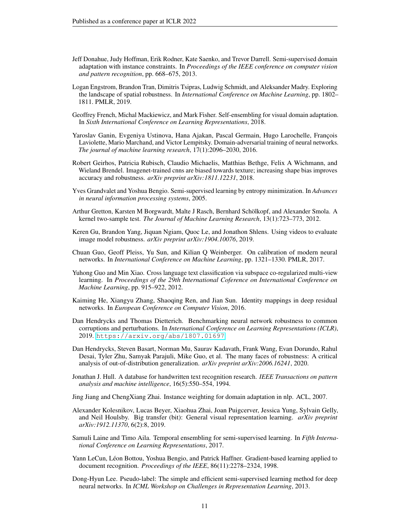- <span id="page-10-6"></span>Jeff Donahue, Judy Hoffman, Erik Rodner, Kate Saenko, and Trevor Darrell. Semi-supervised domain adaptation with instance constraints. In *Proceedings of the IEEE conference on computer vision and pattern recognition*, pp. 668–675, 2013.
- <span id="page-10-4"></span>Logan Engstrom, Brandon Tran, Dimitris Tsipras, Ludwig Schmidt, and Aleksander Madry. Exploring the landscape of spatial robustness. In *International Conference on Machine Learning*, pp. 1802– 1811. PMLR, 2019.
- <span id="page-10-0"></span>Geoffrey French, Michal Mackiewicz, and Mark Fisher. Self-ensembling for visual domain adaptation. In *Sixth International Conference on Learning Representations*, 2018.
- <span id="page-10-8"></span>Yaroslav Ganin, Evgeniya Ustinova, Hana Ajakan, Pascal Germain, Hugo Larochelle, François Laviolette, Mario Marchand, and Victor Lempitsky. Domain-adversarial training of neural networks. *The journal of machine learning research*, 17(1):2096–2030, 2016.
- <span id="page-10-5"></span>Robert Geirhos, Patricia Rubisch, Claudio Michaelis, Matthias Bethge, Felix A Wichmann, and Wieland Brendel. Imagenet-trained cnns are biased towards texture; increasing shape bias improves accuracy and robustness. *arXiv preprint arXiv:1811.12231*, 2018.
- <span id="page-10-10"></span>Yves Grandvalet and Yoshua Bengio. Semi-supervised learning by entropy minimization. In *Advances in neural information processing systems*, 2005.
- <span id="page-10-7"></span>Arthur Gretton, Karsten M Borgwardt, Malte J Rasch, Bernhard Schölkopf, and Alexander Smola. A kernel two-sample test. *The Journal of Machine Learning Research*, 13(1):723–773, 2012.
- <span id="page-10-2"></span>Keren Gu, Brandon Yang, Jiquan Ngiam, Quoc Le, and Jonathon Shlens. Using videos to evaluate image model robustness. *arXiv preprint arXiv:1904.10076*, 2019.
- <span id="page-10-15"></span>Chuan Guo, Geoff Pleiss, Yu Sun, and Kilian Q Weinberger. On calibration of modern neural networks. In *International Conference on Machine Learning*, pp. 1321–1330. PMLR, 2017.
- <span id="page-10-13"></span>Yuhong Guo and Min Xiao. Cross language text classification via subspace co-regularized multi-view learning. In *Proceedings of the 29th International Coference on International Conference on Machine Learning*, pp. 915–922, 2012.
- <span id="page-10-18"></span>Kaiming He, Xiangyu Zhang, Shaoqing Ren, and Jian Sun. Identity mappings in deep residual networks. In *European Conference on Computer Vision*, 2016.
- <span id="page-10-1"></span>Dan Hendrycks and Thomas Dietterich. Benchmarking neural network robustness to common corruptions and perturbations. In *International Conference on Learning Representations (ICLR)*, 2019. <https://arxiv.org/abs/1807.01697>.
- <span id="page-10-3"></span>Dan Hendrycks, Steven Basart, Norman Mu, Saurav Kadavath, Frank Wang, Evan Dorundo, Rahul Desai, Tyler Zhu, Samyak Parajuli, Mike Guo, et al. The many faces of robustness: A critical analysis of out-of-distribution generalization. *arXiv preprint arXiv:2006.16241*, 2020.
- <span id="page-10-16"></span>Jonathan J. Hull. A database for handwritten text recognition research. *IEEE Transactions on pattern analysis and machine intelligence*, 16(5):550–554, 1994.

<span id="page-10-12"></span>Jing Jiang and ChengXiang Zhai. Instance weighting for domain adaptation in nlp. ACL, 2007.

- <span id="page-10-14"></span>Alexander Kolesnikov, Lucas Beyer, Xiaohua Zhai, Joan Puigcerver, Jessica Yung, Sylvain Gelly, and Neil Houlsby. Big transfer (bit): General visual representation learning. *arXiv preprint arXiv:1912.11370*, 6(2):8, 2019.
- <span id="page-10-9"></span>Samuli Laine and Timo Aila. Temporal ensembling for semi-supervised learning. In *Fifth International Conference on Learning Representations*, 2017.
- <span id="page-10-17"></span>Yann LeCun, Léon Bottou, Yoshua Bengio, and Patrick Haffner. Gradient-based learning applied to document recognition. *Proceedings of the IEEE*, 86(11):2278–2324, 1998.
- <span id="page-10-11"></span>Dong-Hyun Lee. Pseudo-label: The simple and efficient semi-supervised learning method for deep neural networks. In *ICML Workshop on Challenges in Representation Learning*, 2013.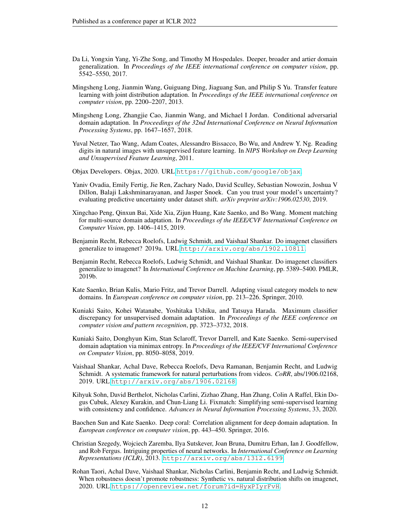- <span id="page-11-12"></span>Da Li, Yongxin Yang, Yi-Zhe Song, and Timothy M Hospedales. Deeper, broader and artier domain generalization. In *Proceedings of the IEEE international conference on computer vision*, pp. 5542–5550, 2017.
- <span id="page-11-6"></span>Mingsheng Long, Jianmin Wang, Guiguang Ding, Jiaguang Sun, and Philip S Yu. Transfer feature learning with joint distribution adaptation. In *Proceedings of the IEEE international conference on computer vision*, pp. 2200–2207, 2013.
- <span id="page-11-9"></span>Mingsheng Long, Zhangjie Cao, Jianmin Wang, and Michael I Jordan. Conditional adversarial domain adaptation. In *Proceedings of the 32nd International Conference on Neural Information Processing Systems*, pp. 1647–1657, 2018.
- <span id="page-11-15"></span>Yuval Netzer, Tao Wang, Adam Coates, Alessandro Bissacco, Bo Wu, and Andrew Y. Ng. Reading digits in natural images with unsupervised feature learning. In *NIPS Workshop on Deep Learning and Unsupervised Feature Learning*, 2011.
- <span id="page-11-16"></span>Objax Developers. Objax, 2020. URL <https://github.com/google/objax>.
- <span id="page-11-14"></span>Yaniv Ovadia, Emily Fertig, Jie Ren, Zachary Nado, David Sculley, Sebastian Nowozin, Joshua V Dillon, Balaji Lakshminarayanan, and Jasper Snoek. Can you trust your model's uncertainty? evaluating predictive uncertainty under dataset shift. *arXiv preprint arXiv:1906.02530*, 2019.
- <span id="page-11-13"></span>Xingchao Peng, Qinxun Bai, Xide Xia, Zijun Huang, Kate Saenko, and Bo Wang. Moment matching for multi-source domain adaptation. In *Proceedings of the IEEE/CVF International Conference on Computer Vision*, pp. 1406–1415, 2019.
- <span id="page-11-0"></span>Benjamin Recht, Rebecca Roelofs, Ludwig Schmidt, and Vaishaal Shankar. Do imagenet classifiers generalize to imagenet? 2019a. URL <http://arxiv.org/abs/1902.10811>.
- <span id="page-11-10"></span>Benjamin Recht, Rebecca Roelofs, Ludwig Schmidt, and Vaishaal Shankar. Do imagenet classifiers generalize to imagenet? In *International Conference on Machine Learning*, pp. 5389–5400. PMLR, 2019b.
- <span id="page-11-11"></span>Kate Saenko, Brian Kulis, Mario Fritz, and Trevor Darrell. Adapting visual category models to new domains. In *European conference on computer vision*, pp. 213–226. Springer, 2010.
- <span id="page-11-8"></span>Kuniaki Saito, Kohei Watanabe, Yoshitaka Ushiku, and Tatsuya Harada. Maximum classifier discrepancy for unsupervised domain adaptation. In *Proceedings of the IEEE conference on computer vision and pattern recognition*, pp. 3723–3732, 2018.
- <span id="page-11-4"></span>Kuniaki Saito, Donghyun Kim, Stan Sclaroff, Trevor Darrell, and Kate Saenko. Semi-supervised domain adaptation via minimax entropy. In *Proceedings of the IEEE/CVF International Conference on Computer Vision*, pp. 8050–8058, 2019.
- <span id="page-11-2"></span>Vaishaal Shankar, Achal Dave, Rebecca Roelofs, Deva Ramanan, Benjamin Recht, and Ludwig Schmidt. A systematic framework for natural perturbations from videos. *CoRR*, abs/1906.02168, 2019. URL <http://arxiv.org/abs/1906.02168>.
- <span id="page-11-5"></span>Kihyuk Sohn, David Berthelot, Nicholas Carlini, Zizhao Zhang, Han Zhang, Colin A Raffel, Ekin Dogus Cubuk, Alexey Kurakin, and Chun-Liang Li. Fixmatch: Simplifying semi-supervised learning with consistency and confidence. *Advances in Neural Information Processing Systems*, 33, 2020.
- <span id="page-11-7"></span>Baochen Sun and Kate Saenko. Deep coral: Correlation alignment for deep domain adaptation. In *European conference on computer vision*, pp. 443–450. Springer, 2016.
- <span id="page-11-1"></span>Christian Szegedy, Wojciech Zaremba, Ilya Sutskever, Joan Bruna, Dumitru Erhan, Ian J. Goodfellow, and Rob Fergus. Intriguing properties of neural networks. In *International Conference on Learning Representations (ICLR)*, 2013. <http://arxiv.org/abs/1312.6199>.
- <span id="page-11-3"></span>Rohan Taori, Achal Dave, Vaishaal Shankar, Nicholas Carlini, Benjamin Recht, and Ludwig Schmidt. When robustness doesn't promote robustness: Synthetic vs. natural distribution shifts on imagenet, 2020. URL <https://openreview.net/forum?id=HyxPIyrFvH>.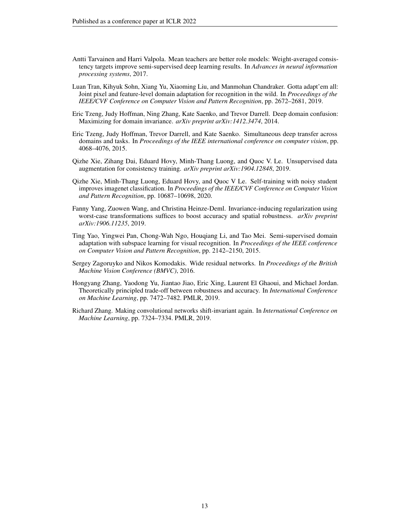- <span id="page-12-6"></span>Antti Tarvainen and Harri Valpola. Mean teachers are better role models: Weight-averaged consistency targets improve semi-supervised deep learning results. In *Advances in neural information processing systems*, 2017.
- <span id="page-12-8"></span>Luan Tran, Kihyuk Sohn, Xiang Yu, Xiaoming Liu, and Manmohan Chandraker. Gotta adapt'em all: Joint pixel and feature-level domain adaptation for recognition in the wild. In *Proceedings of the IEEE/CVF Conference on Computer Vision and Pattern Recognition*, pp. 2672–2681, 2019.
- <span id="page-12-4"></span>Eric Tzeng, Judy Hoffman, Ning Zhang, Kate Saenko, and Trevor Darrell. Deep domain confusion: Maximizing for domain invariance. *arXiv preprint arXiv:1412.3474*, 2014.
- <span id="page-12-5"></span>Eric Tzeng, Judy Hoffman, Trevor Darrell, and Kate Saenko. Simultaneous deep transfer across domains and tasks. In *Proceedings of the IEEE international conference on computer vision*, pp. 4068–4076, 2015.
- <span id="page-12-7"></span>Qizhe Xie, Zihang Dai, Eduard Hovy, Minh-Thang Luong, and Quoc V. Le. Unsupervised data augmentation for consistency training. *arXiv preprint arXiv:1904.12848*, 2019.
- <span id="page-12-9"></span>Qizhe Xie, Minh-Thang Luong, Eduard Hovy, and Quoc V Le. Self-training with noisy student improves imagenet classification. In *Proceedings of the IEEE/CVF Conference on Computer Vision and Pattern Recognition*, pp. 10687–10698, 2020.
- <span id="page-12-1"></span>Fanny Yang, Zuowen Wang, and Christina Heinze-Deml. Invariance-inducing regularization using worst-case transformations suffices to boost accuracy and spatial robustness. *arXiv preprint arXiv:1906.11235*, 2019.
- <span id="page-12-3"></span>Ting Yao, Yingwei Pan, Chong-Wah Ngo, Houqiang Li, and Tao Mei. Semi-supervised domain adaptation with subspace learning for visual recognition. In *Proceedings of the IEEE conference on Computer Vision and Pattern Recognition*, pp. 2142–2150, 2015.
- <span id="page-12-10"></span>Sergey Zagoruyko and Nikos Komodakis. Wide residual networks. In *Proceedings of the British Machine Vision Conference (BMVC)*, 2016.
- <span id="page-12-2"></span>Hongyang Zhang, Yaodong Yu, Jiantao Jiao, Eric Xing, Laurent El Ghaoui, and Michael Jordan. Theoretically principled trade-off between robustness and accuracy. In *International Conference on Machine Learning*, pp. 7472–7482. PMLR, 2019.
- <span id="page-12-0"></span>Richard Zhang. Making convolutional networks shift-invariant again. In *International Conference on Machine Learning*, pp. 7324–7334. PMLR, 2019.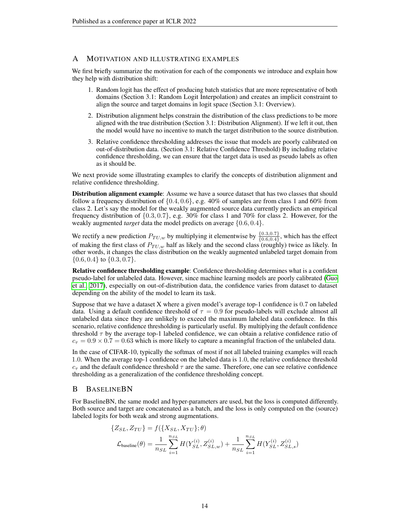## <span id="page-13-0"></span>A MOTIVATION AND ILLUSTRATING EXAMPLES

We first briefly summarize the motivation for each of the components we introduce and explain how they help with distribution shift:

- 1. Random logit has the effect of producing batch statistics that are more representative of both domains (Section 3.1: Random Logit Interpolation) and creates an implicit constraint to align the source and target domains in logit space (Section 3.1: Overview).
- 2. Distribution alignment helps constrain the distribution of the class predictions to be more aligned with the true distribution (Section 3.1: Distribution Alignment). If we left it out, then the model would have no incentive to match the target distribution to the source distribution.
- 3. Relative confidence thresholding addresses the issue that models are poorly calibrated on out-of-distribution data. (Section 3.1: Relative Confidence Threshold) By including relative confidence thresholding, we can ensure that the target data is used as pseudo labels as often as it should be.

We next provide some illustrating examples to clarify the concepts of distribution alignment and relative confidence thresholding.

Distribution alignment example: Assume we have a source dataset that has two classes that should follow a frequency distribution of  $\{0.4, 0.6\}$ , e.g. 40% of samples are from class 1 and 60% from class 2. Let's say the model for the weakly augmented source data currently predicts an empirical frequency distribution of  $\{0.3, 0.7\}$ , e.g. 30% for class 1 and 70% for class 2. However, for the weakly augmented *target* data the model predicts on average {0.6, 0.4}.

We rectify a new prediction  $P_{TU,w}$  by multiplying it elementwise by  $\frac{\{0.3,0.7\}}{\{0.6,0.4\}}$ , which has the effect of making the first class of  $P_{TU,w}$  half as likely and the second class (roughly) twice as likely. In other words, it changes the class distribution on the weakly augmented unlabeled target domain from  $\{0.6, 0.4\}$  to  $\{0.3, 0.7\}$ .

Relative confidence thresholding example: Confidence thresholding determines what is a confident pseudo-label for unlabeled data. However, since machine learning models are poorly calibrated [\(Guo](#page-10-15) [et al., 2017\)](#page-10-15), especially on out-of-distribution data, the confidence varies from dataset to dataset depending on the ability of the model to learn its task.

Suppose that we have a dataset X where a given model's average top-1 confidence is 0.7 on labeled data. Using a default confidence threshold of  $\tau = 0.9$  for pseudo-labels will exclude almost all unlabeled data since they are unlikely to exceed the maximum labeled data confidence. In this scenario, relative confidence thresholding is particularly useful. By multiplying the default confidence threshold  $\tau$  by the average top-1 labeled confidence, we can obtain a relative confidence ratio of  $c_{\tau} = 0.9 \times 0.7 = 0.63$  which is more likely to capture a meaningful fraction of the unlabeled data.

In the case of CIFAR-10, typically the softmax of most if not all labeled training examples will reach 1.0. When the average top-1 confidence on the labeled data is 1.0, the relative confidence threshold  $c_{\tau}$  and the default confidence threshold  $\tau$  are the same. Therefore, one can see relative confidence thresholding as a generalization of the confidence thresholding concept.

### <span id="page-13-1"></span>B BASELINEBN

For BaselineBN, the same model and hyper-parameters are used, but the loss is computed differently. Both source and target are concatenated as a batch, and the loss is only computed on the (source) labeled logits for both weak and strong augmentations.

$$
\{Z_{SL}, Z_{TU}\} = f(\{X_{SL}, X_{TU}\}; \theta)
$$

$$
\mathcal{L}_{\text{baseline}}(\theta) = \frac{1}{n_{SL}} \sum_{i=1}^{n_{SL}} H(Y_{SL}^{(i)}, Z_{SL,w}^{(i)}) + \frac{1}{n_{SL}} \sum_{i=1}^{n_{SL}} H(Y_{SL}^{(i)}, Z_{SL,s}^{(i)})
$$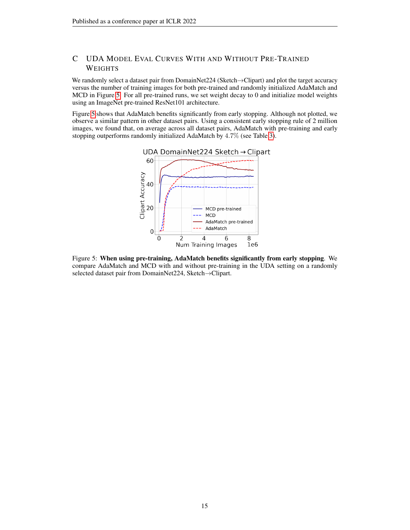# C UDA MODEL EVAL CURVES WITH AND WITHOUT PRE-TRAINED WEIGHTS

We randomly select a dataset pair from DomainNet224 (Sketch→Clipart) and plot the target accuracy versus the number of training images for both pre-trained and randomly initialized AdaMatch and MCD in Figure [5.](#page-14-0) For all pre-trained runs, we set weight decay to 0 and initialize model weights using an ImageNet pre-trained ResNet101 architecture.

<span id="page-14-0"></span>Figure [5](#page-14-0) shows that AdaMatch benefits significantly from early stopping. Although not plotted, we observe a similar pattern in other dataset pairs. Using a consistent early stopping rule of 2 million images, we found that, on average across all dataset pairs, AdaMatch with pre-training and early stopping outperforms randomly initialized AdaMatch by 4.7% (see Table [3\)](#page-6-2).



Figure 5: When using pre-training, AdaMatch benefits significantly from early stopping. We compare AdaMatch and MCD with and without pre-training in the UDA setting on a randomly selected dataset pair from DomainNet224, Sketch→Clipart.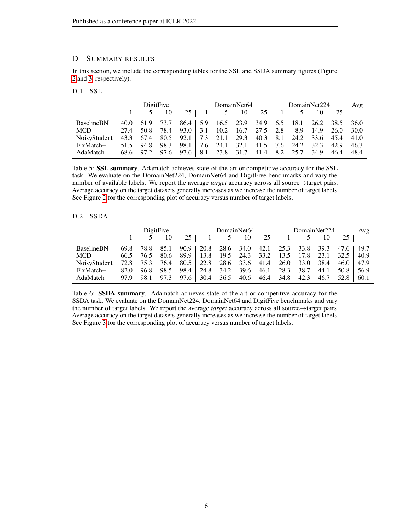# <span id="page-15-0"></span>D SUMMARY RESULTS

In this section, we include the corresponding tables for the SSL and SSDA summary figures (Figure [2](#page-7-0) and [3,](#page-7-1) respectively).

D.1 SSL

|                   |      | DigitFive           |           |        |  | DomainNet64                                       |     |      | DomainNet224 |                                                     |                                                       | Avg  |      |
|-------------------|------|---------------------|-----------|--------|--|---------------------------------------------------|-----|------|--------------|-----------------------------------------------------|-------------------------------------------------------|------|------|
|                   |      |                     | 10        | $25-1$ |  | 5                                                 | -10 | 25 l |              |                                                     | 10                                                    | 25   |      |
| <b>BaselineBN</b> | 40.0 |                     | 61.9 73.7 |        |  | $86.4$   5.9 16.5 23.9                            |     |      |              |                                                     | $34.9 \mid 6.5 \quad 18.1 \quad 26.2 \quad 38.5 \mid$ |      | 36.0 |
| <b>MCD</b>        | 27.4 | 50.8                | 78.4      | 93.0   |  | 3.1 10.2 16.7 27.5 2.8                            |     |      |              | 8.9                                                 | 14.9                                                  | 26.0 | 30.0 |
| NoisyStudent      |      | 43.3 67.4 80.5 92.1 |           |        |  | $\begin{bmatrix} 7.3 & 21.1 & 29.3 \end{bmatrix}$ |     |      |              |                                                     | $40.3$   8.1 24.2 33.6 45.4                           |      | 41.0 |
| FixMatch+         | 51.5 | 94.8                | 98.3      | 98.1   |  | 7.6 24.1 32.1                                     |     | 41.5 |              | $\begin{array}{cccc} 7.6 & 24.2 & 32.3 \end{array}$ |                                                       | 42.9 | 46.3 |
| AdaMatch          |      | 68.6 97.2 97.6 97.6 |           |        |  | $\vert 8.1 \, 23.8 \, 31.7 \,$                    |     |      |              | $41.4$   8.2 25.7 34.9                              |                                                       | 46.4 | 48.4 |

Table 5: SSL summary. Adamatch achieves state-of-the-art or competitive accuracy for the SSL task. We evaluate on the DomainNet224, DomainNet64 and DigitFive benchmarks and vary the number of available labels. We report the average *target* accuracy across all source→target pairs. Average accuracy on the target datasets generally increases as we increase the number of target labels. See Figure [2](#page-7-0) for the corresponding plot of accuracy versus number of target labels.

## D.2 SSDA

|                   | DigitFive |      |      |      | DomainNet64 |      |                | DomainNet224 |                         |      | Avg  |      |      |
|-------------------|-----------|------|------|------|-------------|------|----------------|--------------|-------------------------|------|------|------|------|
|                   |           |      | 10   | 25   |             |      | 10             | 25           |                         |      | 10   | 25   |      |
| <b>BaselineBN</b> | 69.8      | 78.8 | 85.1 | 90.9 | 20.8        |      | 28.6 34.0      |              | $42.1$   25.3 33.8 39.3 |      |      | 47.6 | 49.7 |
| MCD               | 66.5      | 76.5 | 80.6 | 89.9 | 13.8        | 19.5 | 24.3           | 33.2         | 13.5                    | 17.8 | 23.1 | 32.5 | 40.9 |
| NoisyStudent      | 72.8      | 75.3 | 76.4 | 80.5 | 22.8        |      | 28.6 33.6 41.4 |              | 26.0                    | 33.0 | 38.4 | 46.0 | 47.9 |
| FixMatch+         | 82.0      | 96.8 | 98.5 | 98.4 | 24.8        | 34.2 | 39.6           | 46.1         | 28.3                    | 38.7 | 44.1 | 50.8 | 56.9 |
| AdaMatch          | 97.9      | 98.1 | 97.3 | 97.6 | 30.4        | 36.5 | 40.6           | 46.4         | 34.8                    | 42.3 | 46.7 | 52.8 | 60.1 |

Table 6: SSDA summary. Adamatch achieves state-of-the-art or competitive accuracy for the SSDA task. We evaluate on the DomainNet224, DomainNet64 and DigitFive benchmarks and vary the number of target labels. We report the average *target* accuracy across all source→target pairs. Average accuracy on the target datasets generally increases as we increase the number of target labels. See Figure [3](#page-7-1) for the corresponding plot of accuracy versus number of target labels.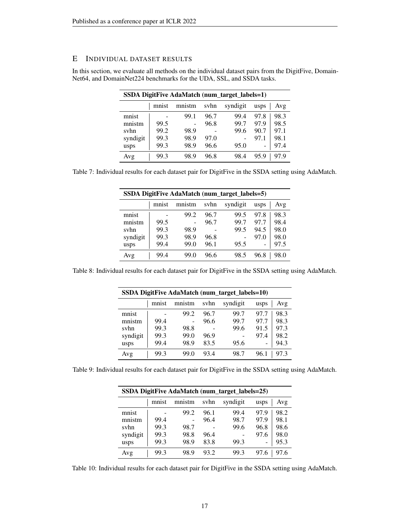# <span id="page-16-0"></span>E INDIVIDUAL DATASET RESULTS

In this section, we evaluate all methods on the individual dataset pairs from the DigitFive, Domain-Net64, and DomainNet224 benchmarks for the UDA, SSL, and SSDA tasks.

| <b>SSDA DigitFive AdaMatch (num_target_labels=1)</b> |       |        |      |          |      |      |  |  |  |
|------------------------------------------------------|-------|--------|------|----------|------|------|--|--|--|
|                                                      | mnist | mnistm | svhn | syndigit | usps | Avg  |  |  |  |
| mnist                                                |       | 99.1   | 96.7 | 99.4     | 97.8 | 98.3 |  |  |  |
| mnistm                                               | 99.5  |        | 96.8 | 99.7     | 97.9 | 98.5 |  |  |  |
| svhn                                                 | 99.2  | 98.9   |      | 99.6     | 90.7 | 97.1 |  |  |  |
| syndigit                                             | 99.3  | 98.9   | 97.0 |          | 97.1 | 98.1 |  |  |  |
| usps                                                 | 99.3  | 98.9   | 96.6 | 95.0     |      | 97.4 |  |  |  |
| Avg                                                  | 99.3  | 98.9   | 96.8 | 98.4     | 95.9 | 979  |  |  |  |

Table 7: Individual results for each dataset pair for DigitFive in the SSDA setting using AdaMatch.

| SSDA DigitFive AdaMatch (num_target_labels=5) |       |        |      |          |                              |      |  |  |  |
|-----------------------------------------------|-------|--------|------|----------|------------------------------|------|--|--|--|
|                                               | mnist | mnistm | svhn | syndigit | usps                         | Avg  |  |  |  |
| mnist                                         |       | 99.2   | 96.7 | 99.5     | 97.8                         | 98.3 |  |  |  |
| mnistm                                        | 99.5  |        | 96.7 | 99.7     | 97.7                         | 98.4 |  |  |  |
| svhn                                          | 99.3  | 98.9   |      | 99.5     | 94.5                         | 98.0 |  |  |  |
| syndigit                                      | 99.3  | 98.9   | 96.8 |          | 97.0                         | 98.0 |  |  |  |
| usps                                          | 99.4  | 99.0   | 96.1 | 95.5     | $\qquad \qquad \blacksquare$ | 97.5 |  |  |  |
| Avg                                           | 99.4  | 99.0   | 96.6 | 98.5     | 96.8                         | 98.0 |  |  |  |

Table 8: Individual results for each dataset pair for DigitFive in the SSDA setting using AdaMatch.

| SSDA DigitFive AdaMatch (num_target_labels=10) |       |        |      |          |      |      |  |  |  |
|------------------------------------------------|-------|--------|------|----------|------|------|--|--|--|
|                                                | mnist | mnistm | svhn | syndigit | usps | Avg  |  |  |  |
| mnist                                          |       | 99.2   | 96.7 | 99.7     | 97.7 | 98.3 |  |  |  |
| mnistm                                         | 99.4  |        | 96.6 | 99.7     | 97.7 | 98.3 |  |  |  |
| syhn                                           | 99.3  | 98.8   |      | 99.6     | 91.5 | 97.3 |  |  |  |
| syndigit                                       | 99.3  | 99.0   | 96.9 |          | 97.4 | 98.2 |  |  |  |
| usps                                           | 99.4  | 98.9   | 83.5 | 95.6     |      | 94.3 |  |  |  |
| Avg                                            | 99.3  | 99.0   | 93.4 | 98.7     | 96.1 | 97 3 |  |  |  |

Table 9: Individual results for each dataset pair for DigitFive in the SSDA setting using AdaMatch.

| SSDA DigitFive AdaMatch (num_target_labels=25) |       |        |      |          |      |      |  |  |  |
|------------------------------------------------|-------|--------|------|----------|------|------|--|--|--|
|                                                | mnist | mnistm | svhn | syndigit | usps | Avg  |  |  |  |
| mnist                                          |       | 99.2   | 96.1 | 99.4     | 97.9 | 98.2 |  |  |  |
| mnistm                                         | 99.4  |        | 96.4 | 98.7     | 97.9 | 98.1 |  |  |  |
| syhn                                           | 99.3  | 98.7   |      | 99.6     | 96.8 | 98.6 |  |  |  |
| syndigit                                       | 99.3  | 98.8   | 96.4 |          | 97.6 | 98.0 |  |  |  |
| usps                                           | 99.3  | 98.9   | 83.8 | 99.3     |      | 95.3 |  |  |  |
| Avg                                            | 99.3  | 98.9   | 93.2 | 99.3     | 97.6 | 97.6 |  |  |  |

Table 10: Individual results for each dataset pair for DigitFive in the SSDA setting using AdaMatch.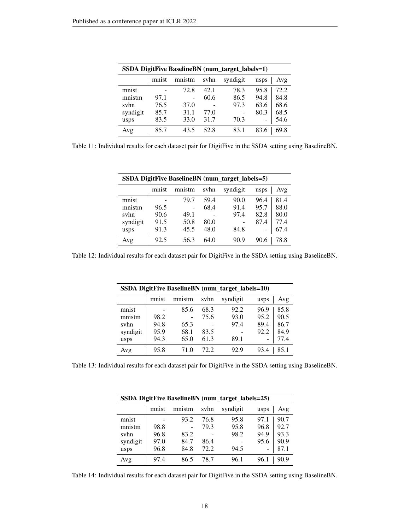| <b>SSDA DigitFive BaselineBN</b> (num_target_labels=1) |       |        |      |          |      |      |  |
|--------------------------------------------------------|-------|--------|------|----------|------|------|--|
|                                                        | mnist | mnistm | svhn | syndigit | usps | Avg  |  |
| mnist                                                  |       | 72.8   | 42.1 | 78.3     | 95.8 | 72.2 |  |
| mnistm                                                 | 97.1  |        | 60.6 | 86.5     | 94.8 | 84.8 |  |
| svhn                                                   | 76.5  | 37.0   |      | 97.3     | 63.6 | 68.6 |  |
| syndigit                                               | 85.7  | 31.1   | 77.0 |          | 80.3 | 68.5 |  |
| usps                                                   | 83.5  | 33.0   | 31.7 | 70.3     | -    | 54.6 |  |
| Avg                                                    | 85.7  | 43.5   | 52.8 | 83.1     | 83.6 | 69.8 |  |

Table 11: Individual results for each dataset pair for DigitFive in the SSDA setting using BaselineBN.

| <b>SSDA DigitFive BaselineBN</b> (num_target_labels=5) |       |        |      |          |      |      |  |  |
|--------------------------------------------------------|-------|--------|------|----------|------|------|--|--|
|                                                        | mnist | mnistm | svhn | syndigit | usps | Avg  |  |  |
| mnist                                                  |       | 79.7   | 59.4 | 90.0     | 96.4 | 81.4 |  |  |
| mnistm                                                 | 96.5  |        | 68.4 | 91.4     | 95.7 | 88.0 |  |  |
| svhn                                                   | 90.6  | 49.1   |      | 97.4     | 82.8 | 80.0 |  |  |
| syndigit                                               | 91.5  | 50.8   | 80.0 |          | 87.4 | 77.4 |  |  |
| usps                                                   | 91.3  | 45.5   | 48.0 | 84.8     | -    | 67.4 |  |  |
| Avg                                                    | 92.5  | 56.3   | 64.0 | 90.9     | 90.6 | 78.8 |  |  |

Table 12: Individual results for each dataset pair for DigitFive in the SSDA setting using BaselineBN.

| <b>SSDA DigitFive BaselineBN</b> (num_target_labels=10) |       |        |      |          |      |      |  |
|---------------------------------------------------------|-------|--------|------|----------|------|------|--|
|                                                         | mnist | mnistm | svhn | syndigit | usps | Avg  |  |
| mnist                                                   |       | 85.6   | 68.3 | 92.2     | 96.9 | 85.8 |  |
| mnistm                                                  | 98.2  |        | 75.6 | 93.0     | 95.2 | 90.5 |  |
| svhn                                                    | 94.8  | 65.3   |      | 97.4     | 89.4 | 86.7 |  |
| syndigit                                                | 95.9  | 68.1   | 83.5 |          | 92.2 | 84.9 |  |
| usps                                                    | 94.3  | 65.0   | 61.3 | 89.1     |      | 77.4 |  |
| Avg                                                     | 95.8  | 71.0   | 72.2 | 92.9     | 93.4 | 85.1 |  |

Table 13: Individual results for each dataset pair for DigitFive in the SSDA setting using BaselineBN.

| <b>SSDA DigitFive BaselineBN</b> (num_target_labels=25) |       |        |      |          |      |      |  |  |
|---------------------------------------------------------|-------|--------|------|----------|------|------|--|--|
|                                                         | mnist | mnistm | syhn | syndigit | usps | Avg  |  |  |
| mnist                                                   |       | 93.2   | 76.8 | 95.8     | 97.1 | 90.7 |  |  |
| mnistm                                                  | 98.8  |        | 79.3 | 95.8     | 96.8 | 92.7 |  |  |
| svhn                                                    | 96.8  | 83.2   |      | 98.2     | 94.9 | 93.3 |  |  |
| syndigit                                                | 97.0  | 84.7   | 86.4 |          | 95.6 | 90.9 |  |  |
| usps                                                    | 96.8  | 84.8   | 72.2 | 94.5     |      | 87.1 |  |  |
| Avg                                                     | 97.4  | 86.5   | 78.7 | 96.1     | 96.1 | 90.9 |  |  |

Table 14: Individual results for each dataset pair for DigitFive in the SSDA setting using BaselineBN.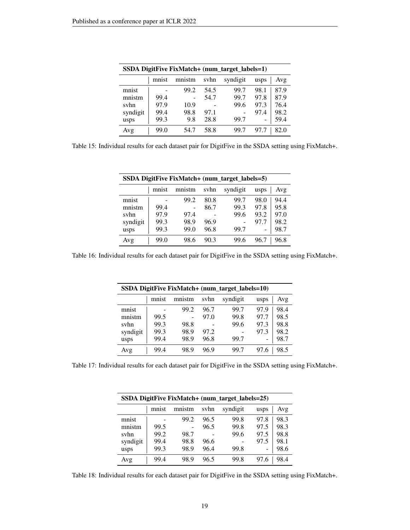| SSDA DigitFive FixMatch+ (num_target_labels=1) |       |        |      |          |      |      |  |  |
|------------------------------------------------|-------|--------|------|----------|------|------|--|--|
|                                                | mnist | mnistm | svhn | syndigit | usps | Avg  |  |  |
| mnist                                          |       | 99.2   | 54.5 | 99.7     | 98.1 | 87.9 |  |  |
| mnistm                                         | 99.4  |        | 54.7 | 99.7     | 97.8 | 87.9 |  |  |
| svhn                                           | 97.9  | 10.9   |      | 99.6     | 97.3 | 76.4 |  |  |
| syndigit                                       | 99.4  | 98.8   | 97.1 |          | 97.4 | 98.2 |  |  |
| usps                                           | 99.3  | 9.8    | 28.8 | 99.7     |      | 59.4 |  |  |
| Avg                                            | 99.0  | 54.7   | 58.8 | 99.7     |      | 82.0 |  |  |

Table 15: Individual results for each dataset pair for DigitFive in the SSDA setting using FixMatch+.

| SSDA DigitFive FixMatch+ (num_target_labels=5) |       |        |      |          |      |      |  |  |
|------------------------------------------------|-------|--------|------|----------|------|------|--|--|
|                                                | mnist | mnistm | svhn | syndigit | usps | Avg  |  |  |
| mnist                                          |       | 99.2   | 80.8 | 99.7     | 98.0 | 94.4 |  |  |
| mnistm                                         | 99.4  |        | 86.7 | 99.3     | 97.8 | 95.8 |  |  |
| svhn                                           | 97.9  | 97.4   |      | 99.6     | 93.2 | 97.0 |  |  |
| syndigit                                       | 99.3  | 98.9   | 96.9 |          | 97.7 | 98.2 |  |  |
| usps                                           | 99.3  | 99.0   | 96.8 | 99.7     |      | 98.7 |  |  |
| Avg                                            | 99.0  | 98.6   | 90.3 | 99.6     | 96.7 | 96.8 |  |  |

Table 16: Individual results for each dataset pair for DigitFive in the SSDA setting using FixMatch+.

| SSDA DigitFive FixMatch+ (num_target_labels=10) |       |        |      |          |      |      |  |  |
|-------------------------------------------------|-------|--------|------|----------|------|------|--|--|
|                                                 | mnist | mnistm | svhn | syndigit | usps | Avg  |  |  |
| mnist                                           |       | 99.2   | 96.7 | 99.7     | 97.9 | 98.4 |  |  |
| mnistm                                          | 99.5  |        | 97.0 | 99.8     | 97.7 | 98.5 |  |  |
| svhn                                            | 99.3  | 98.8   |      | 99.6     | 97.3 | 98.8 |  |  |
| syndigit                                        | 99.3  | 98.9   | 97.2 |          | 97.3 | 98.2 |  |  |
| usps                                            | 99.4  | 98.9   | 96.8 | 99.7     |      | 98.7 |  |  |
| Avg                                             | 99.4  | 98.9   | 96.9 | 99.7     | 97.6 | 98.5 |  |  |

Table 17: Individual results for each dataset pair for DigitFive in the SSDA setting using FixMatch+.

| SSDA DigitFive FixMatch+ (num_target_labels=25) |       |        |      |          |      |      |  |
|-------------------------------------------------|-------|--------|------|----------|------|------|--|
|                                                 | mnist | mnistm | svhn | syndigit | usps | Avg  |  |
| mnist                                           |       | 99.2   | 96.5 | 99.8     | 97.8 | 98.3 |  |
| mnistm                                          | 99.5  |        | 96.5 | 99.8     | 97.5 | 98.3 |  |
| svhn                                            | 99.2  | 98.7   |      | 99.6     | 97.5 | 98.8 |  |
| syndigit                                        | 99.4  | 98.8   | 96.6 |          | 97.5 | 98.1 |  |
| usps                                            | 99.3  | 98.9   | 96.4 | 99.8     |      | 98.6 |  |
| Avg                                             | 99.4  | 98.9   | 96.5 | 99.8     |      | 98.4 |  |

Table 18: Individual results for each dataset pair for DigitFive in the SSDA setting using FixMatch+.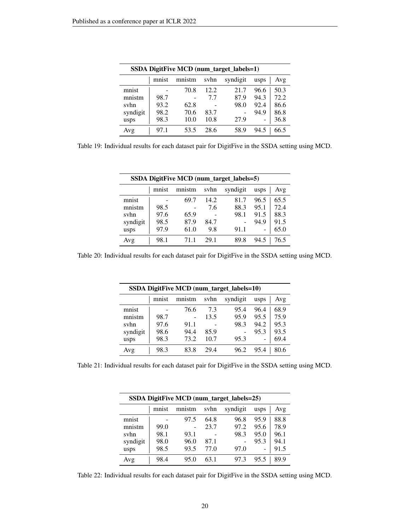| SSDA DigitFive MCD (num_target_labels=1) |       |        |      |          |      |      |  |  |
|------------------------------------------|-------|--------|------|----------|------|------|--|--|
|                                          | mnist | mnistm | svhn | syndigit | usps | Avg  |  |  |
| mnist                                    |       | 70.8   | 12.2 | 21.7     | 96.6 | 50.3 |  |  |
| mnistm                                   | 98.7  |        | 7.7  | 87.9     | 94.3 | 72.2 |  |  |
| svhn                                     | 93.2  | 62.8   |      | 98.0     | 92.4 | 86.6 |  |  |
| syndigit                                 | 98.2  | 70.6   | 83.7 |          | 94.9 | 86.8 |  |  |
| usps                                     | 98.3  | 10.0   | 10.8 | 27.9     |      | 36.8 |  |  |
| Avg                                      | 97.1  | 53.5   | 28.6 | 58.9     | 94.5 | 66.5 |  |  |

Table 19: Individual results for each dataset pair for DigitFive in the SSDA setting using MCD.

| SSDA DigitFive MCD (num_target_labels=5) |       |        |      |          |      |      |  |  |
|------------------------------------------|-------|--------|------|----------|------|------|--|--|
|                                          | mnist | mnistm | svhn | syndigit | usps | Avg  |  |  |
| mnist                                    |       | 69.7   | 14.2 | 81.7     | 96.5 | 65.5 |  |  |
| mnistm                                   | 98.5  |        | 7.6  | 88.3     | 95.1 | 72.4 |  |  |
| svhn                                     | 97.6  | 65.9   |      | 98.1     | 91.5 | 88.3 |  |  |
| syndigit                                 | 98.5  | 87.9   | 84.7 |          | 94.9 | 91.5 |  |  |
| usps                                     | 97.9  | 61.0   | 9.8  | 91.1     | -    | 65.0 |  |  |
| Avg                                      | 98.1  | 711    | 29.1 | 89.8     | 94.5 | 76.5 |  |  |

Table 20: Individual results for each dataset pair for DigitFive in the SSDA setting using MCD.

| SSDA DigitFive MCD (num_target_labels=10) |       |        |      |          |      |      |  |
|-------------------------------------------|-------|--------|------|----------|------|------|--|
|                                           | mnist | mnistm | svhn | syndigit | usps | Avg  |  |
| mnist                                     |       | 76.6   | 73   | 95.4     | 96.4 | 68.9 |  |
| mnistm                                    | 98.7  |        | 13.5 | 95.9     | 95.5 | 75.9 |  |
| svhn                                      | 97.6  | 91.1   |      | 98.3     | 94.2 | 95.3 |  |
| syndigit                                  | 98.6  | 94.4   | 85.9 |          | 95.3 | 93.5 |  |
| usps                                      | 98.3  | 73.2   | 10.7 | 95.3     | -    | 69.4 |  |
| Avg                                       | 98.3  | 83.8   | 29.4 | 96.2     | 95.4 | 80.6 |  |

Table 21: Individual results for each dataset pair for DigitFive in the SSDA setting using MCD.

| SSDA DigitFive MCD (num_target_labels=25) |       |        |      |          |      |      |  |  |
|-------------------------------------------|-------|--------|------|----------|------|------|--|--|
|                                           | mnist | mnistm | svhn | syndigit | usps | Avg  |  |  |
| mnist                                     |       | 97.5   | 64.8 | 96.8     | 95.9 | 88.8 |  |  |
| mnistm                                    | 99.0  |        | 23.7 | 97.2     | 95.6 | 78.9 |  |  |
| svhn                                      | 98.1  | 93.1   |      | 98.3     | 95.0 | 96.1 |  |  |
| syndigit                                  | 98.0  | 96.0   | 87.1 |          | 95.3 | 94.1 |  |  |
| usps                                      | 98.5  | 93.5   | 77.0 | 97.0     |      | 91.5 |  |  |
| Avg                                       | 98.4  | 95.0   | 63.1 | 97.3     | 95.5 | 89.9 |  |  |

Table 22: Individual results for each dataset pair for DigitFive in the SSDA setting using MCD.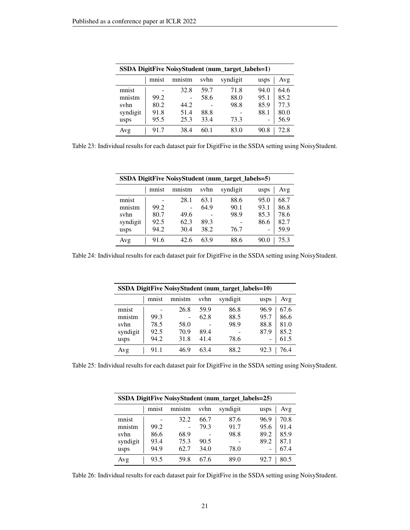| <b>SSDA DigitFive NoisyStudent (num_target_labels=1)</b> |       |        |      |          |              |  |  |  |
|----------------------------------------------------------|-------|--------|------|----------|--------------|--|--|--|
|                                                          | mnist | mnistm | svhn | syndigit | Avg<br>usps  |  |  |  |
| mnist                                                    |       | 32.8   | 59.7 | 71.8     | 94.0<br>64.6 |  |  |  |
| mnistm                                                   | 99.2  |        | 58.6 | 88.0     | 85.2<br>95.1 |  |  |  |
| svhn                                                     | 80.2  | 44.2   |      | 98.8     | 77.3<br>85.9 |  |  |  |
| syndigit                                                 | 91.8  | 51.4   | 88.8 |          | 88.1<br>80.0 |  |  |  |
| usps                                                     | 95.5  | 25.3   | 33.4 | 73.3     | 56.9         |  |  |  |
| Avg                                                      | 91.7  | 38.4   | 60.1 | 83.0     | 72.8<br>90.8 |  |  |  |

Table 23: Individual results for each dataset pair for DigitFive in the SSDA setting using NoisyStudent.

|          | SSDA DigitFive NoisyStudent (num_target_labels=5) |        |      |          |              |  |  |  |  |  |
|----------|---------------------------------------------------|--------|------|----------|--------------|--|--|--|--|--|
|          | mnist                                             | mnistm | svhn | syndigit | Avg<br>usps  |  |  |  |  |  |
| mnist    |                                                   | 28.1   | 63.1 | 88.6     | 95.0<br>68.7 |  |  |  |  |  |
| mnistm   | 99.2                                              |        | 64.9 | 90.1     | 93.1<br>86.8 |  |  |  |  |  |
| svhn     | 80.7                                              | 49.6   |      | 98.9     | 78.6<br>85.3 |  |  |  |  |  |
| syndigit | 92.5                                              | 62.3   | 89.3 |          | 86.6<br>82.7 |  |  |  |  |  |
| usps     | 94.2                                              | 30.4   | 38.2 | 76.7     | 59.9         |  |  |  |  |  |
| Avg      | 91.6                                              | 42.6   | 63.9 | 88.6     | 75.3<br>90.0 |  |  |  |  |  |

Table 24: Individual results for each dataset pair for DigitFive in the SSDA setting using NoisyStudent.

| SSDA DigitFive NoisyStudent (num_target_labels=10) |       |        |      |          |              |  |  |  |
|----------------------------------------------------|-------|--------|------|----------|--------------|--|--|--|
|                                                    | mnist | mnistm | svhn | syndigit | Avg<br>usps  |  |  |  |
| mnist                                              |       | 26.8   | 59.9 | 86.8     | 67.6<br>96.9 |  |  |  |
| mnistm                                             | 99.3  | ۰      | 62.8 | 88.5     | 86.6<br>95.7 |  |  |  |
| svhn                                               | 78.5  | 58.0   |      | 98.9     | 88.8<br>81.0 |  |  |  |
| syndigit                                           | 92.5  | 70.9   | 89.4 |          | 85.2<br>87.9 |  |  |  |
| usps                                               | 94.2  | 31.8   | 41.4 | 78.6     | 61.5<br>۰    |  |  |  |
| Avg                                                | 91.1  | 46.9   | 63.4 | 88.2     | 76.4<br>92.3 |  |  |  |

Table 25: Individual results for each dataset pair for DigitFive in the SSDA setting using NoisyStudent.

|          | SSDA DigitFive NoisyStudent (num_target_labels=25) |        |      |          |              |  |  |  |  |
|----------|----------------------------------------------------|--------|------|----------|--------------|--|--|--|--|
|          | mnist                                              | mnistm | svhn | syndigit | Avg<br>usps  |  |  |  |  |
| mnist    |                                                    | 32.2   | 66.7 | 87.6     | 70.8<br>96.9 |  |  |  |  |
| mnistm   | 99.2                                               |        | 79.3 | 91.7     | 91.4<br>95.6 |  |  |  |  |
| svhn     | 86.6                                               | 68.9   |      | 98.8     | 85.9<br>89.2 |  |  |  |  |
| syndigit | 93.4                                               | 75.3   | 90.5 |          | 89.2<br>87.1 |  |  |  |  |
| usps     | 94.9                                               | 62.7   | 34.0 | 78.0     | 67.4         |  |  |  |  |
| Avg      | 93.5                                               | 59.8   | 67.6 | 89.0     | 80.5<br>92.7 |  |  |  |  |

Table 26: Individual results for each dataset pair for DigitFive in the SSDA setting using NoisyStudent.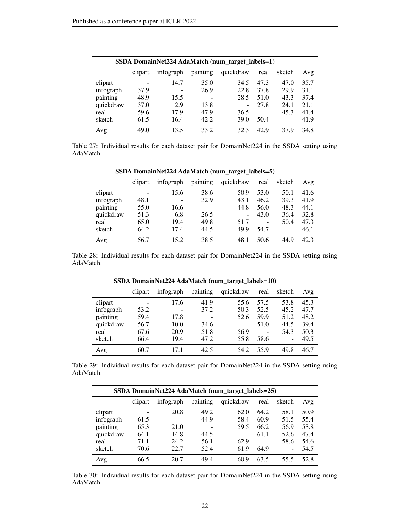| SSDA DomainNet224 AdaMatch (num_target_labels=1) |         |           |          |           |                   |                          |      |  |  |
|--------------------------------------------------|---------|-----------|----------|-----------|-------------------|--------------------------|------|--|--|
|                                                  | clipart | infograph | painting | quickdraw | real              | sketch                   | Avg  |  |  |
| clipart                                          |         | 14.7      | 35.0     | 34.5      | 47.3              | 47.0                     | 35.7 |  |  |
| infograph                                        | 37.9    | ۰         | 26.9     | 22.8      | 37.8              | 29.9                     | 31.1 |  |  |
| painting                                         | 48.9    | 15.5      |          | 28.5      | 51.0              | 43.3                     | 37.4 |  |  |
| quickdraw                                        | 37.0    | 2.9       | 13.8     |           | 27.8              | 24.1                     | 21.1 |  |  |
| real                                             | 59.6    | 17.9      | 47.9     | 36.5      | $\qquad \qquad -$ | 45.3                     | 41.4 |  |  |
| sketch                                           | 61.5    | 16.4      | 42.2     | 39.0      | 50.4              | $\overline{\phantom{0}}$ | 41.9 |  |  |
| Avg                                              | 49.0    | 13.5      | 33.2     | 32.3      | 42.9              | 37.9                     | 34.8 |  |  |

Table 27: Individual results for each dataset pair for DomainNet224 in the SSDA setting using AdaMatch.

| SSDA DomainNet224 AdaMatch (num_target_labels=5) |                          |           |          |                |      |               |  |  |
|--------------------------------------------------|--------------------------|-----------|----------|----------------|------|---------------|--|--|
|                                                  | clipart                  | infograph | painting | quickdraw      | real | sketch<br>Avg |  |  |
| clipart                                          | $\overline{\phantom{0}}$ | 15.6      | 38.6     | 50.9           | 53.0 | 50.1<br>41.6  |  |  |
| infograph                                        | 48.1                     |           | 32.9     | 43.1           | 46.2 | 39.3<br>41.9  |  |  |
| painting                                         | 55.0                     | 16.6      |          | 44.8           | 56.0 | 48.3<br>44.1  |  |  |
| quickdraw                                        | 51.3                     | 6.8       | 26.5     | $\overline{a}$ | 43.0 | 36.4<br>32.8  |  |  |
| real                                             | 65.0                     | 19.4      | 49.8     | 51.7           |      | 47.3<br>50.4  |  |  |
| sketch                                           | 64.2                     | 17.4      | 44.5     | 49.9           | 54.7 | 46.1<br>-     |  |  |
| Avg                                              | 56.7                     | 15.2      | 38.5     | 48.1           | 50.6 | 42.3<br>44.9  |  |  |

Table 28: Individual results for each dataset pair for DomainNet224 in the SSDA setting using AdaMatch.

| SSDA DomainNet224 AdaMatch (num target labels=10) |         |           |          |           |      |                          |      |  |  |
|---------------------------------------------------|---------|-----------|----------|-----------|------|--------------------------|------|--|--|
|                                                   | clipart | infograph | painting | quickdraw | real | sketch                   | Avg  |  |  |
| clipart                                           |         | 17.6      | 41.9     | 55.6      | 57.5 | 53.8                     | 45.3 |  |  |
| infograph                                         | 53.2    |           | 37.2     | 50.3      | 52.5 | 45.2                     | 47.7 |  |  |
| painting                                          | 59.4    | 17.8      |          | 52.6      | 59.9 | 51.2                     | 48.2 |  |  |
| quickdraw                                         | 56.7    | 10.0      | 34.6     |           | 51.0 | 44.5                     | 39.4 |  |  |
| real                                              | 67.6    | 20.9      | 51.8     | 56.9      | -    | 54.3                     | 50.3 |  |  |
| sketch                                            | 66.4    | 19.4      | 47.2     | 55.8      | 58.6 | $\overline{\phantom{0}}$ | 49.5 |  |  |
| Avg                                               | 60.7    | 17.1      | 42.5     | 54.2      | 55.9 | 49.8                     | 46.7 |  |  |

Table 29: Individual results for each dataset pair for DomainNet224 in the SSDA setting using AdaMatch.

| SSDA DomainNet224 AdaMatch (num_target_labels=25) |         |           |          |           |      |        |      |  |
|---------------------------------------------------|---------|-----------|----------|-----------|------|--------|------|--|
|                                                   | clipart | infograph | painting | quickdraw | real | sketch | Avg  |  |
| clipart                                           |         | 20.8      | 49.2     | 62.0      | 64.2 | 58.1   | 50.9 |  |
| infograph                                         | 61.5    |           | 44.9     | 58.4      | 60.9 | 51.5   | 55.4 |  |
| painting                                          | 65.3    | 21.0      |          | 59.5      | 66.2 | 56.9   | 53.8 |  |
| quickdraw                                         | 64.1    | 14.8      | 44.5     | ۰         | 61.1 | 52.6   | 47.4 |  |
| real                                              | 71.1    | 24.2      | 56.1     | 62.9      |      | 58.6   | 54.6 |  |
| sketch                                            | 70.6    | 22.7      | 52.4     | 61.9      | 64.9 | ۰      | 54.5 |  |
| Avg                                               | 66.5    | 20.7      | 49.4     | 60.9      | 63.5 | 55.5   | 52.8 |  |

Table 30: Individual results for each dataset pair for DomainNet224 in the SSDA setting using AdaMatch.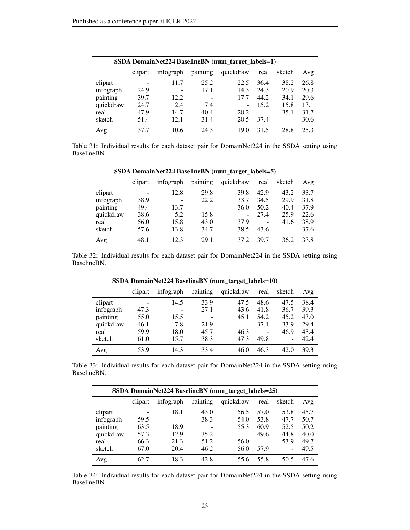| SSDA DomainNet224 BaselineBN (num_target_labels=1) |                |           |          |           |      |                          |      |  |  |
|----------------------------------------------------|----------------|-----------|----------|-----------|------|--------------------------|------|--|--|
|                                                    | clipart        | infograph | painting | quickdraw | real | sketch                   | Avg  |  |  |
| clipart                                            | $\overline{a}$ | 11.7      | 25.2     | 22.5      | 36.4 | 38.2                     | 26.8 |  |  |
| infograph                                          | 24.9           |           | 17.1     | 14.3      | 24.3 | 20.9                     | 20.3 |  |  |
| painting                                           | 39.7           | 12.2      |          | 17.7      | 44.2 | 34.1                     | 29.6 |  |  |
| quickdraw                                          | 24.7           | 2.4       | 7.4      |           | 15.2 | 15.8                     | 13.1 |  |  |
| real                                               | 47.9           | 14.7      | 40.4     | 20.2      | -    | 35.1                     | 31.7 |  |  |
| sketch                                             | 51.4           | 12.1      | 31.4     | 20.5      | 37.4 | $\overline{\phantom{0}}$ | 30.6 |  |  |
| Avg                                                | 37.7           | 10.6      | 24.3     | 19.0      | 31.5 | 28.8                     | 25.3 |  |  |

Table 31: Individual results for each dataset pair for DomainNet224 in the SSDA setting using BaselineBN.

| SSDA DomainNet224 BaselineBN (num target labels=5) |                |           |                          |           |      |               |  |  |
|----------------------------------------------------|----------------|-----------|--------------------------|-----------|------|---------------|--|--|
|                                                    | clipart        | infograph | painting                 | quickdraw | real | sketch<br>Avg |  |  |
| clipart                                            | $\overline{a}$ | 12.8      | 29.8                     | 39.8      | 42.9 | 43.2<br>33.7  |  |  |
| infograph                                          | 38.9           |           | 22.2                     | 33.7      | 34.5 | 29.9<br>31.8  |  |  |
| painting                                           | 49.4           | 13.7      | $\overline{\phantom{a}}$ | 36.0      | 50.2 | 37.9<br>40.4  |  |  |
| quickdraw                                          | 38.6           | 5.2       | 15.8                     | ۰         | 27.4 | 25.9<br>22.6  |  |  |
| real                                               | 56.0           | 15.8      | 43.0                     | 37.9      |      | 38.9<br>41.6  |  |  |
| sketch                                             | 57.6           | 13.8      | 34.7                     | 38.5      | 43.6 | 37.6<br>۰     |  |  |
| Avg                                                | 48.1           | 12.3      | 29.1                     | 37.2      | 39.7 | 36.2<br>33.8  |  |  |

Table 32: Individual results for each dataset pair for DomainNet224 in the SSDA setting using BaselineBN.

| SSDA DomainNet224 BaselineBN (num_target_labels=10) |         |           |          |           |                 |                          |      |  |
|-----------------------------------------------------|---------|-----------|----------|-----------|-----------------|--------------------------|------|--|
|                                                     | clipart | infograph | painting | quickdraw | real            | sketch                   | Avg  |  |
| clipart                                             |         | 14.5      | 33.9     | 47.5      | 48.6            | 47.5                     | 38.4 |  |
| infograph                                           | 47.3    |           | 27.1     | 43.6      | 41.8            | 36.7                     | 39.3 |  |
| painting                                            | 55.0    | 15.5      |          | 45.1      | 54.2            | 45.2                     | 43.0 |  |
| quickdraw                                           | 46.1    | 7.8       | 21.9     |           | 37.1            | 33.9                     | 29.4 |  |
| real                                                | 59.9    | 18.0      | 45.7     | 46.3      | $\qquad \qquad$ | 46.9                     | 43.4 |  |
| sketch                                              | 61.0    | 15.7      | 38.3     | 47.3      | 49.8            | $\overline{\phantom{0}}$ | 42.4 |  |
| Avg                                                 | 53.9    | 14.3      | 33.4     | 46.0      | 46.3            | 42.0                     | 39.3 |  |

Table 33: Individual results for each dataset pair for DomainNet224 in the SSDA setting using BaselineBN.

| SSDA DomainNet224 BaselineBN (num target labels=25) |         |           |          |           |      |               |  |
|-----------------------------------------------------|---------|-----------|----------|-----------|------|---------------|--|
|                                                     | clipart | infograph | painting | quickdraw | real | sketch<br>Avg |  |
| clipart                                             |         | 18.1      | 43.0     | 56.5      | 57.0 | 45.7<br>53.8  |  |
| infograph                                           | 59.5    |           | 38.3     | 54.0      | 53.8 | 50.7<br>47.7  |  |
| painting                                            | 63.5    | 18.9      |          | 55.3      | 60.9 | 50.2<br>52.5  |  |
| quickdraw                                           | 57.3    | 12.9      | 35.2     | ۰         | 49.6 | 40.0<br>44.8  |  |
| real                                                | 66.3    | 21.3      | 51.2     | 56.0      |      | 53.9<br>49.7  |  |
| sketch                                              | 67.0    | 20.4      | 46.2     | 56.0      | 57.9 | 49.5<br>۰     |  |
| Avg                                                 | 62.7    | 18.3      | 42.8     | 55.6      | 55.8 | 50.5<br>47.6  |  |

Table 34: Individual results for each dataset pair for DomainNet224 in the SSDA setting using BaselineBN.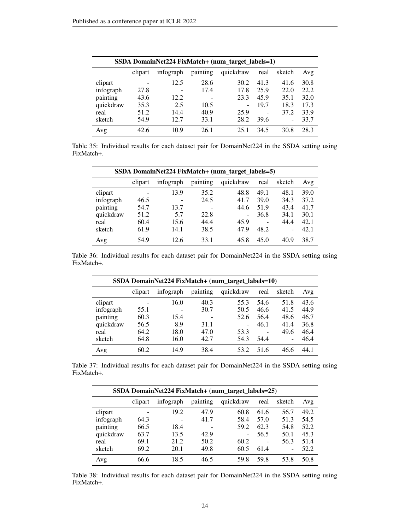|           | SSDA DomainNet224 FixMatch+ (num_target_labels=1) |           |          |           |                 |                              |      |  |  |
|-----------|---------------------------------------------------|-----------|----------|-----------|-----------------|------------------------------|------|--|--|
|           | clipart                                           | infograph | painting | quickdraw | real            | sketch                       | Avg  |  |  |
| clipart   |                                                   | 12.5      | 28.6     | 30.2      | 41.3            | 41.6                         | 30.8 |  |  |
| infograph | 27.8                                              | -         | 17.4     | 17.8      | 25.9            | 22.0                         | 22.2 |  |  |
| painting  | 43.6                                              | 12.2      |          | 23.3      | 45.9            | 35.1                         | 32.0 |  |  |
| quickdraw | 35.3                                              | 2.5       | 10.5     |           | 19.7            | 18.3                         | 17.3 |  |  |
| real      | 51.2                                              | 14.4      | 40.9     | 25.9      | $\qquad \qquad$ | 37.2                         | 33.9 |  |  |
| sketch    | 54.9                                              | 12.7      | 33.1     | 28.2      | 39.6            | $\qquad \qquad \blacksquare$ | 33.7 |  |  |
| Avg       | 42.6                                              | 10.9      | 26.1     | 25.1      | 34.5            | 30.8                         | 28.3 |  |  |

Table 35: Individual results for each dataset pair for DomainNet224 in the SSDA setting using FixMatch+.

| SSDA DomainNet224 FixMatch+ (num_target_labels=5) |         |           |                          |                 |      |                          |      |  |  |
|---------------------------------------------------|---------|-----------|--------------------------|-----------------|------|--------------------------|------|--|--|
|                                                   | clipart | infograph | painting                 | quickdraw       | real | sketch                   | Avg  |  |  |
| clipart                                           |         | 13.9      | 35.2                     | 48.8            | 49.1 | 48.1                     | 39.0 |  |  |
| infograph                                         | 46.5    |           | 24.5                     | 41.7            | 39.0 | 34.3                     | 37.2 |  |  |
| painting                                          | 54.7    | 13.7      | $\overline{\phantom{a}}$ | 44.6            | 51.9 | 43.4                     | 41.7 |  |  |
| quickdraw                                         | 51.2    | 5.7       | 22.8                     | $\qquad \qquad$ | 36.8 | 34.1                     | 30.1 |  |  |
| real                                              | 60.4    | 15.6      | 44.4                     | 45.9            |      | 44.4                     | 42.1 |  |  |
| sketch                                            | 61.9    | 14.1      | 38.5                     | 47.9            | 48.2 | $\overline{\phantom{0}}$ | 42.1 |  |  |
| Avg                                               | 54.9    | 12.6      | 33.1                     | 45.8            | 45.0 | 40.9                     | 38.7 |  |  |

Table 36: Individual results for each dataset pair for DomainNet224 in the SSDA setting using FixMatch+.

| SSDA DomainNet224 FixMatch+ (num_target_labels=10) |         |           |          |           |      |                 |      |  |  |
|----------------------------------------------------|---------|-----------|----------|-----------|------|-----------------|------|--|--|
|                                                    | clipart | infograph | painting | quickdraw | real | sketch          | Avg  |  |  |
| clipart                                            |         | 16.0      | 40.3     | 55.3      | 54.6 | 51.8            | 43.6 |  |  |
| infograph                                          | 55.1    |           | 30.7     | 50.5      | 46.6 | 41.5            | 44.9 |  |  |
| painting                                           | 60.3    | 15.4      |          | 52.6      | 56.4 | 48.6            | 46.7 |  |  |
| quickdraw                                          | 56.5    | 8.9       | 31.1     | ۰         | 46.1 | 41.4            | 36.8 |  |  |
| real                                               | 64.2    | 18.0      | 47.0     | 53.3      |      | 49.6            | 46.4 |  |  |
| sketch                                             | 64.8    | 16.0      | 42.7     | 54.3      | 54.4 | $\qquad \qquad$ | 46.4 |  |  |
| Avg                                                | 60.2    | 14.9      | 38.4     | 53.2      | 51.6 | 46.6            | 44.1 |  |  |

Table 37: Individual results for each dataset pair for DomainNet224 in the SSDA setting using FixMatch+.

| SSDA DomainNet224 FixMatch+ (num_target_labels=25) |         |           |          |           |      |        |      |  |  |
|----------------------------------------------------|---------|-----------|----------|-----------|------|--------|------|--|--|
|                                                    | clipart | infograph | painting | quickdraw | real | sketch | Avg  |  |  |
| clipart                                            |         | 19.2      | 47.9     | 60.8      | 61.6 | 56.7   | 49.2 |  |  |
| infograph                                          | 64.3    |           | 41.7     | 58.4      | 57.0 | 51.3   | 54.5 |  |  |
| painting                                           | 66.5    | 18.4      |          | 59.2      | 62.3 | 54.8   | 52.2 |  |  |
| quickdraw                                          | 63.7    | 13.5      | 42.9     | ۰         | 56.5 | 50.1   | 45.3 |  |  |
| real                                               | 69.1    | 21.2      | 50.2     | 60.2      |      | 56.3   | 51.4 |  |  |
| sketch                                             | 69.2    | 20.1      | 49.8     | 60.5      | 61.4 | ۰      | 52.2 |  |  |
| Avg                                                | 66.6    | 18.5      | 46.5     | 59.8      | 59.8 | 53.8   | 50.8 |  |  |

Table 38: Individual results for each dataset pair for DomainNet224 in the SSDA setting using FixMatch+.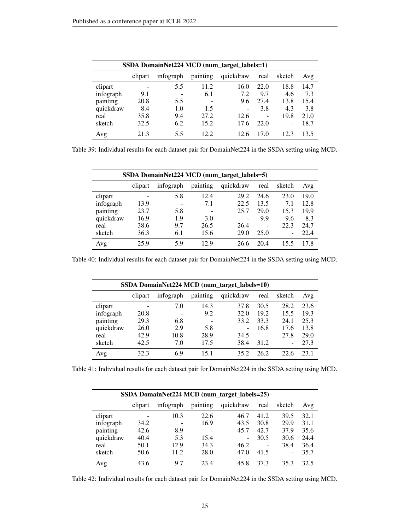| SSDA DomainNet224 MCD (num_target_labels=1) |         |           |          |           |                          |        |      |  |  |  |
|---------------------------------------------|---------|-----------|----------|-----------|--------------------------|--------|------|--|--|--|
|                                             | clipart | infograph | painting | quickdraw | real                     | sketch | Avg  |  |  |  |
| clipart                                     |         | 5.5       | 11.2     | 16.0      | 22.0                     | 18.8   | 14.7 |  |  |  |
| infograph                                   | 9.1     |           | 6.1      | 7.2       | 9.7                      | 4.6    | 7.3  |  |  |  |
| painting                                    | 20.8    | 5.5       |          | 9.6       | 27.4                     | 13.8   | 15.4 |  |  |  |
| quickdraw                                   | 8.4     | 1.0       | 1.5      |           | 3.8                      | 4.3    | 3.8  |  |  |  |
| real                                        | 35.8    | 9.4       | 27.2     | 12.6      | $\overline{\phantom{a}}$ | 19.8   | 21.0 |  |  |  |
| sketch                                      | 32.5    | 6.2       | 15.2     | 17.6      | 22.0                     | -      | 18.7 |  |  |  |
| Avg                                         | 21.3    | 5.5       | 12.2.    | 12.6      | 17.0                     | 12.3   | 13.5 |  |  |  |

Table 39: Individual results for each dataset pair for DomainNet224 in the SSDA setting using MCD.

| SSDA DomainNet224 MCD (num_target_labels=5) |         |           |          |           |      |        |      |  |  |
|---------------------------------------------|---------|-----------|----------|-----------|------|--------|------|--|--|
|                                             | clipart | infograph | painting | quickdraw | real | sketch | Avg  |  |  |
| clipart                                     |         | 5.8       | 12.4     | 29.2      | 24.6 | 23.0   | 19.0 |  |  |
| infograph                                   | 13.9    |           | 7.1      | 22.5      | 13.5 | 7.1    | 12.8 |  |  |
| painting                                    | 23.7    | 5.8       |          | 25.7      | 29.0 | 15.3   | 19.9 |  |  |
| quickdraw                                   | 16.9    | 1.9       | 3.0      |           | 9.9  | 9.6    | 8.3  |  |  |
| real                                        | 38.6    | 9.7       | 26.5     | 26.4      |      | 22.3   | 24.7 |  |  |
| sketch                                      | 36.3    | 6.1       | 15.6     | 29.0      | 25.0 | ۰      | 22.4 |  |  |
| Avg                                         | 25.9    | 5.9       | 12.9     | 26.6      | 20.4 | 15.5   | 17.8 |  |  |

Table 40: Individual results for each dataset pair for DomainNet224 in the SSDA setting using MCD.

| SSDA DomainNet224 MCD (num_target_labels=10) |         |           |          |           |                 |                          |      |  |  |
|----------------------------------------------|---------|-----------|----------|-----------|-----------------|--------------------------|------|--|--|
|                                              | clipart | infograph | painting | quickdraw | real            | sketch                   | Avg  |  |  |
| clipart                                      |         | 7.0       | 14.3     | 37.8      | 30.5            | 28.2                     | 23.6 |  |  |
| infograph                                    | 20.8    |           | 9.2      | 32.0      | 19.2            | 15.5                     | 19.3 |  |  |
| painting                                     | 29.3    | 6.8       |          | 33.2      | 33.3            | 24.1                     | 25.3 |  |  |
| quickdraw                                    | 26.0    | 2.9       | 5.8      |           | 16.8            | 17.6                     | 13.8 |  |  |
| real                                         | 42.9    | 10.8      | 28.9     | 34.5      | $\qquad \qquad$ | 27.8                     | 29.0 |  |  |
| sketch                                       | 42.5    | 7.0       | 17.5     | 38.4      | 31.2            | $\overline{\phantom{0}}$ | 27.3 |  |  |
| Avg                                          | 32.3    | 6.9       | 15.1     | 35.2      | 26.2            | 22.6                     | 23.1 |  |  |

Table 41: Individual results for each dataset pair for DomainNet224 in the SSDA setting using MCD.

| SSDA DomainNet224 MCD (num_target_labels=25) |         |           |          |           |      |        |      |  |  |
|----------------------------------------------|---------|-----------|----------|-----------|------|--------|------|--|--|
|                                              | clipart | infograph | painting | quickdraw | real | sketch | Avg  |  |  |
| clipart                                      |         | 10.3      | 22.6     | 46.7      | 41.2 | 39.5   | 32.1 |  |  |
| infograph                                    | 34.2    |           | 16.9     | 43.5      | 30.8 | 29.9   | 31.1 |  |  |
| painting                                     | 42.6    | 8.9       |          | 45.7      | 42.7 | 37.9   | 35.6 |  |  |
| quickdraw                                    | 40.4    | 5.3       | 15.4     | ۰         | 30.5 | 30.6   | 24.4 |  |  |
| real                                         | 50.1    | 12.9      | 34.3     | 46.2      |      | 38.4   | 36.4 |  |  |
| sketch                                       | 50.6    | 11.2      | 28.0     | 47.0      | 41.5 | -      | 35.7 |  |  |
| Avg                                          | 43.6    | 9.7       | 23.4     | 45.8      | 37.3 | 35.3   | 32.5 |  |  |

Table 42: Individual results for each dataset pair for DomainNet224 in the SSDA setting using MCD.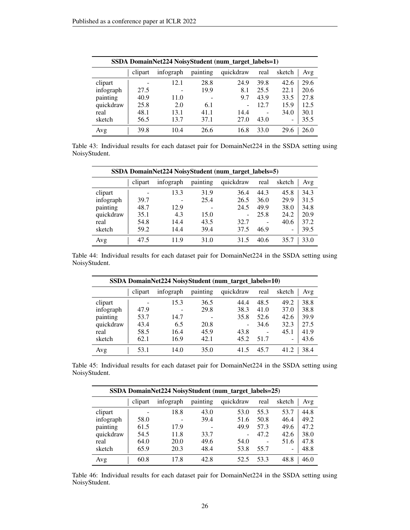|           | SSDA DomainNet224 NoisyStudent (num_target_labels=1) |           |          |           |      |                 |      |  |  |  |
|-----------|------------------------------------------------------|-----------|----------|-----------|------|-----------------|------|--|--|--|
|           | clipart                                              | infograph | painting | quickdraw | real | sketch          | Avg  |  |  |  |
| clipart   | $\overline{a}$                                       | 12.1      | 28.8     | 24.9      | 39.8 | 42.6            | 29.6 |  |  |  |
| infograph | 27.5                                                 |           | 19.9     | 8.1       | 25.5 | 22.1            | 20.6 |  |  |  |
| painting  | 40.9                                                 | 11.0      |          | 9.7       | 43.9 | 33.5            | 27.8 |  |  |  |
| quickdraw | 25.8                                                 | 2.0       | 6.1      |           | 12.7 | 15.9            | 12.5 |  |  |  |
| real      | 48.1                                                 | 13.1      | 41.1     | 14.4      | ۰    | 34.0            | 30.1 |  |  |  |
| sketch    | 56.5                                                 | 13.7      | 37.1     | 27.0      | 43.0 | $\qquad \qquad$ | 35.5 |  |  |  |
| Avg       | 39.8                                                 | 10.4      | 26.6     | 16.8      | 33.0 | 29.6            | 26.0 |  |  |  |

Table 43: Individual results for each dataset pair for DomainNet224 in the SSDA setting using NoisyStudent.

| SSDA DomainNet224 NoisyStudent (num_target_labels=5) |         |           |          |           |      |        |      |  |  |
|------------------------------------------------------|---------|-----------|----------|-----------|------|--------|------|--|--|
|                                                      | clipart | infograph | painting | quickdraw | real | sketch | Avg  |  |  |
| clipart                                              |         | 13.3      | 31.9     | 36.4      | 44.3 | 45.8   | 34.3 |  |  |
| infograph                                            | 39.7    |           | 25.4     | 26.5      | 36.0 | 29.9   | 31.5 |  |  |
| painting                                             | 48.7    | 12.9      |          | 24.5      | 49.9 | 38.0   | 34.8 |  |  |
| quickdraw                                            | 35.1    | 4.3       | 15.0     |           | 25.8 | 24.2   | 20.9 |  |  |
| real                                                 | 54.8    | 14.4      | 43.5     | 32.7      |      | 40.6   | 37.2 |  |  |
| sketch                                               | 59.2    | 14.4      | 39.4     | 37.5      | 46.9 | -      | 39.5 |  |  |
| Avg                                                  | 47.5    | 11.9      | 31.0     | 31.5      | 40.6 | 35.7   | 33.0 |  |  |

Table 44: Individual results for each dataset pair for DomainNet224 in the SSDA setting using NoisyStudent.

| SSDA DomainNet224 NoisyStudent (num_target_labels=10) |         |           |          |           |      |                                      |  |  |  |
|-------------------------------------------------------|---------|-----------|----------|-----------|------|--------------------------------------|--|--|--|
|                                                       | clipart | infograph | painting | quickdraw | real | sketch<br>Avg                        |  |  |  |
| clipart                                               |         | 15.3      | 36.5     | 44.4      | 48.5 | 49.2<br>38.8                         |  |  |  |
| infograph                                             | 47.9    |           | 29.8     | 38.3      | 41.0 | 38.8<br>37.0                         |  |  |  |
| painting                                              | 53.7    | 14.7      |          | 35.8      | 52.6 | 39.9<br>42.6                         |  |  |  |
| quickdraw                                             | 43.4    | 6.5       | 20.8     | ۰         | 34.6 | 32.3<br>27.5                         |  |  |  |
| real                                                  | 58.5    | 16.4      | 45.9     | 43.8      | -    | 45.1<br>41.9                         |  |  |  |
| sketch                                                | 62.1    | 16.9      | 42.1     | 45.2      | 51.7 | 43.6<br>$\qquad \qquad \blacksquare$ |  |  |  |
| Avg                                                   | 53.1    | 14.0      | 35.0     | 41.5      | 45.7 | 41.2<br>38.4                         |  |  |  |

Table 45: Individual results for each dataset pair for DomainNet224 in the SSDA setting using NoisyStudent.

| SSDA DomainNet224 NoisyStudent (num_target_labels=25) |         |           |          |           |      |        |      |  |  |
|-------------------------------------------------------|---------|-----------|----------|-----------|------|--------|------|--|--|
|                                                       | clipart | infograph | painting | quickdraw | real | sketch | Avg  |  |  |
| clipart                                               |         | 18.8      | 43.0     | 53.0      | 55.3 | 53.7   | 44.8 |  |  |
| infograph                                             | 58.0    |           | 39.4     | 51.6      | 50.8 | 46.4   | 49.2 |  |  |
| painting                                              | 61.5    | 17.9      |          | 49.9      | 57.3 | 49.6   | 47.2 |  |  |
| quickdraw                                             | 54.5    | 11.8      | 33.7     | ۰         | 47.2 | 42.6   | 38.0 |  |  |
| real                                                  | 64.0    | 20.0      | 49.6     | 54.0      |      | 51.6   | 47.8 |  |  |
| sketch                                                | 65.9    | 20.3      | 48.4     | 53.8      | 55.7 | -      | 48.8 |  |  |
| Avg                                                   | 60.8    | 17.8      | 42.8     | 52.5      | 53.3 | 48.8   | 46.0 |  |  |

Table 46: Individual results for each dataset pair for DomainNet224 in the SSDA setting using NoisyStudent.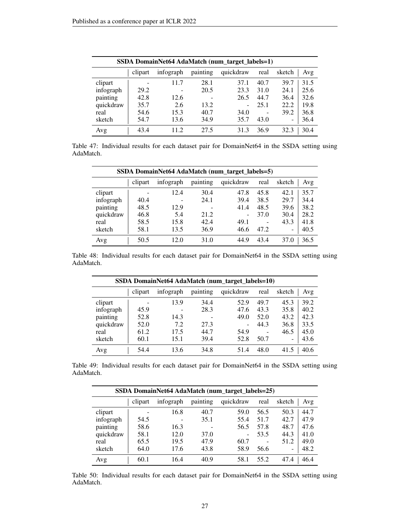| SSDA DomainNet64 AdaMatch (num_target_labels=1) |         |                          |          |           |                   |                          |      |  |  |  |
|-------------------------------------------------|---------|--------------------------|----------|-----------|-------------------|--------------------------|------|--|--|--|
|                                                 | clipart | infograph                | painting | quickdraw | real              | sketch                   | Avg  |  |  |  |
| clipart                                         |         | 11.7                     | 28.1     | 37.1      | 40.7              | 39.7                     | 31.5 |  |  |  |
| infograph                                       | 29.2    | $\overline{\phantom{0}}$ | 20.5     | 23.3      | 31.0              | 24.1                     | 25.6 |  |  |  |
| painting                                        | 42.8    | 12.6                     |          | 26.5      | 44.7              | 36.4                     | 32.6 |  |  |  |
| quickdraw                                       | 35.7    | 2.6                      | 13.2     |           | 25.1              | 22.2                     | 19.8 |  |  |  |
| real                                            | 54.6    | 15.3                     | 40.7     | 34.0      | $\qquad \qquad -$ | 39.2                     | 36.8 |  |  |  |
| sketch                                          | 54.7    | 13.6                     | 34.9     | 35.7      | 43.0              | $\overline{\phantom{a}}$ | 36.4 |  |  |  |
| Avg                                             | 43.4    | 11.2                     | 27.5     | 31.3      | 36.9              | 32.3                     | 30.4 |  |  |  |

Table 47: Individual results for each dataset pair for DomainNet64 in the SSDA setting using AdaMatch.

| SSDA DomainNet64 AdaMatch (num_target_labels=5) |         |                          |                          |                          |      |               |  |  |  |
|-------------------------------------------------|---------|--------------------------|--------------------------|--------------------------|------|---------------|--|--|--|
|                                                 | clipart | infograph                | painting                 | quickdraw                | real | sketch<br>Avg |  |  |  |
| clipart                                         | -       | 12.4                     | 30.4                     | 47.8                     | 45.8 | 35.7<br>42.1  |  |  |  |
| infograph                                       | 40.4    | $\overline{\phantom{0}}$ | 24.1                     | 39.4                     | 38.5 | 29.7<br>34.4  |  |  |  |
| painting                                        | 48.5    | 12.9                     | $\overline{\phantom{0}}$ | 41.4                     | 48.5 | 38.2<br>39.6  |  |  |  |
| quickdraw                                       | 46.8    | 5.4                      | 21.2                     | $\overline{\phantom{0}}$ | 37.0 | 28.2<br>30.4  |  |  |  |
| real                                            | 58.5    | 15.8                     | 42.4                     | 49.1                     |      | 43.3<br>41.8  |  |  |  |
| sketch                                          | 58.1    | 13.5                     | 36.9                     | 46.6                     | 47.2 | 40.5<br>۰     |  |  |  |
| Avg                                             | 50.5    | 12.0                     | 31.0                     | 44.9                     | 43.4 | 37.0<br>36.5  |  |  |  |

Table 48: Individual results for each dataset pair for DomainNet64 in the SSDA setting using AdaMatch.

| SSDA DomainNet64 AdaMatch (num_target_labels=10) |         |           |          |           |                   |                          |      |  |  |
|--------------------------------------------------|---------|-----------|----------|-----------|-------------------|--------------------------|------|--|--|
|                                                  | clipart | infograph | painting | quickdraw | real              | sketch                   | Avg  |  |  |
| clipart                                          |         | 13.9      | 34.4     | 52.9      | 49.7              | 45.3                     | 39.2 |  |  |
| infograph                                        | 45.9    |           | 28.3     | 47.6      | 43.3              | 35.8                     | 40.2 |  |  |
| painting                                         | 52.8    | 14.3      |          | 49.0      | 52.0              | 43.2                     | 42.3 |  |  |
| quickdraw                                        | 52.0    | 7.2       | 27.3     |           | 44.3              | 36.8                     | 33.5 |  |  |
| real                                             | 61.2    | 17.5      | 44.7     | 54.9      | $\qquad \qquad -$ | 46.5                     | 45.0 |  |  |
| sketch                                           | 60.1    | 15.1      | 39.4     | 52.8      | 50.7              | $\overline{\phantom{0}}$ | 43.6 |  |  |
| Avg                                              | 54.4    | 13.6      | 34.8     | 51.4      | 48.0              | 41.5                     | 40.6 |  |  |

Table 49: Individual results for each dataset pair for DomainNet64 in the SSDA setting using AdaMatch.

| SSDA DomainNet64 AdaMatch (num_target_labels=25) |         |           |          |                          |      |               |  |  |  |
|--------------------------------------------------|---------|-----------|----------|--------------------------|------|---------------|--|--|--|
|                                                  | clipart | infograph | painting | quickdraw                | real | sketch<br>Avg |  |  |  |
| clipart                                          |         | 16.8      | 40.7     | 59.0                     | 56.5 | 44.7<br>50.3  |  |  |  |
| infograph                                        | 54.5    |           | 35.1     | 55.4                     | 51.7 | 42.7<br>47.9  |  |  |  |
| painting                                         | 58.6    | 16.3      |          | 56.5                     | 57.8 | 47.6<br>48.7  |  |  |  |
| quickdraw                                        | 58.1    | 12.0      | 37.0     | $\overline{\phantom{a}}$ | 53.5 | 44.3<br>41.0  |  |  |  |
| real                                             | 65.5    | 19.5      | 47.9     | 60.7                     |      | 49.0<br>51.2  |  |  |  |
| sketch                                           | 64.0    | 17.6      | 43.8     | 58.9                     | 56.6 | 48.2<br>۰     |  |  |  |
| Avg                                              | 60.1    | 16.4      | 40.9     | 58.1                     | 55.2 | 46.4<br>47.4  |  |  |  |

Table 50: Individual results for each dataset pair for DomainNet64 in the SSDA setting using AdaMatch.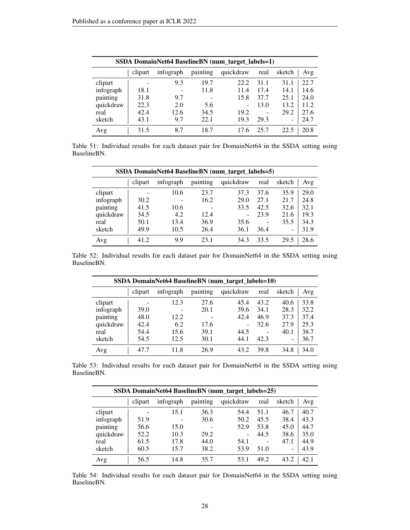| SSDA DomainNet64 BaselineBN (num_target_labels=1) |         |           |          |           |                   |        |      |  |  |  |
|---------------------------------------------------|---------|-----------|----------|-----------|-------------------|--------|------|--|--|--|
|                                                   | clipart | infograph | painting | quickdraw | real              | sketch | Avg  |  |  |  |
| clipart                                           |         | 9.3       | 19.7     | 22.2      | 31.1              | 31.1   | 22.7 |  |  |  |
| infograph                                         | 18.1    |           | 11.8     | 11.4      | 17.4              | 14.1   | 14.6 |  |  |  |
| painting                                          | 31.8    | 9.7       |          | 15.8      | 37.7              | 25.1   | 24.0 |  |  |  |
| quickdraw                                         | 22.3    | 2.0       | 5.6      |           | 13.0              | 13.2   | 11.2 |  |  |  |
| real                                              | 42.4    | 12.6      | 34.5     | 19.2      | $\qquad \qquad -$ | 29.2   | 27.6 |  |  |  |
| sketch                                            | 43.1    | 9.7       | 22.1     | 19.3      | 29.3              | -      | 24.7 |  |  |  |
| Avg                                               | 31.5    | 8.7       | 18.7     | 17.6      | 25.7              | 22.5   | 20.8 |  |  |  |

Table 51: Individual results for each dataset pair for DomainNet64 in the SSDA setting using BaselineBN.

| SSDA DomainNet64 BaselineBN (num target labels=5) |         |           |                          |           |      |        |      |  |  |
|---------------------------------------------------|---------|-----------|--------------------------|-----------|------|--------|------|--|--|
|                                                   | clipart | infograph | painting                 | quickdraw | real | sketch | Avg  |  |  |
| clipart                                           | -       | 10.6      | 23.7                     | 37.3      | 37.6 | 35.9   | 29.0 |  |  |
| infograph                                         | 30.2    |           | 16.2                     | 29.0      | 27.1 | 21.7   | 24.8 |  |  |
| painting                                          | 41.5    | 10.6      | $\overline{\phantom{0}}$ | 33.5      | 42.5 | 32.6   | 32.1 |  |  |
| quickdraw                                         | 34.5    | 4.2       | 12.4                     |           | 23.9 | 21.6   | 19.3 |  |  |
| real                                              | 50.1    | 13.4      | 36.9                     | 35.6      |      | 35.5   | 34.3 |  |  |
| sketch                                            | 49.9    | 10.5      | 26.4                     | 36.1      | 36.4 | -      | 31.9 |  |  |
| Avg                                               | 41.2    | 9.9       | 23.1                     | 34.3      | 33.5 | 29.5   | 28.6 |  |  |

Table 52: Individual results for each dataset pair for DomainNet64 in the SSDA setting using BaselineBN.

| SSDA DomainNet64 BaselineBN (num_target_labels=10) |         |           |          |           |                          |                 |      |  |  |  |
|----------------------------------------------------|---------|-----------|----------|-----------|--------------------------|-----------------|------|--|--|--|
|                                                    | clipart | infograph | painting | quickdraw | real                     | sketch          | Avg  |  |  |  |
| clipart                                            |         | 12.3      | 27.6     | 45.4      | 43.2                     | 40.6            | 33.8 |  |  |  |
| infograph                                          | 39.0    |           | 20.1     | 39.6      | 34.1                     | 28.3            | 32.2 |  |  |  |
| painting                                           | 48.0    | 12.2      |          | 42.4      | 46.9                     | 37.3            | 37.4 |  |  |  |
| quickdraw                                          | 42.4    | 6.2       | 17.6     |           | 32.6                     | 27.9            | 25.3 |  |  |  |
| real                                               | 54.4    | 15.6      | 39.1     | 44.5      | $\overline{\phantom{a}}$ | 40.1            | 38.7 |  |  |  |
| sketch                                             | 54.5    | 12.5      | 30.1     | 44.1      | 42.3                     | $\qquad \qquad$ | 36.7 |  |  |  |
| Avg                                                | 47.7    | 11.8      | 26.9     | 43.2      | 39.8                     | 34.8            | 34.0 |  |  |  |

Table 53: Individual results for each dataset pair for DomainNet64 in the SSDA setting using BaselineBN.

| SSDA DomainNet64 BaselineBN (num_target_labels=25) |         |           |          |           |      |               |  |  |  |
|----------------------------------------------------|---------|-----------|----------|-----------|------|---------------|--|--|--|
|                                                    | clipart | infograph | painting | quickdraw | real | sketch<br>Avg |  |  |  |
| clipart                                            |         | 15.1      | 36.3     | 54.4      | 51.1 | 46.7<br>40.7  |  |  |  |
| infograph                                          | 51.9    |           | 30.6     | 50.2      | 45.5 | 38.4<br>43.3  |  |  |  |
| painting                                           | 56.6    | 15.0      |          | 52.9      | 53.8 | 44.7<br>45.0  |  |  |  |
| quickdraw                                          | 52.2    | 10.3      | 29.2     | ۰         | 44.5 | 38.6<br>35.0  |  |  |  |
| real                                               | 61.5    | 17.8      | 44.0     | 54.1      |      | 44.9<br>47.1  |  |  |  |
| sketch                                             | 60.5    | 15.7      | 38.2     | 53.9      | 51.0 | 43.9<br>۰     |  |  |  |
| Avg                                                | 56.5    | 14.8      | 35.7     | 53.1      | 49.2 | 42.1<br>43.2  |  |  |  |

Table 54: Individual results for each dataset pair for DomainNet64 in the SSDA setting using BaselineBN.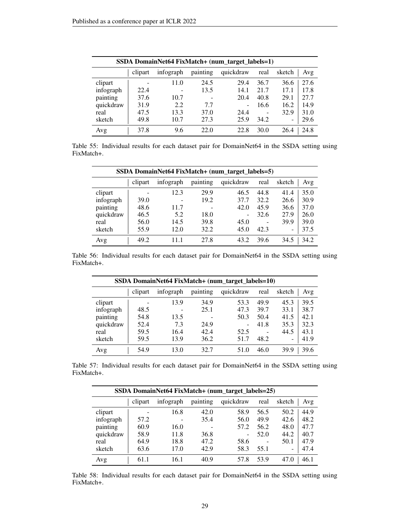| SSDA DomainNet64 FixMatch+ (num_target_labels=1) |         |           |          |           |                |                          |      |  |  |  |
|--------------------------------------------------|---------|-----------|----------|-----------|----------------|--------------------------|------|--|--|--|
|                                                  | clipart | infograph | painting | quickdraw | real           | sketch                   | Avg  |  |  |  |
| clipart                                          |         | 11.0      | 24.5     | 29.4      | 36.7           | 36.6                     | 27.6 |  |  |  |
| infograph                                        | 22.4    |           | 13.5     | 14.1      | 21.7           | 17.1                     | 17.8 |  |  |  |
| painting                                         | 37.6    | 10.7      |          | 20.4      | 40.8           | 29.1                     | 27.7 |  |  |  |
| quickdraw                                        | 31.9    | 2.2       | 7.7      |           | 16.6           | 16.2                     | 14.9 |  |  |  |
| real                                             | 47.5    | 13.3      | 37.0     | 24.4      | $\overline{a}$ | 32.9                     | 31.0 |  |  |  |
| sketch                                           | 49.8    | 10.7      | 27.3     | 25.9      | 34.2           | $\overline{\phantom{0}}$ | 29.6 |  |  |  |
| Avg                                              | 37.8    | 9.6       | 22.0     | 22.8      | 30.0           | 26.4                     | 24.8 |  |  |  |

Table 55: Individual results for each dataset pair for DomainNet64 in the SSDA setting using FixMatch+.

| SSDA DomainNet64 FixMatch+ (num_target_labels=5) |                |                          |                          |           |      |        |      |  |  |  |
|--------------------------------------------------|----------------|--------------------------|--------------------------|-----------|------|--------|------|--|--|--|
|                                                  | clipart        | infograph                | painting                 | quickdraw | real | sketch | Avg  |  |  |  |
| clipart                                          | $\overline{a}$ | 12.3                     | 29.9                     | 46.5      | 44.8 | 41.4   | 35.0 |  |  |  |
| infograph                                        | 39.0           | $\overline{\phantom{0}}$ | 19.2                     | 37.7      | 32.2 | 26.6   | 30.9 |  |  |  |
| painting                                         | 48.6           | 11.7                     | $\overline{\phantom{0}}$ | 42.0      | 45.9 | 36.6   | 37.0 |  |  |  |
| quickdraw                                        | 46.5           | 5.2                      | 18.0                     | ۰         | 32.6 | 27.9   | 26.0 |  |  |  |
| real                                             | 56.0           | 14.5                     | 39.8                     | 45.0      |      | 39.9   | 39.0 |  |  |  |
| sketch                                           | 55.9           | 12.0                     | 32.2                     | 45.0      | 42.3 | ۰      | 37.5 |  |  |  |
| Avg                                              | 49.2           | 11.1                     | 27.8                     | 43.2      | 39.6 | 34.5   | 34.2 |  |  |  |

Table 56: Individual results for each dataset pair for DomainNet64 in the SSDA setting using FixMatch+.

| SSDA DomainNet64 FixMatch+ (num_target_labels=10) |         |           |          |           |      |        |      |  |  |
|---------------------------------------------------|---------|-----------|----------|-----------|------|--------|------|--|--|
|                                                   | clipart | infograph | painting | quickdraw | real | sketch | Avg  |  |  |
| clipart                                           |         | 13.9      | 34.9     | 53.3      | 49.9 | 45.3   | 39.5 |  |  |
| infograph                                         | 48.5    |           | 25.1     | 47.3      | 39.7 | 33.1   | 38.7 |  |  |
| painting                                          | 54.8    | 13.5      |          | 50.3      | 50.4 | 41.5   | 42.1 |  |  |
| quickdraw                                         | 52.4    | 7.3       | 24.9     | ۰         | 41.8 | 35.3   | 32.3 |  |  |
| real                                              | 59.5    | 16.4      | 42.4     | 52.5      |      | 44.5   | 43.1 |  |  |
| sketch                                            | 59.5    | 13.9      | 36.2     | 51.7      | 48.2 | -      | 41.9 |  |  |
| Avg                                               | 54.9    | 13.0      | 32.7     | 51.0      | 46.0 | 39.9   | 39.6 |  |  |

Table 57: Individual results for each dataset pair for DomainNet64 in the SSDA setting using FixMatch+.

| SSDA DomainNet64 FixMatch+ (num_target_labels=25) |         |           |          |           |      |               |  |  |  |
|---------------------------------------------------|---------|-----------|----------|-----------|------|---------------|--|--|--|
|                                                   | clipart | infograph | painting | quickdraw | real | sketch<br>Avg |  |  |  |
| clipart                                           |         | 16.8      | 42.0     | 58.9      | 56.5 | 44.9<br>50.2  |  |  |  |
| infograph                                         | 57.2    |           | 35.4     | 56.0      | 49.9 | 48.2<br>42.6  |  |  |  |
| painting                                          | 60.9    | 16.0      |          | 57.2      | 56.2 | 47.7<br>48.0  |  |  |  |
| quickdraw                                         | 58.9    | 11.8      | 36.8     | ۰         | 52.0 | 44.2<br>40.7  |  |  |  |
| real                                              | 64.9    | 18.8      | 47.2     | 58.6      | -    | 47.9<br>50.1  |  |  |  |
| sketch                                            | 63.6    | 17.0      | 42.9     | 58.3      | 55.1 | 47.4<br>-     |  |  |  |
| Avg                                               | 61.1    | 16.1      | 40.9     | 57.8      | 53.9 | 46.1<br>47.0  |  |  |  |

Table 58: Individual results for each dataset pair for DomainNet64 in the SSDA setting using FixMatch+.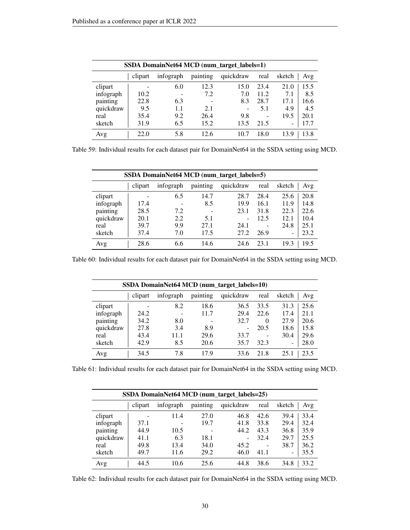| SSDA DomainNet64 MCD (num_target_labels=1) |         |           |          |           |                          |        |      |
|--------------------------------------------|---------|-----------|----------|-----------|--------------------------|--------|------|
|                                            | clipart | infograph | painting | quickdraw | real                     | sketch | Avg  |
| clipart                                    |         | 6.0       | 12.3     | 15.0      | 23.4                     | 21.0   | 15.5 |
| infograph                                  | 10.2    |           | 7.2      | 7.0       | 11.2                     | 7.1    | 8.5  |
| painting                                   | 22.8    | 6.3       | -        | 8.3       | 28.7                     | 17.1   | 16.6 |
| quickdraw                                  | 9.5     | 1.1       | 2.1      |           | 5.1                      | 4.9    | 4.5  |
| real                                       | 35.4    | 9.2       | 26.4     | 9.8       | $\overline{\phantom{a}}$ | 19.5   | 20.1 |
| sketch                                     | 31.9    | 6.5       | 15.2     | 13.5      | 21.5                     |        | 17.7 |
| Avg                                        | 22.0    | 5.8       | 12.6     | 10.7      | 18.0                     | 13.9   | 13.8 |

Table 59: Individual results for each dataset pair for DomainNet64 in the SSDA setting using MCD.

| SSDA DomainNet64 MCD (num_target_labels=5) |         |           |          |           |      |        |      |
|--------------------------------------------|---------|-----------|----------|-----------|------|--------|------|
|                                            | clipart | infograph | painting | quickdraw | real | sketch | Avg  |
| clipart                                    |         | 6.5       | 14.7     | 28.7      | 28.4 | 25.6   | 20.8 |
| infograph                                  | 17.4    |           | 8.5      | 19.9      | 16.1 | 11.9   | 14.8 |
| painting                                   | 28.5    | 7.2       |          | 23.1      | 31.8 | 22.3   | 22.6 |
| quickdraw                                  | 20.1    | 2.2       | 5.1      | -         | 12.5 | 12.1   | 10.4 |
| real                                       | 39.7    | 9.9       | 27.1     | 24.1      |      | 24.8   | 25.1 |
| sketch                                     | 37.4    | 7.0       | 17.5     | 27.2      | 26.9 | -      | 23.2 |
| Avg                                        | 28.6    | 6.6       | 14.6     | 24.6      | 23.1 | 19.3   | 19.5 |

Table 60: Individual results for each dataset pair for DomainNet64 in the SSDA setting using MCD.

| SSDA DomainNet64 MCD (num_target_labels=10) |         |           |          |           |          |                          |      |
|---------------------------------------------|---------|-----------|----------|-----------|----------|--------------------------|------|
|                                             | clipart | infograph | painting | quickdraw | real     | sketch                   | Avg  |
| clipart                                     |         | 8.2       | 18.6     | 36.5      | 33.5     | 31.3                     | 25.6 |
| infograph                                   | 24.2    |           | 11.7     | 29.4      | 22.6     | 17.4                     | 21.1 |
| painting                                    | 34.2    | 8.0       |          | 32.7      | $\theta$ | 27.9                     | 20.6 |
| quickdraw                                   | 27.8    | 3.4       | 8.9      |           | 20.5     | 18.6                     | 15.8 |
| real                                        | 43.4    | 11.1      | 29.6     | 33.7      | -        | 30.4                     | 29.6 |
| sketch                                      | 42.9    | 8.5       | 20.6     | 35.7      | 32.3     | $\overline{\phantom{0}}$ | 28.0 |
| Avg                                         | 34.5    | 7.8       | 17.9     | 33.6      | 21.8     | 25.                      | 23.5 |

Table 61: Individual results for each dataset pair for DomainNet64 in the SSDA setting using MCD.

| SSDA DomainNet64 MCD (num_target_labels=25) |         |           |          |           |      |        |      |
|---------------------------------------------|---------|-----------|----------|-----------|------|--------|------|
|                                             | clipart | infograph | painting | quickdraw | real | sketch | Avg  |
| clipart                                     |         | 11.4      | 27.0     | 46.8      | 42.6 | 39.4   | 33.4 |
| infograph                                   | 37.1    |           | 19.7     | 41.8      | 33.8 | 29.4   | 32.4 |
| painting                                    | 44.9    | 10.5      |          | 44.2      | 43.3 | 36.8   | 35.9 |
| quickdraw                                   | 41.1    | 6.3       | 18.1     | ۰         | 32.4 | 29.7   | 25.5 |
| real                                        | 49.8    | 13.4      | 34.0     | 45.2      |      | 38.7   | 36.2 |
| sketch                                      | 49.7    | 11.6      | 29.2     | 46.0      | 41.1 | -      | 35.5 |
| Avg                                         | 44.5    | 10.6      | 25.6     | 44.8      | 38.6 | 34.8   | 33.2 |

Table 62: Individual results for each dataset pair for DomainNet64 in the SSDA setting using MCD.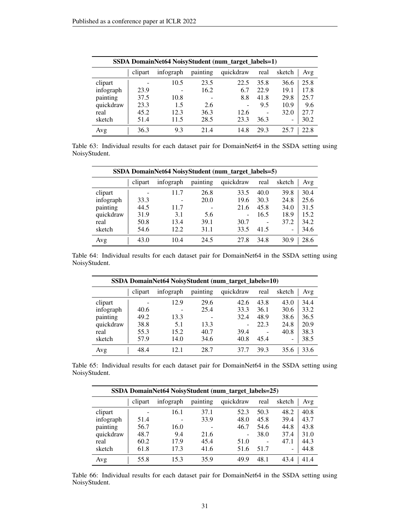|           | SSDA DomainNet64 NoisyStudent (num_target_labels=1) |           |          |           |                 |                          |      |
|-----------|-----------------------------------------------------|-----------|----------|-----------|-----------------|--------------------------|------|
|           | clipart                                             | infograph | painting | quickdraw | real            | sketch                   | Avg  |
| clipart   |                                                     | 10.5      | 23.5     | 22.5      | 35.8            | 36.6                     | 25.8 |
| infograph | 23.9                                                | -         | 16.2     | 6.7       | 22.9            | 19.1                     | 17.8 |
| painting  | 37.5                                                | 10.8      |          | 8.8       | 41.8            | 29.8                     | 25.7 |
| quickdraw | 23.3                                                | 1.5       | 2.6      |           | 9.5             | 10.9                     | 9.6  |
| real      | 45.2                                                | 12.3      | 36.3     | 12.6      | $\qquad \qquad$ | 32.0                     | 27.7 |
| sketch    | 51.4                                                | 11.5      | 28.5     | 23.3      | 36.3            | $\overline{\phantom{0}}$ | 30.2 |
| Avg       | 36.3                                                | 9.3       | 21.4     | 14.8      | 29.3            | 25.7                     | 22.8 |

Table 63: Individual results for each dataset pair for DomainNet64 in the SSDA setting using NoisyStudent.

| SSDA DomainNet64 NoisyStudent (num_target_labels=5) |         |                 |                          |           |      |                          |      |
|-----------------------------------------------------|---------|-----------------|--------------------------|-----------|------|--------------------------|------|
|                                                     | clipart | infograph       | painting                 | quickdraw | real | sketch                   | Avg  |
| clipart                                             | -       | 11.7            | 26.8                     | 33.5      | 40.0 | 39.8                     | 30.4 |
| infograph                                           | 33.3    | $\qquad \qquad$ | 20.0                     | 19.6      | 30.3 | 24.8                     | 25.6 |
| painting                                            | 44.5    | 11.7            | $\overline{\phantom{0}}$ | 21.6      | 45.8 | 34.0                     | 31.5 |
| quickdraw                                           | 31.9    | 3.1             | 5.6                      | -         | 16.5 | 18.9                     | 15.2 |
| real                                                | 50.8    | 13.4            | 39.1                     | 30.7      |      | 37.2                     | 34.2 |
| sketch                                              | 54.6    | 12.2            | 31.1                     | 33.5      | 41.5 | $\overline{\phantom{0}}$ | 34.6 |
| Avg                                                 | 43.0    | 10.4            | 24.5                     | 27.8      | 34.8 | 30.9                     | 28.6 |

Table 64: Individual results for each dataset pair for DomainNet64 in the SSDA setting using NoisyStudent.

| SSDA DomainNet64 NoisyStudent (num_target_labels=10) |         |           |          |           |      |                          |      |
|------------------------------------------------------|---------|-----------|----------|-----------|------|--------------------------|------|
|                                                      | clipart | infograph | painting | quickdraw | real | sketch                   | Avg  |
| clipart                                              |         | 12.9      | 29.6     | 42.6      | 43.8 | 43.0                     | 34.4 |
| infograph                                            | 40.6    |           | 25.4     | 33.3      | 36.1 | 30.6                     | 33.2 |
| painting                                             | 49.2    | 13.3      |          | 32.4      | 48.9 | 38.6                     | 36.5 |
| quickdraw                                            | 38.8    | 5.1       | 13.3     |           | 22.3 | 24.8                     | 20.9 |
| real                                                 | 55.3    | 15.2      | 40.7     | 39.4      | -    | 40.8                     | 38.3 |
| sketch                                               | 57.9    | 14.0      | 34.6     | 40.8      | 45.4 | $\overline{\phantom{0}}$ | 38.5 |
| Avg                                                  | 48.4    | 12.1      | 28.7     | 37.7      | 39.3 | 35.6                     | 33.6 |

Table 65: Individual results for each dataset pair for DomainNet64 in the SSDA setting using NoisyStudent.

|           | SSDA DomainNet64 NoisyStudent (num_target_labels=25) |           |          |                          |      |                                  |  |
|-----------|------------------------------------------------------|-----------|----------|--------------------------|------|----------------------------------|--|
|           | clipart                                              | infograph | painting | quickdraw                | real | sketch<br>Avg                    |  |
| clipart   |                                                      | 16.1      | 37.1     | 52.3                     | 50.3 | 40.8<br>48.2                     |  |
| infograph | 51.4                                                 |           | 33.9     | 48.0                     | 45.8 | 39.4<br>43.7                     |  |
| painting  | 56.7                                                 | 16.0      |          | 46.7                     | 54.6 | 43.8<br>44.8                     |  |
| quickdraw | 48.7                                                 | 9.4       | 21.6     | $\overline{\phantom{0}}$ | 38.0 | 37.4<br>31.0                     |  |
| real      | 60.2                                                 | 17.9      | 45.4     | 51.0                     |      | 44.3<br>47.1                     |  |
| sketch    | 61.8                                                 | 17.3      | 41.6     | 51.6                     | 51.7 | 44.8<br>$\overline{\phantom{0}}$ |  |
| Avg       | 55.8                                                 | 15.3      | 35.9     | 49.9                     | 48.1 | 41.4<br>43.4                     |  |

Table 66: Individual results for each dataset pair for DomainNet64 in the SSDA setting using NoisyStudent.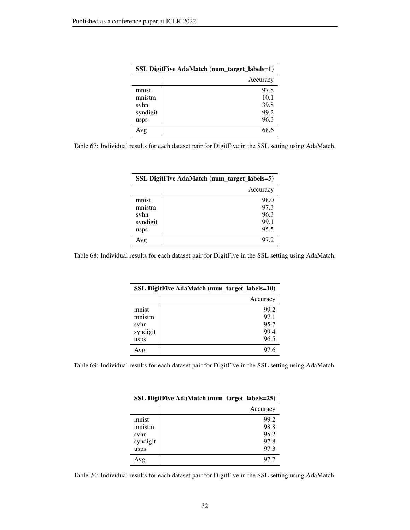| <b>SSL DigitFive AdaMatch (num_target_labels=1)</b> |              |  |  |  |
|-----------------------------------------------------|--------------|--|--|--|
|                                                     | Accuracy     |  |  |  |
| mnist                                               | 97.8         |  |  |  |
| mnistm                                              | 10.1         |  |  |  |
| svhn<br>syndigit                                    | 39.8<br>99.2 |  |  |  |
| usps                                                | 96.3         |  |  |  |
| Avg                                                 | 68 6         |  |  |  |

Table 67: Individual results for each dataset pair for DigitFive in the SSL setting using AdaMatch.

| <b>SSL DigitFive AdaMatch (num_target_labels=5)</b> |          |  |  |  |  |
|-----------------------------------------------------|----------|--|--|--|--|
|                                                     | Accuracy |  |  |  |  |
| mnist                                               | 98.0     |  |  |  |  |
| mnistm                                              | 97.3     |  |  |  |  |
| svhn                                                | 96.3     |  |  |  |  |
| syndigit                                            | 99.1     |  |  |  |  |
| usps                                                | 95.5     |  |  |  |  |
| Avg                                                 | 97.2     |  |  |  |  |

Table 68: Individual results for each dataset pair for DigitFive in the SSL setting using AdaMatch.

| SSL DigitFive AdaMatch (num_target_labels=10) |          |  |  |  |
|-----------------------------------------------|----------|--|--|--|
|                                               | Accuracy |  |  |  |
| mnist                                         | 99.2     |  |  |  |
| mnistm                                        | 97.1     |  |  |  |
| svhn                                          | 95.7     |  |  |  |
| syndigit                                      | 99.4     |  |  |  |
| usps                                          | 96.5     |  |  |  |
| Avg                                           | 97 6     |  |  |  |

Table 69: Individual results for each dataset pair for DigitFive in the SSL setting using AdaMatch.

| SSL DigitFive AdaMatch (num_target_labels=25) |          |  |  |  |  |
|-----------------------------------------------|----------|--|--|--|--|
|                                               | Accuracy |  |  |  |  |
| mnist                                         | 99.2     |  |  |  |  |
| mnistm                                        | 98.8     |  |  |  |  |
| svhn                                          | 95.2     |  |  |  |  |
| syndigit                                      | 97.8     |  |  |  |  |
| usps                                          | 97.3     |  |  |  |  |
| Avg                                           | 97.7     |  |  |  |  |

Table 70: Individual results for each dataset pair for DigitFive in the SSL setting using AdaMatch.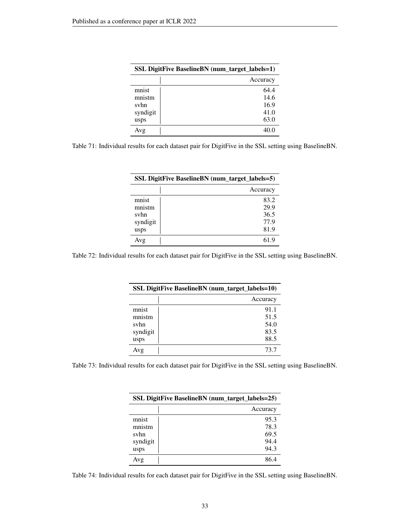| <b>SSL DigitFive BaselineBN</b> (num_target_labels=1) |          |
|-------------------------------------------------------|----------|
|                                                       | Accuracy |
| mnist                                                 | 64.4     |
| mnistm                                                | 14.6     |
| svhn                                                  | 16.9     |
| syndigit                                              | 41.0     |
| usps                                                  | 63.0     |
| Avg                                                   | 40.0     |

Table 71: Individual results for each dataset pair for DigitFive in the SSL setting using BaselineBN.

| <b>SSL DigitFive BaselineBN</b> (num_target_labels=5) |          |
|-------------------------------------------------------|----------|
|                                                       | Accuracy |
| mnist                                                 | 83.2     |
| mnistm                                                | 29.9     |
| svhn                                                  | 36.5     |
| syndigit                                              | 77.9     |
| usps                                                  | 81.9     |
| Avg                                                   | 61 9     |

Table 72: Individual results for each dataset pair for DigitFive in the SSL setting using BaselineBN.

| <b>SSL DigitFive Baseline BN</b> (num_target_labels=10) |          |
|---------------------------------------------------------|----------|
|                                                         | Accuracy |
| mnist                                                   | 91.1     |
| mnistm                                                  | 51.5     |
| svhn                                                    | 54.0     |
| syndigit                                                | 83.5     |
| usps                                                    | 88.5     |
| Avg                                                     | 73 7     |

Table 73: Individual results for each dataset pair for DigitFive in the SSL setting using BaselineBN.

| <b>SSL DigitFive BaselineBN</b> (num_target_labels=25) |          |
|--------------------------------------------------------|----------|
|                                                        | Accuracy |
| mnist                                                  | 95.3     |
| mnistm                                                 | 78.3     |
| svhn                                                   | 69.5     |
| syndigit                                               | 94.4     |
| usps                                                   | 94.3     |
| Avg                                                    | 86 4     |

Table 74: Individual results for each dataset pair for DigitFive in the SSL setting using BaselineBN.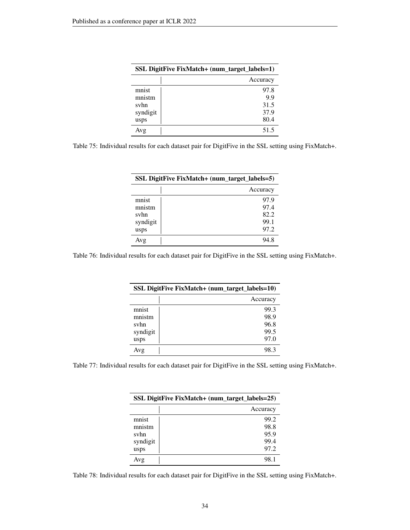| SSL DigitFive FixMatch+ (num_target_labels=1) |          |
|-----------------------------------------------|----------|
|                                               | Accuracy |
| mnist                                         | 97.8     |
| mnistm                                        | 9.9      |
| svhn                                          | 31.5     |
| syndigit                                      | 37.9     |
| usps                                          | 80.4     |
| Avg                                           | 51.5     |

Table 75: Individual results for each dataset pair for DigitFive in the SSL setting using FixMatch+.

| SSL DigitFive FixMatch+ (num_target_labels=5) |          |
|-----------------------------------------------|----------|
|                                               | Accuracy |
| mnist                                         | 97.9     |
| mnistm                                        | 97.4     |
| svhn                                          | 82.2     |
| syndigit                                      | 99.1     |
| usps                                          | 97.2     |
| Avg                                           | 94 S     |

Table 76: Individual results for each dataset pair for DigitFive in the SSL setting using FixMatch+.

| SSL DigitFive FixMatch+ (num_target_labels=10) |          |
|------------------------------------------------|----------|
|                                                | Accuracy |
| mnist                                          | 99.3     |
| mnistm                                         | 98.9     |
| svhn                                           | 96.8     |
| syndigit                                       | 99.5     |
| usps                                           | 97.0     |
| Avg                                            | 98.3     |

Table 77: Individual results for each dataset pair for DigitFive in the SSL setting using FixMatch+.

| SSL DigitFive FixMatch+ (num_target_labels=25) |          |
|------------------------------------------------|----------|
|                                                | Accuracy |
| mnist                                          | 99.2     |
| mnistm                                         | 98.8     |
| svhn                                           | 95.9     |
| syndigit                                       | 99.4     |
| usps                                           | 97.2     |
| Avg                                            | 98.1     |

Table 78: Individual results for each dataset pair for DigitFive in the SSL setting using FixMatch+.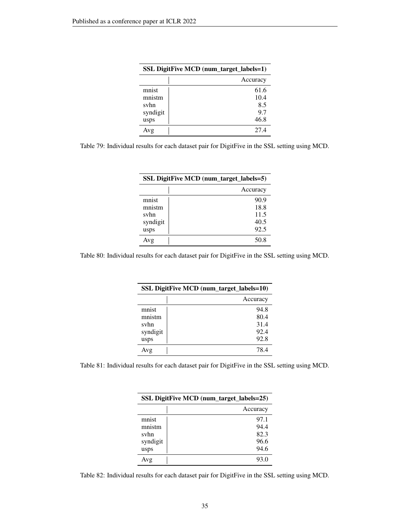| SSL DigitFive MCD (num_target_labels=1) |          |
|-----------------------------------------|----------|
|                                         | Accuracy |
| mnist                                   | 61.6     |
| mnistm                                  | 10.4     |
| svhn                                    | 8.5      |
| syndigit                                | 9.7      |
| usps                                    | 46.8     |
| Avg                                     | 27.4     |

Table 79: Individual results for each dataset pair for DigitFive in the SSL setting using MCD.

| SSL DigitFive MCD (num_target_labels=5) |          |
|-----------------------------------------|----------|
|                                         | Accuracy |
| mnist                                   | 90.9     |
| mnistm                                  | 18.8     |
| svhn                                    | 11.5     |
| syndigit                                | 40.5     |
| usps                                    | 92.5     |
| Avg                                     | 50.8     |

Table 80: Individual results for each dataset pair for DigitFive in the SSL setting using MCD.

| <b>SSL DigitFive MCD (num_target_labels=10)</b> |          |
|-------------------------------------------------|----------|
|                                                 | Accuracy |
| mnist                                           | 94.8     |
| mnistm                                          | 80.4     |
| svhn                                            | 31.4     |
| syndigit                                        | 92.4     |
| usps                                            | 92.8     |
| Avg                                             | 78.4     |

Table 81: Individual results for each dataset pair for DigitFive in the SSL setting using MCD.

| SSL DigitFive MCD (num_target_labels=25) |          |
|------------------------------------------|----------|
|                                          | Accuracy |
| mnist                                    | 97.1     |
| mnistm                                   | 94.4     |
| svhn                                     | 82.3     |
| syndigit                                 | 96.6     |
| usps                                     | 94.6     |
| Avg                                      | 93.0     |

Table 82: Individual results for each dataset pair for DigitFive in the SSL setting using MCD.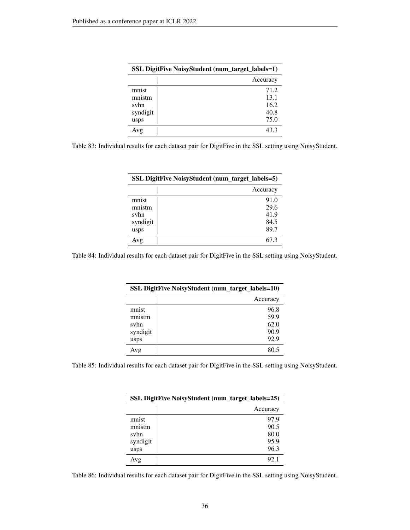| <b>SSL DigitFive NoisyStudent (num_target_labels=1)</b> |          |
|---------------------------------------------------------|----------|
|                                                         | Accuracy |
| mnist                                                   | 71.2     |
| mnistm                                                  | 13.1     |
| svhn                                                    | 16.2     |
| syndigit                                                | 40.8     |
| usps                                                    | 75.0     |
| Avg                                                     | 43.3     |

Table 83: Individual results for each dataset pair for DigitFive in the SSL setting using NoisyStudent.

| <b>SSL DigitFive NoisyStudent (num_target_labels=5)</b> |          |
|---------------------------------------------------------|----------|
|                                                         | Accuracy |
| mnist                                                   | 91.0     |
| mnistm                                                  | 29.6     |
| svhn                                                    | 41.9     |
| syndigit                                                | 84.5     |
| usps                                                    | 89.7     |
| Avg                                                     | 67.3     |

Table 84: Individual results for each dataset pair for DigitFive in the SSL setting using NoisyStudent.

| <b>SSL DigitFive NoisyStudent (num_target_labels=10)</b> |          |
|----------------------------------------------------------|----------|
|                                                          | Accuracy |
| mnist                                                    | 96.8     |
| mnistm                                                   | 59.9     |
| svhn                                                     | 62.0     |
| syndigit                                                 | 90.9     |
| usps                                                     | 92.9     |
| Avg                                                      | 80 5     |

Table 85: Individual results for each dataset pair for DigitFive in the SSL setting using NoisyStudent.

| SSL DigitFive NoisyStudent (num_target_labels=25) |          |
|---------------------------------------------------|----------|
|                                                   | Accuracy |
| mnist                                             | 97.9     |
| mnistm                                            | 90.5     |
| svhn                                              | 80.0     |
| syndigit                                          | 95.9     |
| usps                                              | 96.3     |
| Avg                                               | 92.1     |

Table 86: Individual results for each dataset pair for DigitFive in the SSL setting using NoisyStudent.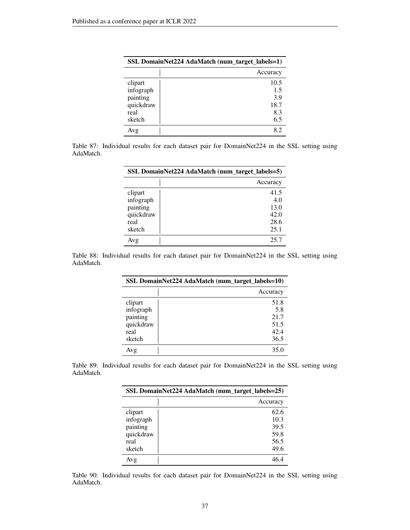| SSL DomainNet224 AdaMatch (num_target_labels=1) |          |
|-------------------------------------------------|----------|
|                                                 | Accuracy |
| clipart                                         | 10.5     |
| infograph                                       | 1.5      |
| painting                                        | 3.9      |
| quickdraw                                       | 18.7     |
| real                                            | 8.3      |
| sketch                                          | 6.5      |
| Avg                                             | 82       |

Table 87: Individual results for each dataset pair for DomainNet224 in the SSL setting using AdaMatch.

| SSL DomainNet224 AdaMatch (num_target_labels=5) |          |
|-------------------------------------------------|----------|
|                                                 | Accuracy |
| clipart                                         | 41.5     |
| infograph                                       | 4.0      |
| painting                                        | 13.0     |
| quickdraw                                       | 42.0     |
| real                                            | 28.6     |
| sketch                                          | 25.1     |
| Avg                                             | 25.7     |

Table 88: Individual results for each dataset pair for DomainNet224 in the SSL setting using AdaMatch.

| SSL DomainNet224 AdaMatch (num_target_labels=10) |          |
|--------------------------------------------------|----------|
|                                                  | Accuracy |
| clipart                                          | 51.8     |
| infograph                                        | 5.8      |
| painting                                         | 21.7     |
| quickdraw                                        | 51.5     |
| real                                             | 42.4     |
| sketch                                           | 36.5     |
| Avg                                              | 35.0     |

Table 89: Individual results for each dataset pair for DomainNet224 in the SSL setting using AdaMatch.

| SSL DomainNet224 AdaMatch (num_target_labels=25) |          |
|--------------------------------------------------|----------|
|                                                  | Accuracy |
| clipart                                          | 62.6     |
| infograph                                        | 10.3     |
| painting                                         | 39.5     |
| quickdraw                                        | 59.8     |
| real                                             | 56.5     |
| sketch                                           | 49.6     |
| Avg                                              | 46.4     |

Table 90: Individual results for each dataset pair for DomainNet224 in the SSL setting using AdaMatch.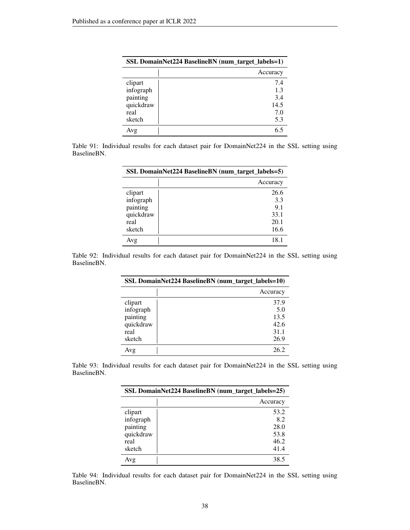| SSL DomainNet224 BaselineBN (num_target_labels=1) |          |
|---------------------------------------------------|----------|
|                                                   | Accuracy |
| clipart                                           | 7.4      |
| infograph                                         | 1.3      |
| painting                                          | 3.4      |
| quickdraw                                         | 14.5     |
| real                                              | 7.0      |
| sketch                                            | 5.3      |
| Avg                                               |          |

Table 91: Individual results for each dataset pair for DomainNet224 in the SSL setting using BaselineBN.

| SSL DomainNet224 BaselineBN (num_target_labels=5) |          |
|---------------------------------------------------|----------|
|                                                   | Accuracy |
| clipart                                           | 26.6     |
| infograph                                         | 3.3      |
| painting                                          | 9.1      |
| quickdraw                                         | 33.1     |
| real                                              | 20.1     |
| sketch                                            | 16.6     |
| Avg                                               | 18.1     |

Table 92: Individual results for each dataset pair for DomainNet224 in the SSL setting using BaselineBN.

| SSL DomainNet224 BaselineBN (num_target_labels=10) |          |
|----------------------------------------------------|----------|
|                                                    | Accuracy |
| clipart                                            | 37.9     |
| infograph                                          | 5.0      |
| painting                                           | 13.5     |
| quickdraw                                          | 42.6     |
| real                                               | 31.1     |
| sketch                                             | 26.9     |
| Avg                                                | 26.2     |

Table 93: Individual results for each dataset pair for DomainNet224 in the SSL setting using BaselineBN.

| SSL DomainNet224 BaselineBN (num_target_labels=25) |          |
|----------------------------------------------------|----------|
|                                                    | Accuracy |
| clipart                                            | 53.2     |
| infograph                                          | 8.2      |
| painting                                           | 28.0     |
| quickdraw                                          | 53.8     |
| real                                               | 46.2     |
| sketch                                             | 41.4     |
| Avg                                                | 38.5     |

Table 94: Individual results for each dataset pair for DomainNet224 in the SSL setting using BaselineBN.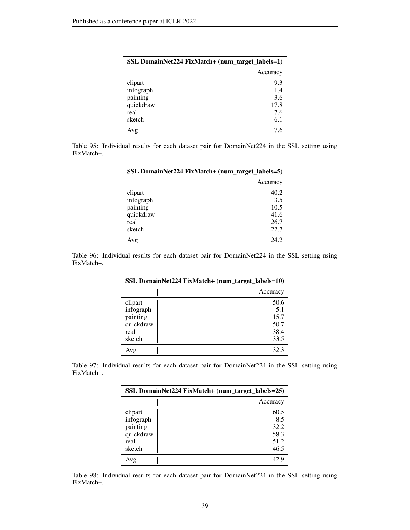| SSL DomainNet224 FixMatch+ (num_target_labels=1) |          |  |  |
|--------------------------------------------------|----------|--|--|
|                                                  | Accuracy |  |  |
| clipart                                          | 9.3      |  |  |
| infograph                                        | 1.4      |  |  |
| painting                                         | 3.6      |  |  |
| quickdraw                                        | 17.8     |  |  |
| real                                             | 7.6      |  |  |
| sketch                                           | 6.1      |  |  |
| Avg                                              | 7.6      |  |  |

Table 95: Individual results for each dataset pair for DomainNet224 in the SSL setting using FixMatch+.

| SSL DomainNet224 FixMatch+ (num_target_labels=5) |          |  |  |
|--------------------------------------------------|----------|--|--|
|                                                  | Accuracy |  |  |
| clipart                                          | 40.2     |  |  |
| infograph                                        | 3.5      |  |  |
| painting                                         | 10.5     |  |  |
| quickdraw                                        | 41.6     |  |  |
| real                                             | 26.7     |  |  |
| sketch                                           | 22.7     |  |  |
| Avg                                              | 24.2     |  |  |

Table 96: Individual results for each dataset pair for DomainNet224 in the SSL setting using FixMatch+.

| SSL DomainNet224 FixMatch+ (num_target_labels=10) |          |  |  |
|---------------------------------------------------|----------|--|--|
|                                                   | Accuracy |  |  |
| clipart                                           | 50.6     |  |  |
| infograph                                         | 5.1      |  |  |
| painting                                          | 15.7     |  |  |
| quickdraw                                         | 50.7     |  |  |
| real                                              | 38.4     |  |  |
| sketch                                            | 33.5     |  |  |
| Avg                                               | 32.3     |  |  |

Table 97: Individual results for each dataset pair for DomainNet224 in the SSL setting using FixMatch+.

| SSL DomainNet224 FixMatch+ (num_target_labels=25) |          |  |
|---------------------------------------------------|----------|--|
|                                                   | Accuracy |  |
| clipart                                           | 60.5     |  |
| infograph                                         | 8.5      |  |
| painting                                          | 32.2     |  |
| quickdraw                                         | 58.3     |  |
| real                                              | 51.2     |  |
| sketch                                            | 46.5     |  |
| Avg                                               | 42.9     |  |

Table 98: Individual results for each dataset pair for DomainNet224 in the SSL setting using FixMatch+.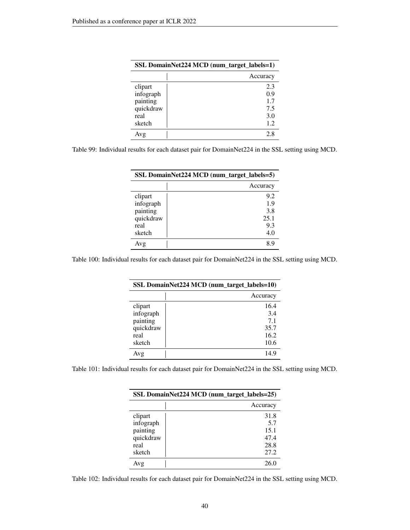| SSL DomainNet224 MCD (num_target_labels=1) |          |  |  |  |
|--------------------------------------------|----------|--|--|--|
|                                            | Accuracy |  |  |  |
| clipart                                    | 2.3      |  |  |  |
| infograph                                  | 0.9      |  |  |  |
| painting                                   | 1.7      |  |  |  |
| quickdraw                                  | 7.5      |  |  |  |
| real                                       | 3.0      |  |  |  |
| sketch                                     | 1.2      |  |  |  |
| Avg                                        | 28       |  |  |  |

|  | Table 99: Individual results for each dataset pair for DomainNet224 in the SSL setting using MCD. |  |  |  |  |  |  |  |  |
|--|---------------------------------------------------------------------------------------------------|--|--|--|--|--|--|--|--|
|  |                                                                                                   |  |  |  |  |  |  |  |  |

| SSL DomainNet224 MCD (num_target_labels=5) |          |  |  |
|--------------------------------------------|----------|--|--|
|                                            | Accuracy |  |  |
| clipart                                    | 9.2      |  |  |
| infograph                                  | 1.9      |  |  |
| painting                                   | 3.8      |  |  |
| quickdraw                                  | 25.1     |  |  |
| real                                       | 9.3      |  |  |
| sketch                                     | 4.0      |  |  |
| Avg                                        | χç       |  |  |

Table 100: Individual results for each dataset pair for DomainNet224 in the SSL setting using MCD.

| SSL DomainNet224 MCD (num_target_labels=10) |          |  |
|---------------------------------------------|----------|--|
|                                             | Accuracy |  |
| clipart                                     | 16.4     |  |
| infograph                                   | 3.4      |  |
| painting                                    | 7.1      |  |
| quickdraw                                   | 35.7     |  |
| real                                        | 16.2     |  |
| sketch                                      | 10.6     |  |
| Avg                                         | 14.9     |  |

Table 101: Individual results for each dataset pair for DomainNet224 in the SSL setting using MCD.

| SSL DomainNet224 MCD (num_target_labels=25) |          |  |  |  |
|---------------------------------------------|----------|--|--|--|
|                                             | Accuracy |  |  |  |
| clipart                                     | 31.8     |  |  |  |
| infograph                                   | 5.7      |  |  |  |
| painting                                    | 15.1     |  |  |  |
| quickdraw                                   | 47.4     |  |  |  |
| real                                        | 28.8     |  |  |  |
| sketch                                      | 27.2     |  |  |  |
| Avg                                         | 26.0     |  |  |  |

Table 102: Individual results for each dataset pair for DomainNet224 in the SSL setting using MCD.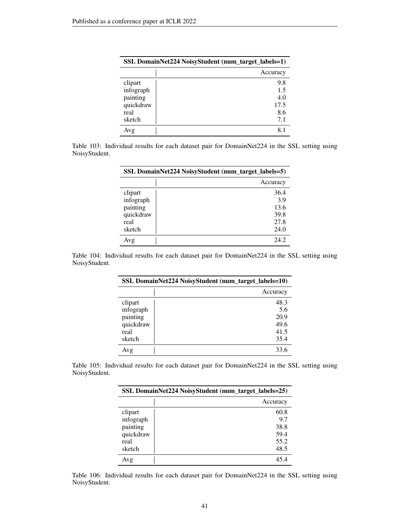|           | SSL DomainNet224 NoisyStudent (num_target_labels=1) |
|-----------|-----------------------------------------------------|
|           | Accuracy                                            |
| clipart   | 9.8                                                 |
| infograph | 1.5                                                 |
| painting  | 4.0                                                 |
| quickdraw | 17.5                                                |
| real      | 8.6                                                 |
| sketch    | 7.1                                                 |
| Avg       |                                                     |

Table 103: Individual results for each dataset pair for DomainNet224 in the SSL setting using NoisyStudent.

| SSL DomainNet224 NoisyStudent (num_target_labels=5) |          |  |  |  |
|-----------------------------------------------------|----------|--|--|--|
|                                                     | Accuracy |  |  |  |
| clipart                                             | 36.4     |  |  |  |
| infograph                                           | 3.9      |  |  |  |
| painting                                            | 13.6     |  |  |  |
| quickdraw                                           | 39.8     |  |  |  |
| real                                                | 27.8     |  |  |  |
| sketch                                              | 24.0     |  |  |  |
| Avg                                                 | 24.2     |  |  |  |

Table 104: Individual results for each dataset pair for DomainNet224 in the SSL setting using NoisyStudent.

| SSL DomainNet224 NoisyStudent (num_target_labels=10) |          |  |  |
|------------------------------------------------------|----------|--|--|
|                                                      | Accuracy |  |  |
| clipart                                              | 48.3     |  |  |
| infograph                                            | 5.6      |  |  |
| painting                                             | 20.9     |  |  |
| quickdraw                                            | 49.6     |  |  |
| real                                                 | 41.5     |  |  |
| sketch                                               | 35.4     |  |  |
| Avg                                                  | 33.6     |  |  |

Table 105: Individual results for each dataset pair for DomainNet224 in the SSL setting using NoisyStudent.

| SSL DomainNet224 NoisyStudent (num_target_labels=25) |          |
|------------------------------------------------------|----------|
|                                                      | Accuracy |
| clipart                                              | 60.8     |
| infograph                                            | 9.7      |
| painting                                             | 38.8     |
| quickdraw                                            | 59.4     |
| real                                                 | 55.2     |
| sketch                                               | 48.5     |
| Avg                                                  | 45.4     |

Table 106: Individual results for each dataset pair for DomainNet224 in the SSL setting using NoisyStudent.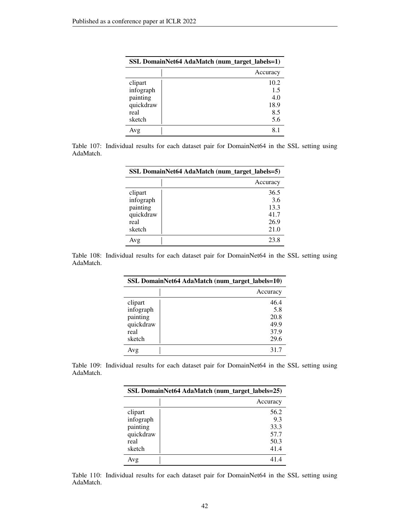| SSL DomainNet64 AdaMatch (num_target_labels=1) |          |
|------------------------------------------------|----------|
|                                                | Accuracy |
| clipart                                        | 10.2     |
| infograph                                      | 1.5      |
| painting                                       | 4.0      |
| quickdraw                                      | 18.9     |
| real                                           | 8.5      |
| sketch                                         | 5.6      |
| Avg                                            | 8.       |

Table 107: Individual results for each dataset pair for DomainNet64 in the SSL setting using AdaMatch.

| SSL DomainNet64 AdaMatch (num_target_labels=5) |          |
|------------------------------------------------|----------|
|                                                | Accuracy |
| clipart                                        | 36.5     |
| infograph                                      | 3.6      |
| painting                                       | 13.3     |
| quickdraw                                      | 41.7     |
| real                                           | 26.9     |
| sketch                                         | 21.0     |
| Avg                                            | 23.8     |

Table 108: Individual results for each dataset pair for DomainNet64 in the SSL setting using AdaMatch.

| SSL DomainNet64 AdaMatch (num_target_labels=10) |          |
|-------------------------------------------------|----------|
|                                                 | Accuracy |
| clipart                                         | 46.4     |
| infograph                                       | 5.8      |
| painting                                        | 20.8     |
| quickdraw                                       | 49.9     |
| real                                            | 37.9     |
| sketch                                          | 29.6     |
| Avg                                             | 31.7     |

Table 109: Individual results for each dataset pair for DomainNet64 in the SSL setting using AdaMatch.

| SSL DomainNet64 AdaMatch (num_target_labels=25) |          |
|-------------------------------------------------|----------|
|                                                 | Accuracy |
| clipart                                         | 56.2     |
| infograph                                       | 9.3      |
| painting                                        | 33.3     |
| quickdraw                                       | 57.7     |
| real                                            | 50.3     |
| sketch                                          | 41.4     |
| Avg                                             | 41.4     |

Table 110: Individual results for each dataset pair for DomainNet64 in the SSL setting using AdaMatch.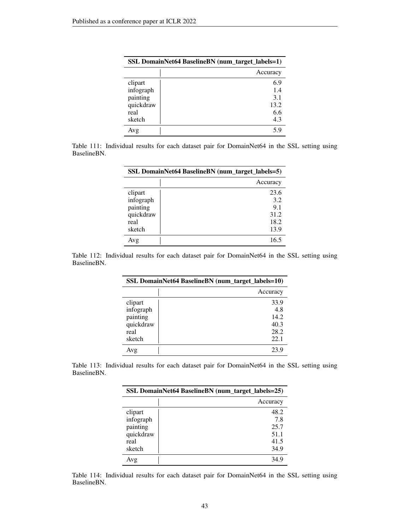| SSL DomainNet64 BaselineBN (num_target_labels=1) |          |
|--------------------------------------------------|----------|
|                                                  | Accuracy |
| clipart                                          | 6.9      |
| infograph                                        | 1.4      |
| painting                                         | 3.1      |
| quickdraw                                        | 13.2     |
| real                                             | 6.6      |
| sketch                                           | 4.3      |
| Avg                                              |          |

Table 111: Individual results for each dataset pair for DomainNet64 in the SSL setting using BaselineBN.

| SSL DomainNet64 BaselineBN (num_target_labels=5) |          |
|--------------------------------------------------|----------|
|                                                  | Accuracy |
| clipart                                          | 23.6     |
| infograph                                        | 3.2      |
| painting                                         | 9.1      |
| quickdraw                                        | 31.2     |
| real                                             | 18.2     |
| sketch                                           | 13.9     |
| Avg                                              | 16.5     |

Table 112: Individual results for each dataset pair for DomainNet64 in the SSL setting using BaselineBN.

| SSL DomainNet64 BaselineBN (num_target_labels=10) |          |
|---------------------------------------------------|----------|
|                                                   | Accuracy |
| clipart                                           | 33.9     |
| infograph                                         | 4.8      |
| painting                                          | 14.2     |
| quickdraw                                         | 40.3     |
| real                                              | 28.2     |
| sketch                                            | 22.1     |
| Avg                                               | 23.9     |

Table 113: Individual results for each dataset pair for DomainNet64 in the SSL setting using BaselineBN.

| SSL DomainNet64 BaselineBN (num_target_labels=25) |          |
|---------------------------------------------------|----------|
|                                                   | Accuracy |
| clipart                                           | 48.2     |
| infograph                                         | 7.8      |
| painting                                          | 25.7     |
| quickdraw                                         | 51.1     |
| real                                              | 41.5     |
| sketch                                            | 34.9     |
| Avg                                               | 34.9     |

Table 114: Individual results for each dataset pair for DomainNet64 in the SSL setting using BaselineBN.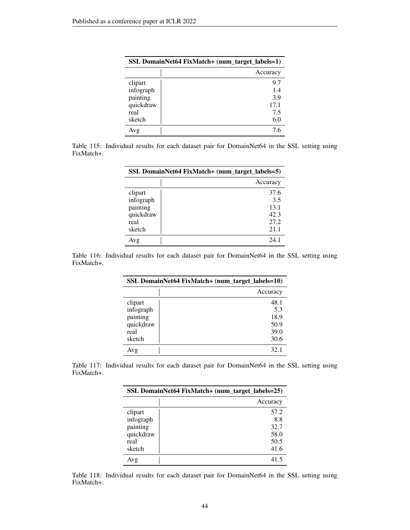| SSL DomainNet64 FixMatch+ (num_target_labels=1) |          |
|-------------------------------------------------|----------|
|                                                 | Accuracy |
| clipart                                         | 9.7      |
| infograph                                       | 1.4      |
| painting                                        | 3.9      |
| quickdraw                                       | 17.1     |
| real                                            | 7.5      |
| sketch                                          | 6.0      |
| Avg                                             | 7.6      |

Table 115: Individual results for each dataset pair for DomainNet64 in the SSL setting using FixMatch+.

| SSL DomainNet64 FixMatch+ (num_target_labels=5) |          |
|-------------------------------------------------|----------|
|                                                 | Accuracy |
| clipart                                         | 37.6     |
| infograph                                       | 3.5      |
| painting                                        | 13.1     |
| quickdraw                                       | 42.3     |
| real                                            | 27.2     |
| sketch                                          | 21.1     |
| Avg                                             | 24.1     |

Table 116: Individual results for each dataset pair for DomainNet64 in the SSL setting using FixMatch+.

| SSL DomainNet64 FixMatch+ (num_target_labels=10) |          |
|--------------------------------------------------|----------|
|                                                  | Accuracy |
| clipart                                          | 48.1     |
| infograph                                        | 5.3      |
| painting                                         | 18.9     |
| quickdraw                                        | 50.9     |
| real                                             | 39.0     |
| sketch                                           | 30.6     |
| Avg                                              | 32.1     |

Table 117: Individual results for each dataset pair for DomainNet64 in the SSL setting using FixMatch+.

| SSL DomainNet64 FixMatch+ (num_target_labels=25) |          |  |
|--------------------------------------------------|----------|--|
|                                                  | Accuracy |  |
| clipart                                          | 57.2     |  |
| infograph                                        | 8.8      |  |
| painting                                         | 32.7     |  |
| quickdraw                                        | 58.0     |  |
| real                                             | 50.5     |  |
| sketch                                           | 41.6     |  |
| Avg                                              | 41.5     |  |

Table 118: Individual results for each dataset pair for DomainNet64 in the SSL setting using FixMatch+.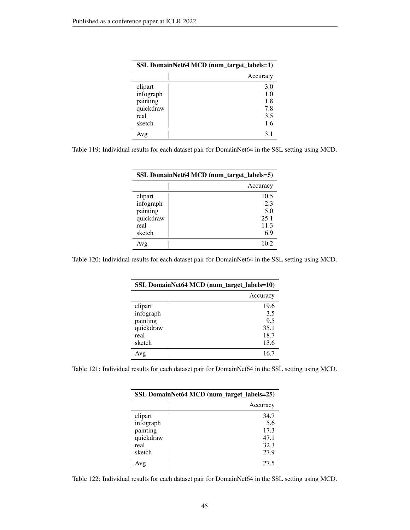| SSL DomainNet64 MCD (num_target_labels=1) |          |  |
|-------------------------------------------|----------|--|
|                                           | Accuracy |  |
| clipart                                   | 3.0      |  |
| infograph                                 | 1.0      |  |
| painting                                  | 1.8      |  |
| quickdraw                                 | 7.8      |  |
| real                                      | 3.5      |  |
| sketch                                    | 1.6      |  |
| Avg                                       | 31       |  |

| Table 119: Individual results for each dataset pair for DomainNet64 in the SSL setting using MCD. |
|---------------------------------------------------------------------------------------------------|
|---------------------------------------------------------------------------------------------------|

| SSL DomainNet64 MCD (num_target_labels=5) |          |  |
|-------------------------------------------|----------|--|
|                                           | Accuracy |  |
| clipart                                   | 10.5     |  |
| infograph                                 | 2.3      |  |
| painting                                  | 5.0      |  |
| quickdraw                                 | 25.1     |  |
| real                                      | 11.3     |  |
| sketch                                    | 6.9      |  |
| Avg                                       | 10.2     |  |

Table 120: Individual results for each dataset pair for DomainNet64 in the SSL setting using MCD.

| SSL DomainNet64 MCD (num_target_labels=10) |      |  |  |
|--------------------------------------------|------|--|--|
| Accuracy                                   |      |  |  |
| clipart                                    | 19.6 |  |  |
| infograph                                  | 3.5  |  |  |
| painting                                   | 9.5  |  |  |
| quickdraw                                  | 35.1 |  |  |
| real                                       | 18.7 |  |  |
| sketch                                     | 13.6 |  |  |
| Avg                                        | 16.7 |  |  |

Table 121: Individual results for each dataset pair for DomainNet64 in the SSL setting using MCD.

| SSL DomainNet64 MCD (num_target_labels=25) |          |  |
|--------------------------------------------|----------|--|
|                                            | Accuracy |  |
| clipart                                    | 34.7     |  |
| infograph                                  | 5.6      |  |
| painting                                   | 17.3     |  |
| quickdraw                                  | 47.1     |  |
| real                                       | 32.3     |  |
| sketch                                     | 27.9     |  |
| Avg                                        | 27.5     |  |

Table 122: Individual results for each dataset pair for DomainNet64 in the SSL setting using MCD.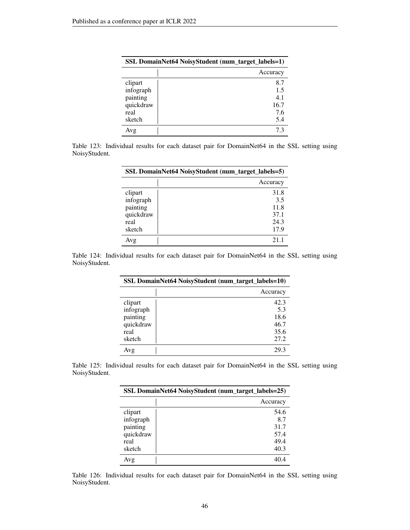| SSL DomainNet64 NoisyStudent (num_target_labels=1) |          |  |
|----------------------------------------------------|----------|--|
|                                                    | Accuracy |  |
| clipart                                            | 8.7      |  |
| infograph                                          | 1.5      |  |
| painting                                           | 4.1      |  |
| quickdraw                                          | 16.7     |  |
| real                                               | 7.6      |  |
| sketch                                             | 5.4      |  |
| Avg                                                | 73       |  |

Table 123: Individual results for each dataset pair for DomainNet64 in the SSL setting using NoisyStudent.

| SSL DomainNet64 NoisyStudent (num_target_labels=5) |          |
|----------------------------------------------------|----------|
|                                                    | Accuracy |
| clipart                                            | 31.8     |
| infograph                                          | 3.5      |
| painting                                           | 11.8     |
| quickdraw                                          | 37.1     |
| real                                               | 24.3     |
| sketch                                             | 17.9     |
| Avg                                                | 21.1     |

Table 124: Individual results for each dataset pair for DomainNet64 in the SSL setting using NoisyStudent.

| SSL DomainNet64 NoisyStudent (num_target_labels=10) |          |  |
|-----------------------------------------------------|----------|--|
|                                                     | Accuracy |  |
| clipart                                             | 42.3     |  |
| infograph                                           | 5.3      |  |
| painting                                            | 18.6     |  |
| quickdraw                                           | 46.7     |  |
| real                                                | 35.6     |  |
| sketch                                              | 27.2     |  |
| Avg                                                 | 29.3     |  |

Table 125: Individual results for each dataset pair for DomainNet64 in the SSL setting using NoisyStudent.

| SSL DomainNet64 NoisyStudent (num_target_labels=25) |          |  |
|-----------------------------------------------------|----------|--|
|                                                     | Accuracy |  |
| clipart                                             | 54.6     |  |
| infograph                                           | 8.7      |  |
| painting                                            | 31.7     |  |
| quickdraw                                           | 57.4     |  |
| real                                                | 49.4     |  |
| sketch                                              | 40.3     |  |
| Avg                                                 | 40.4     |  |

Table 126: Individual results for each dataset pair for DomainNet64 in the SSL setting using NoisyStudent.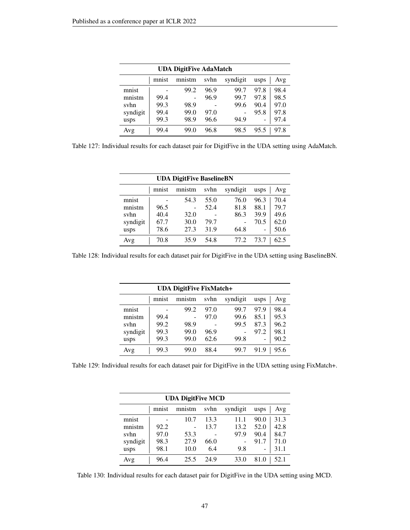| <b>UDA DigitFive AdaMatch</b> |       |        |      |          |      |      |
|-------------------------------|-------|--------|------|----------|------|------|
|                               | mnist | mnistm | svhn | syndigit | usps | Avg  |
| mnist                         |       | 99.2   | 96.9 | 99.7     | 97.8 | 98.4 |
| mnistm                        | 99.4  |        | 96.9 | 99.7     | 97.8 | 98.5 |
| svhn                          | 99.3  | 98.9   |      | 99.6     | 90.4 | 97.0 |
| syndigit                      | 99.4  | 99.0   | 97.0 |          | 95.8 | 97.8 |
| usps                          | 99.3  | 98.9   | 96.6 | 94.9     |      | 97.4 |
| Avg                           | 99.4  | 99.0   | 96.8 | 98.5     | 95.5 | 97.8 |

Table 127: Individual results for each dataset pair for DigitFive in the UDA setting using AdaMatch.

| <b>UDA DigitFive BaselineBN</b> |       |        |      |          |      |      |
|---------------------------------|-------|--------|------|----------|------|------|
|                                 | mnist | mnistm | svhn | syndigit | usps | Avg  |
| mnist                           |       | 54.3   | 55.0 | 76.0     | 96.3 | 70.4 |
| mnistm                          | 96.5  |        | 52.4 | 81.8     | 88.1 | 79.7 |
| svhn                            | 40.4  | 32.0   |      | 86.3     | 39.9 | 49.6 |
| syndigit                        | 67.7  | 30.0   | 79.7 |          | 70.5 | 62.0 |
| usps                            | 78.6  | 27.3   | 31.9 | 64.8     |      | 50.6 |
| Avg                             | 70.8  | 35.9   | 54.8 | 77.2     | 73.7 |      |

Table 128: Individual results for each dataset pair for DigitFive in the UDA setting using BaselineBN.

|          | <b>UDA DigitFive FixMatch+</b> |        |      |          |      |      |  |  |  |  |
|----------|--------------------------------|--------|------|----------|------|------|--|--|--|--|
|          | mnist                          | mnistm | svhn | syndigit | usps | Avg  |  |  |  |  |
| mnist    |                                | 99.2   | 97.0 | 99.7     | 97.9 | 98.4 |  |  |  |  |
| mnistm   | 99.4                           |        | 97.0 | 99.6     | 85.1 | 95.3 |  |  |  |  |
| svhn     | 99.2                           | 98.9   |      | 99.5     | 87.3 | 96.2 |  |  |  |  |
| syndigit | 99.3                           | 99.0   | 96.9 |          | 97.2 | 98.1 |  |  |  |  |
| usps     | 99.3                           | 99.0   | 62.6 | 99.8     | -    | 90.2 |  |  |  |  |
| Avg      | 99.3                           | 99.0   | 88.4 | 99.7     | 919  | 95.6 |  |  |  |  |

Table 129: Individual results for each dataset pair for DigitFive in the UDA setting using FixMatch+.

| <b>UDA DigitFive MCD</b> |       |        |      |          |      |      |  |  |  |
|--------------------------|-------|--------|------|----------|------|------|--|--|--|
|                          | mnist | mnistm | svhn | syndigit | usps | Avg  |  |  |  |
| mnist                    |       | 10.7   | 13.3 | 11.1     | 90.0 | 31.3 |  |  |  |
| mnistm                   | 92.2  |        | 13.7 | 13.2     | 52.0 | 42.8 |  |  |  |
| svhn                     | 97.0  | 53.3   |      | 97.9     | 90.4 | 84.7 |  |  |  |
| syndigit                 | 98.3  | 27.9   | 66.0 |          | 91.7 | 71.0 |  |  |  |
| usps                     | 98.1  | 10.0   | 6.4  | 9.8      |      | 31.1 |  |  |  |
| Avg                      | 96.4  | 25.5   | 24.9 | 33.0     | 81.0 | 52.1 |  |  |  |

Table 130: Individual results for each dataset pair for DigitFive in the UDA setting using MCD.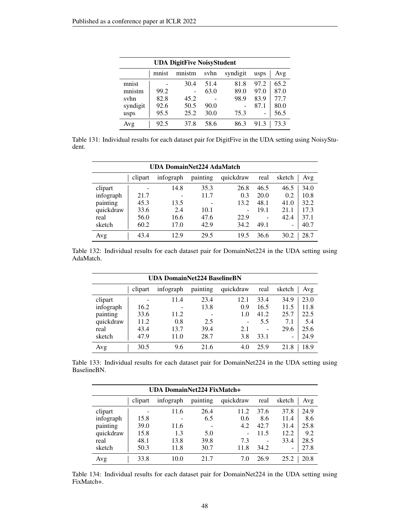| <b>UDA DigitFive NoisyStudent</b> |       |        |      |          |      |      |  |  |  |
|-----------------------------------|-------|--------|------|----------|------|------|--|--|--|
|                                   | mnist | mnistm | svhn | syndigit | usps | Avg  |  |  |  |
| mnist                             |       | 30.4   | 51.4 | 81.8     | 97.2 | 65.2 |  |  |  |
| mnistm                            | 99.2  |        | 63.0 | 89.0     | 97.0 | 87.0 |  |  |  |
| syhn                              | 82.8  | 45.2   |      | 98.9     | 83.9 | 77.7 |  |  |  |
| syndigit                          | 92.6  | 50.5   | 90.0 |          | 87.1 | 80.0 |  |  |  |
| usps                              | 95.5  | 25.2   | 30.0 | 75.3     | -    | 56.5 |  |  |  |
| Avg                               | 92.5  | 37.8   | 58.6 | 86.3     | 91.3 | 73.3 |  |  |  |

Table 131: Individual results for each dataset pair for DigitFive in the UDA setting using NoisyStudent.

| <b>UDA DomainNet224 AdaMatch</b> |         |           |          |           |      |        |      |  |
|----------------------------------|---------|-----------|----------|-----------|------|--------|------|--|
|                                  | clipart | infograph | painting | quickdraw | real | sketch | Avg  |  |
| clipart                          |         | 14.8      | 35.3     | 26.8      | 46.5 | 46.5   | 34.0 |  |
| infograph                        | 21.7    |           | 11.7     | 0.3       | 20.0 | 0.2    | 10.8 |  |
| painting                         | 45.3    | 13.5      |          | 13.2      | 48.1 | 41.0   | 32.2 |  |
| quickdraw                        | 33.6    | 2.4       | 10.1     | -         | 19.1 | 21.1   | 17.3 |  |
| real                             | 56.0    | 16.6      | 47.6     | 22.9      |      | 42.4   | 37.1 |  |
| sketch                           | 60.2    | 17.0      | 42.9     | 34.2      | 49.1 | ۰      | 40.7 |  |
| Avg                              | 43.4    | 12.9      | 29.5     | 19.5      | 36.6 | 30.2   | 28.7 |  |

Table 132: Individual results for each dataset pair for DomainNet224 in the UDA setting using AdaMatch.

| <b>UDA DomainNet224 BaselineBN</b> |         |           |          |           |      |        |      |  |
|------------------------------------|---------|-----------|----------|-----------|------|--------|------|--|
|                                    | clipart | infograph | painting | quickdraw | real | sketch | Avg  |  |
| clipart                            |         | 11.4      | 23.4     | 12.1      | 33.4 | 34.9   | 23.0 |  |
| infograph                          | 16.2    |           | 13.8     | 0.9       | 16.5 | 11.5   | 11.8 |  |
| painting                           | 33.6    | 11.2      |          | 1.0       | 41.2 | 25.7   | 22.5 |  |
| quickdraw                          | 11.2    | 0.8       | 2.5      |           | 5.5  | 7.1    | 5.4  |  |
| real                               | 43.4    | 13.7      | 39.4     | 2.1       |      | 29.6   | 25.6 |  |
| sketch                             | 47.9    | 11.0      | 28.7     | 3.8       | 33.1 | -      | 24.9 |  |
| Avg                                | 30.5    | 9.6       | 21.6     | 4.0       | 25.9 | 21.8   | 18.9 |  |

Table 133: Individual results for each dataset pair for DomainNet224 in the UDA setting using BaselineBN.

|           | <b>UDA DomainNet224 FixMatch+</b> |           |          |           |      |               |  |  |  |
|-----------|-----------------------------------|-----------|----------|-----------|------|---------------|--|--|--|
|           | clipart                           | infograph | painting | quickdraw | real | sketch<br>Avg |  |  |  |
| clipart   |                                   | 11.6      | 26.4     | 11.2      | 37.6 | 37.8<br>24.9  |  |  |  |
| infograph | 15.8                              |           | 6.5      | 0.6       | 8.6  | 8.6<br>11.4   |  |  |  |
| painting  | 39.0                              | 11.6      |          | 4.2       | 42.7 | 25.8<br>31.4  |  |  |  |
| quickdraw | 15.8                              | 1.3       | 5.0      | -         | 11.5 | 9.2<br>12.2   |  |  |  |
| real      | 48.1                              | 13.8      | 39.8     | 7.3       |      | 33.4<br>28.5  |  |  |  |
| sketch    | 50.3                              | 11.8      | 30.7     | 11.8      | 34.2 | 27.8<br>-     |  |  |  |
| Avg       | 33.8                              | 10.0      | 21.7     | 7.0       | 26.9 | 25.2<br>20.8  |  |  |  |

Table 134: Individual results for each dataset pair for DomainNet224 in the UDA setting using FixMatch+.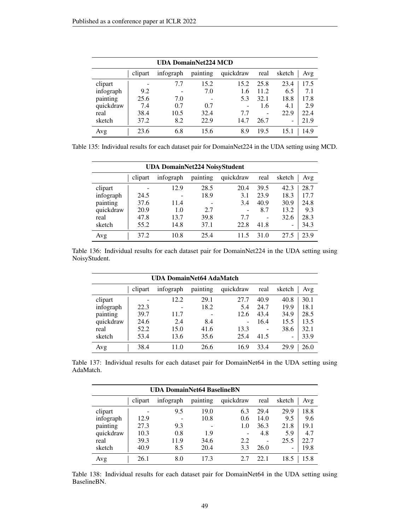| <b>UDA DomainNet224 MCD</b> |         |           |                 |           |      |               |  |  |
|-----------------------------|---------|-----------|-----------------|-----------|------|---------------|--|--|
|                             | clipart | infograph | painting        | quickdraw | real | sketch<br>Avg |  |  |
| clipart                     |         | 7.7       | 15.2            | 15.2      | 25.8 | 17.5<br>23.4  |  |  |
| infograph                   | 9.2     |           | 7.0             | 1.6       | 11.2 | 7.1<br>6.5    |  |  |
| painting                    | 25.6    | 7.0       | $\qquad \qquad$ | 5.3       | 32.1 | 18.8<br>17.8  |  |  |
| quickdraw                   | 7.4     | 0.7       | 0.7             |           | 1.6  | 2.9<br>4.1    |  |  |
| real                        | 38.4    | 10.5      | 32.4            | 7.7       |      | 22.9<br>22.4  |  |  |
| sketch                      | 37.2    | 8.2       | 22.9            | 14.7      | 26.7 | 21.9<br>-     |  |  |
| Avg                         | 23.6    | 6.8       | 15.6            | 8.9       | 19.5 | 14.9<br>15.1  |  |  |

Table 135: Individual results for each dataset pair for DomainNet224 in the UDA setting using MCD.

| <b>UDA DomainNet224 NoisyStudent</b> |         |           |          |           |      |        |      |  |
|--------------------------------------|---------|-----------|----------|-----------|------|--------|------|--|
|                                      | clipart | infograph | painting | quickdraw | real | sketch | Avg  |  |
| clipart                              |         | 12.9      | 28.5     | 20.4      | 39.5 | 42.3   | 28.7 |  |
| infograph                            | 24.5    |           | 18.9     | 3.1       | 23.9 | 18.3   | 17.7 |  |
| painting                             | 37.6    | 11.4      |          | 3.4       | 40.9 | 30.9   | 24.8 |  |
| quickdraw                            | 20.9    | 1.0       | 2.7      | ۰         | 8.7  | 13.2   | 9.3  |  |
| real                                 | 47.8    | 13.7      | 39.8     | 7.7       |      | 32.6   | 28.3 |  |
| sketch                               | 55.2    | 14.8      | 37.1     | 22.8      | 41.8 | ۰      | 34.3 |  |
| Avg                                  | 37.2    | 10.8      | 25.4     | 11.5      | 31.0 | 27.5   | 23.9 |  |

Table 136: Individual results for each dataset pair for DomainNet224 in the UDA setting using NoisyStudent.

| UDA DomainNet64 AdaMatch |         |           |          |           |      |                 |      |  |  |
|--------------------------|---------|-----------|----------|-----------|------|-----------------|------|--|--|
|                          | clipart | infograph | painting | quickdraw | real | sketch          | Avg  |  |  |
| clipart                  |         | 12.2      | 29.1     | 27.7      | 40.9 | 40.8            | 30.1 |  |  |
| infograph                | 22.3    |           | 18.2     | 5.4       | 24.7 | 19.9            | 18.1 |  |  |
| painting                 | 39.7    | 11.7      |          | 12.6      | 43.4 | 34.9            | 28.5 |  |  |
| quickdraw                | 24.6    | 2.4       | 8.4      | -         | 16.4 | 15.5            | 13.5 |  |  |
| real                     | 52.2    | 15.0      | 41.6     | 13.3      |      | 38.6            | 32.1 |  |  |
| sketch                   | 53.4    | 13.6      | 35.6     | 25.4      | 41.5 | $\qquad \qquad$ | 33.9 |  |  |
| Avg                      | 38.4    | 11.0      | 26.6     | 16.9      | 33.4 | 29.9            | 26.0 |  |  |

Table 137: Individual results for each dataset pair for DomainNet64 in the UDA setting using AdaMatch.

|           | <b>UDA DomainNet64 BaselineBN</b> |           |          |           |      |        |      |  |  |
|-----------|-----------------------------------|-----------|----------|-----------|------|--------|------|--|--|
|           | clipart                           | infograph | painting | quickdraw | real | sketch | Avg  |  |  |
| clipart   |                                   | 9.5       | 19.0     | 6.3       | 29.4 | 29.9   | 18.8 |  |  |
| infograph | 12.9                              |           | 10.8     | 0.6       | 14.0 | 9.5    | 9.6  |  |  |
| painting  | 27.3                              | 9.3       |          | 1.0       | 36.3 | 21.8   | 19.1 |  |  |
| quickdraw | 10.3                              | 0.8       | 1.9      |           | 4.8  | 5.9    | 4.7  |  |  |
| real      | 39.3                              | 11.9      | 34.6     | 2.2       |      | 25.5   | 22.7 |  |  |
| sketch    | 40.9                              | 8.5       | 20.4     | 3.3       | 26.0 | -      | 19.8 |  |  |
| Avg       | 26.1                              | 8.0       | 17.3     | 2.7       | 22.1 | 18.5   | 15.8 |  |  |

Table 138: Individual results for each dataset pair for DomainNet64 in the UDA setting using BaselineBN.